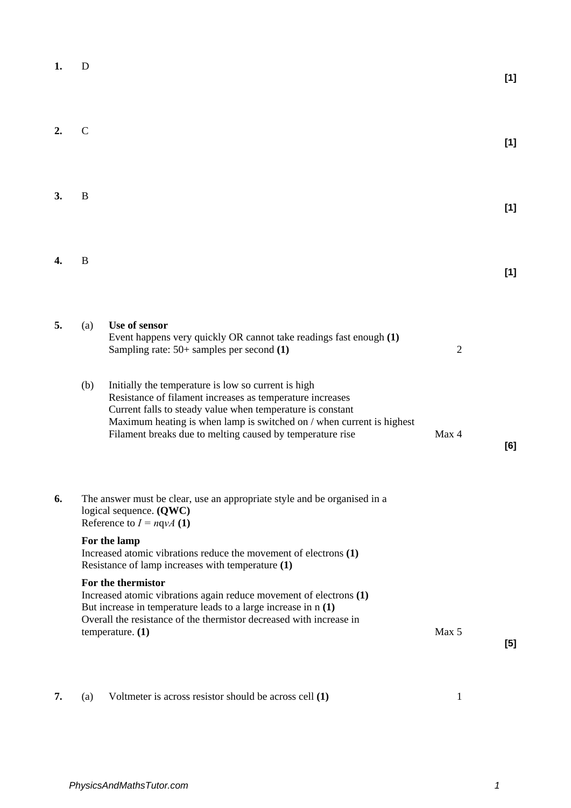| 1.               | D             |                                                                                                                                                                                                                                                                                                                                                                                                                                                                                                                                          |                         | [1]   |
|------------------|---------------|------------------------------------------------------------------------------------------------------------------------------------------------------------------------------------------------------------------------------------------------------------------------------------------------------------------------------------------------------------------------------------------------------------------------------------------------------------------------------------------------------------------------------------------|-------------------------|-------|
| $\overline{2}$ . | $\mathcal{C}$ |                                                                                                                                                                                                                                                                                                                                                                                                                                                                                                                                          |                         | [1]   |
| 3.               | B             |                                                                                                                                                                                                                                                                                                                                                                                                                                                                                                                                          |                         | $[1]$ |
| 4.               | B             |                                                                                                                                                                                                                                                                                                                                                                                                                                                                                                                                          |                         | [1]   |
| 5.               | (a)<br>(b)    | Use of sensor<br>Event happens very quickly OR cannot take readings fast enough (1)<br>Sampling rate: $50+$ samples per second $(1)$<br>Initially the temperature is low so current is high<br>Resistance of filament increases as temperature increases<br>Current falls to steady value when temperature is constant<br>Maximum heating is when lamp is switched on / when current is highest<br>Filament breaks due to melting caused by temperature rise                                                                             | $\overline{2}$<br>Max 4 | [6]   |
| 6.               |               | The answer must be clear, use an appropriate style and be organised in a<br>logical sequence. $(QWC)$<br>Reference to $I = nqvA(1)$<br>For the lamp<br>Increased atomic vibrations reduce the movement of electrons (1)<br>Resistance of lamp increases with temperature (1)<br>For the thermistor<br>Increased atomic vibrations again reduce movement of electrons (1)<br>But increase in temperature leads to a large increase in $n(1)$<br>Overall the resistance of the thermistor decreased with increase in<br>temperature. $(1)$ | Max 5                   | $[5]$ |

**7.** (a) Voltmeter is across resistor should be across cell **(1)** 1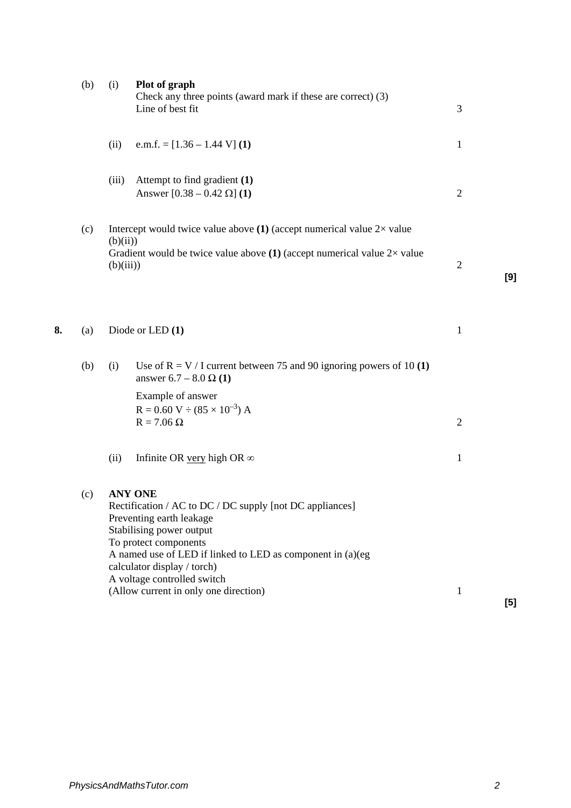| (b) | (i)   | Plot of graph<br>Check any three points (award mark if these are correct) (3)<br>Line of best fit                                                                                            | 3                                                                                                                                                                                                                                                                                                                                                                                                                                                                                                                                                    |       |
|-----|-------|----------------------------------------------------------------------------------------------------------------------------------------------------------------------------------------------|------------------------------------------------------------------------------------------------------------------------------------------------------------------------------------------------------------------------------------------------------------------------------------------------------------------------------------------------------------------------------------------------------------------------------------------------------------------------------------------------------------------------------------------------------|-------|
|     | (ii)  | e.m.f. = $[1.36 - 1.44 V] (1)$                                                                                                                                                               | $\mathbf{1}$                                                                                                                                                                                                                                                                                                                                                                                                                                                                                                                                         |       |
|     | (iii) | Attempt to find gradient (1)<br>Answer $[0.38 - 0.42 \Omega]$ (1)                                                                                                                            | $\sqrt{2}$                                                                                                                                                                                                                                                                                                                                                                                                                                                                                                                                           |       |
| (c) |       |                                                                                                                                                                                              | $\overline{2}$                                                                                                                                                                                                                                                                                                                                                                                                                                                                                                                                       | [9]   |
| (a) |       |                                                                                                                                                                                              | $\mathbf{1}$                                                                                                                                                                                                                                                                                                                                                                                                                                                                                                                                         |       |
| (b) | (i)   | Use of $R = V / I$ current between 75 and 90 ignoring powers of 10 (1)<br>answer 6.7 – 8.0 $\Omega$ (1)<br>Example of answer<br>$R = 0.60 V \div (85 \times 10^{-3}) A$<br>$R = 7.06 \Omega$ | $\overline{2}$                                                                                                                                                                                                                                                                                                                                                                                                                                                                                                                                       |       |
|     | (ii)  | Infinite OR very high OR $\infty$                                                                                                                                                            | $\mathbf{1}$                                                                                                                                                                                                                                                                                                                                                                                                                                                                                                                                         |       |
| (c) |       |                                                                                                                                                                                              | $\mathbf{1}$                                                                                                                                                                                                                                                                                                                                                                                                                                                                                                                                         | $[5]$ |
|     |       |                                                                                                                                                                                              | Intercept would twice value above $(1)$ (accept numerical value $2 \times$ value<br>(b)(ii))<br>Gradient would be twice value above (1) (accept numerical value $2\times$ value<br>(b)(iii))<br>Diode or LED (1)<br><b>ANY ONE</b><br>Rectification / AC to DC / DC supply [not DC appliances]<br>Preventing earth leakage<br>Stabilising power output<br>To protect components<br>A named use of LED if linked to LED as component in (a)(eg<br>calculator display / torch)<br>A voltage controlled switch<br>(Allow current in only one direction) |       |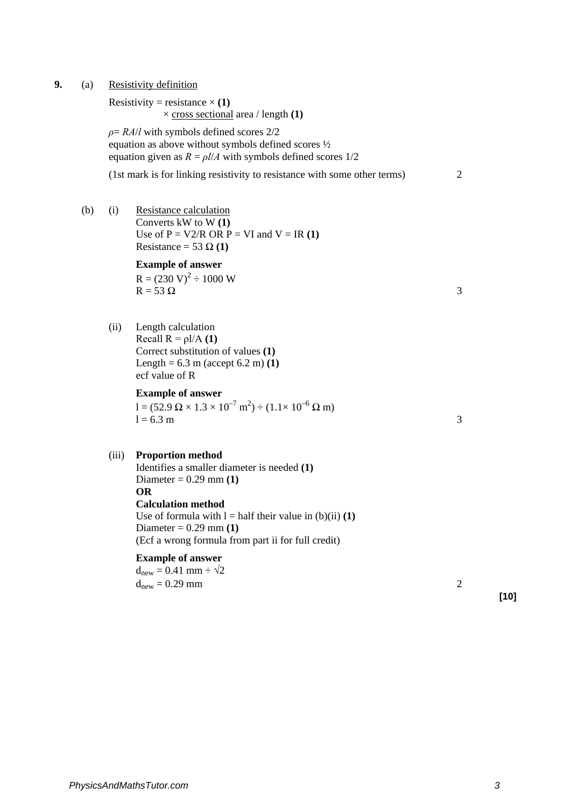**9.** (a) Resistivity definition

Resistivity = resistance  $\times$  (1) × cross sectional area / length **(1)**

*ρ*= *RA*/*l* with symbols defined scores 2/2 equation as above without symbols defined scores ½ equation given as  $R = \frac{\rho l}{A}$  with symbols defined scores 1/2

(1st mark is for linking resistivity to resistance with some other terms) 2

(b) (i) Resistance calculation Converts kW to W **(1)**  Use of  $P = V2/R$  OR  $P = VI$  and  $V = IR(1)$ Resistance = 53  $\Omega$  (1)

### **Example of answer**  $R = (230 \text{ V})^2 \div 1000 \text{ W}$ <br> $R = 53 \Omega$  $R = 53 \Omega$  3

(ii) Length calculation Recall  $R = \rho I/A$  **(1)** Correct substitution of values **(1)**  Length =  $6.3 \text{ m}$  (accept  $6.2 \text{ m}$ ) **(1)** ecf value of R

## **Example of answer**

 $1 = (52.9 \Omega \times 1.3 \times 10^{-7} \text{ m}^2) \div (1.1 \times 10^{-6} \Omega \text{ m})$  $l = 6.3 \text{ m}$  3

### (iii) **Proportion method**

Identifies a smaller diameter is needed **(1)**  Diameter = 0.29 mm **(1) OR Calculation method** Use of formula with  $l =$  half their value in (b)(ii) (1) Diameter = 0.29 mm **(1)**  (Ecf a wrong formula from part ii for full credit)

### **Example of answer**

 $d_{\text{new}} = 0.41$  mm  $\div \sqrt{2}$  $d_{\text{new}} = 0.29 \text{ mm}$  2

**[10]**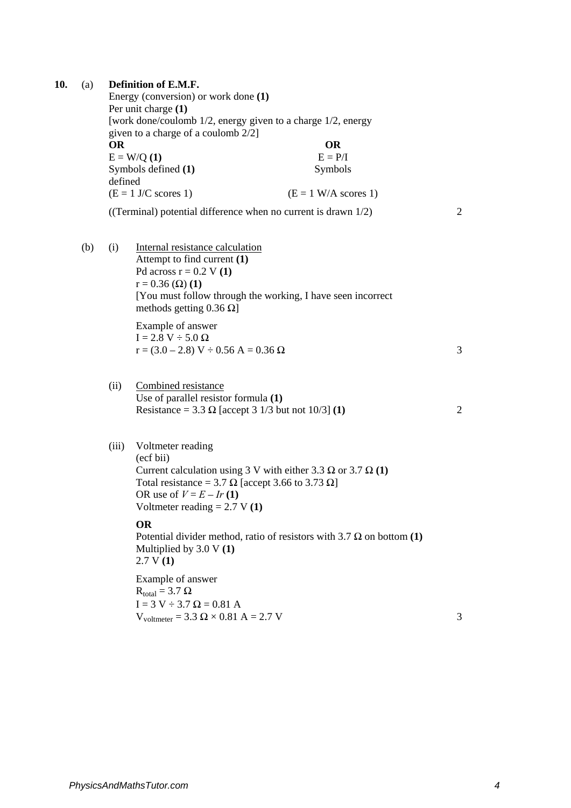| 10. | (a) | <b>OR</b><br>defined | Definition of E.M.F.<br>Energy (conversion) or work done (1)<br>Per unit charge (1)<br>[work done/coulomb 1/2, energy given to a charge 1/2, energy<br>given to a charge of a coulomb 2/2]<br>$E = W/Q(1)$<br>Symbols defined (1)              | <b>OR</b><br>$E = P/I$<br>Symbols                                            |                |
|-----|-----|----------------------|------------------------------------------------------------------------------------------------------------------------------------------------------------------------------------------------------------------------------------------------|------------------------------------------------------------------------------|----------------|
|     |     |                      | $(E = 1$ J/C scores 1)                                                                                                                                                                                                                         | $(E = 1 W/A$ scores 1)                                                       |                |
|     |     |                      | ((Terminal) potential difference when no current is drawn 1/2)                                                                                                                                                                                 |                                                                              | 2              |
|     | (b) | (i)                  | Internal resistance calculation<br>Attempt to find current (1)<br>Pd across $r = 0.2$ V (1)<br>$r = 0.36$ ( $\Omega$ ) (1)<br>[You must follow through the working, I have seen incorrect<br>methods getting 0.36 $\Omega$ ]                   |                                                                              |                |
|     |     |                      | Example of answer<br>$I = 2.8 V \div 5.0 \Omega$<br>$r = (3.0 - 2.8) V \div 0.56 A = 0.36 \Omega$                                                                                                                                              |                                                                              | 3              |
|     |     | (ii)                 | Combined resistance<br>Use of parallel resistor formula (1)<br>Resistance = 3.3 $\Omega$ [accept 3 1/3 but not 10/3] (1)                                                                                                                       |                                                                              | $\overline{2}$ |
|     |     | (iii)                | Voltmeter reading<br>(ecf bii)<br>Current calculation using 3 V with either 3.3 $\Omega$ or 3.7 $\Omega$ (1)<br>Total resistance = 3.7 $\Omega$ [accept 3.66 to 3.73 $\Omega$ ]<br>OR use of $V = E - Ir(1)$<br>Voltmeter reading $= 2.7 V(1)$ |                                                                              |                |
|     |     |                      | <b>OR</b><br>Multiplied by $3.0 V(1)$<br>2.7 V(1)                                                                                                                                                                                              | Potential divider method, ratio of resistors with 3.7 $\Omega$ on bottom (1) |                |
|     |     |                      | Example of answer<br>$R_{\text{total}} = 3.7 \Omega$<br>$I = 3 V \div 3.7 \Omega = 0.81 A$<br>$V_{voltmeter} = 3.3 \Omega \times 0.81 A = 2.7 V$                                                                                               |                                                                              | 3              |
|     |     |                      |                                                                                                                                                                                                                                                |                                                                              |                |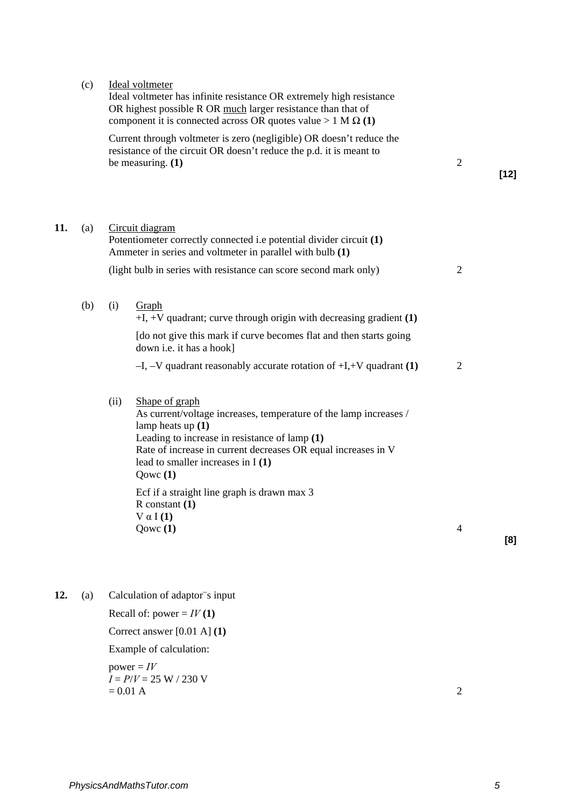|     | (c) |      | Ideal voltmeter<br>Ideal voltmeter has infinite resistance OR extremely high resistance<br>OR highest possible R OR much larger resistance than that of<br>component it is connected across OR quotes value $> 1 M \Omega(1)$                                                    |                |        |
|-----|-----|------|----------------------------------------------------------------------------------------------------------------------------------------------------------------------------------------------------------------------------------------------------------------------------------|----------------|--------|
|     |     |      | Current through voltmeter is zero (negligible) OR doesn't reduce the<br>resistance of the circuit OR doesn't reduce the p.d. it is meant to<br>be measuring. $(1)$                                                                                                               | $\overline{2}$ | $[12]$ |
| 11. | (a) |      | Circuit diagram<br>Potentiometer correctly connected i.e potential divider circuit (1)<br>Ammeter in series and voltmeter in parallel with bulb (1)                                                                                                                              |                |        |
|     |     |      | (light bulb in series with resistance can score second mark only)                                                                                                                                                                                                                | $\overline{2}$ |        |
|     | (b) | (i)  | Graph<br>$+I$ , $+V$ quadrant; curve through origin with decreasing gradient (1)<br>[do not give this mark if curve becomes flat and then starts going<br>down i.e. it has a hook]<br>$-I$ , $-V$ quadrant reasonably accurate rotation of $+I$ , $+V$ quadrant (1)              | $\overline{2}$ |        |
|     |     | (ii) | Shape of graph<br>As current/voltage increases, temperature of the lamp increases /<br>lamp heats up $(1)$<br>Leading to increase in resistance of lamp $(1)$<br>Rate of increase in current decreases OR equal increases in V<br>lead to smaller increases in $I(1)$<br>Qowc(1) |                |        |
|     |     |      | Ecf if a straight line graph is drawn max 3<br>$R$ constant $(1)$<br>$V \alpha I(1)$<br>Qowc $(1)$                                                                                                                                                                               | $\overline{4}$ | [8]    |

12. (a) Calculation of adaptor<sup>-</sup>s input Recall of: power =  $IV(1)$ Correct answer [0.01 A] **(1)**  Example of calculation:  $power = *IV*$ *I* = *P*/*V* = 25 W / 230 V  $= 0.01 \text{ A}$  2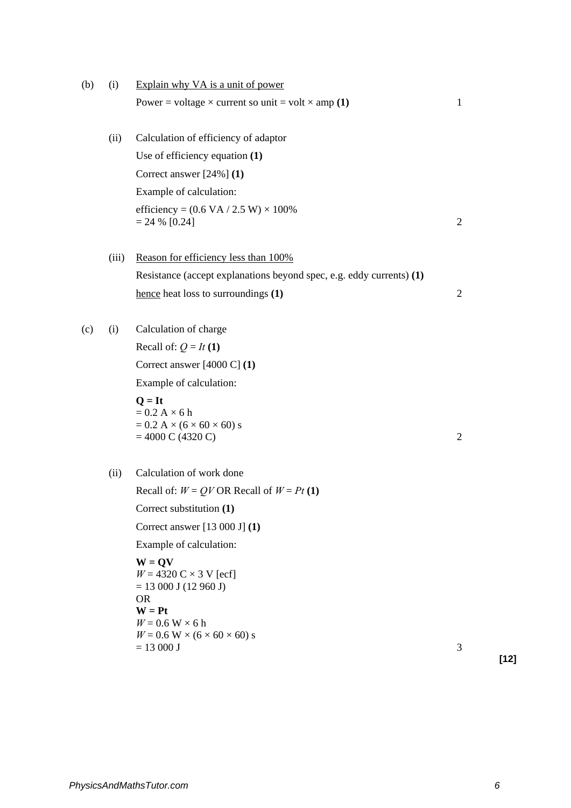| (b) | (i)   | Explain why VA is a unit of power                                                                                                                                                                             |                |
|-----|-------|---------------------------------------------------------------------------------------------------------------------------------------------------------------------------------------------------------------|----------------|
|     |       | Power = voltage $\times$ current so unit = volt $\times$ amp (1)                                                                                                                                              | 1              |
|     | (ii)  | Calculation of efficiency of adaptor                                                                                                                                                                          |                |
|     |       | Use of efficiency equation $(1)$                                                                                                                                                                              |                |
|     |       | Correct answer $[24\%]$ (1)                                                                                                                                                                                   |                |
|     |       | Example of calculation:                                                                                                                                                                                       |                |
|     |       | efficiency = $(0.6 \text{ VA} / 2.5 \text{ W}) \times 100\%$<br>$= 24 % [0.24]$                                                                                                                               | $\overline{2}$ |
|     | (iii) | Reason for efficiency less than 100%                                                                                                                                                                          |                |
|     |       | Resistance (accept explanations beyond spec, e.g. eddy currents) (1)                                                                                                                                          |                |
|     |       | hence heat loss to surroundings (1)                                                                                                                                                                           | $\overline{2}$ |
| (c) | (i)   | Calculation of charge                                                                                                                                                                                         |                |
|     |       | Recall of: $Q = It(1)$                                                                                                                                                                                        |                |
|     |       | Correct answer $[4000 C] (1)$                                                                                                                                                                                 |                |
|     |       | Example of calculation:                                                                                                                                                                                       |                |
|     |       | $Q = It$<br>$= 0.2 A \times 6 h$<br>$= 0.2 A \times (6 \times 60 \times 60) s$<br>$= 4000 \text{ C} (4320 \text{ C})$                                                                                         | 2              |
|     | (ii)  | Calculation of work done                                                                                                                                                                                      |                |
|     |       | Recall of: $W = QV$ OR Recall of $W = Pt(1)$                                                                                                                                                                  |                |
|     |       | Correct substitution (1)                                                                                                                                                                                      |                |
|     |       | Correct answer $[13 000 J] (1)$                                                                                                                                                                               |                |
|     |       | Example of calculation:                                                                                                                                                                                       |                |
|     |       | $W = QV$<br>$W = 4320 \text{ C} \times 3 \text{ V}$ [ecf]<br>$= 13000$ J (12 960 J)<br><b>OR</b><br>$W = Pt$<br>$W = 0.6$ W $\times$ 6 h<br>$W = 0.6$ W $\times$ (6 $\times$ 60 $\times$ 60) s<br>$= 13000 J$ | 3              |
|     |       |                                                                                                                                                                                                               |                |

**[12]**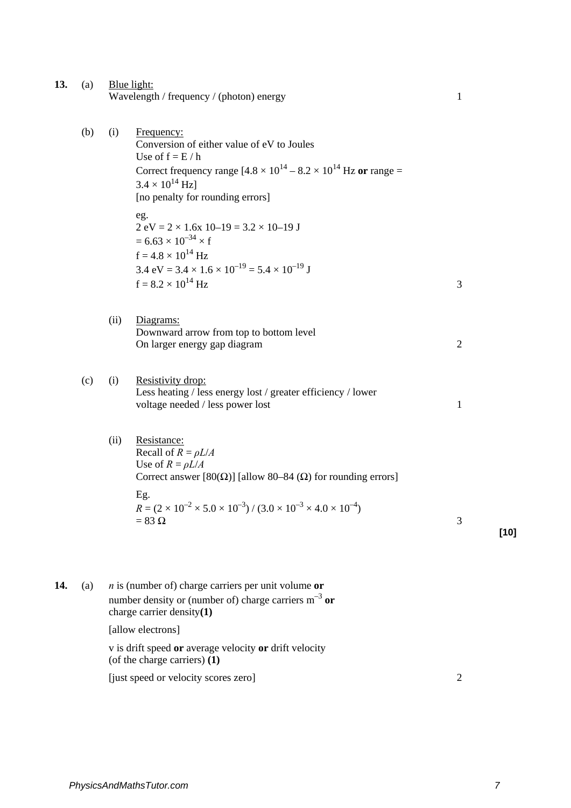- **13.** (a) Blue light: Wavelength / frequency / (photon) energy 1
	- (b) (i) Frequency: Conversion of either value of eV to Joules Use of  $f = E/h$ Correct frequency range  $[4.8 \times 10^{14} - 8.2 \times 10^{14}$  Hz or range =  $3.4 \times 10^{14}$  Hzl [no penalty for rounding errors] eg.  $2 \text{ eV} = 2 \times 1.6 \text{x}$   $10 - 19 = 3.2 \times 10 - 19 \text{ J}$  $= 6.63 \times 10^{-34} \times f$  $f = 4.8 \times 10^{14}$  Hz 3.4 eV =  $3.4 \times 1.6 \times 10^{-19}$  =  $5.4 \times 10^{-19}$  J  $f = 8.2 \times 10^{14}$  Hz (ii) Diagrams: Downward arrow from top to bottom level On larger energy gap diagram 2 (c) (i) Resistivity drop: Less heating / less energy lost / greater efficiency / lower voltage needed / less power lost 1 (ii) Resistance: Recall of  $R = \rho L/A$ Use of  $R = \rho L/A$ Correct answer [80( $\Omega$ )] [allow 80–84 ( $\Omega$ ) for rounding errors]

Eg.  $R = (2 \times 10^{-2} \times 5.0 \times 10^{-3}) / (3.0 \times 10^{-3} \times 4.0 \times 10^{-4})$ <br>= 83 Q  $= 83 \Omega$  3 **[10]**

**14.** (a) *n* is (number of) charge carriers per unit volume **or** number density or (number of) charge carriers  $m^{-3}$  or charge carrier density**(1)** [allow electrons] v is drift speed **or** average velocity **or** drift velocity

(of the charge carriers) **(1)**

[just speed or velocity scores zero] 2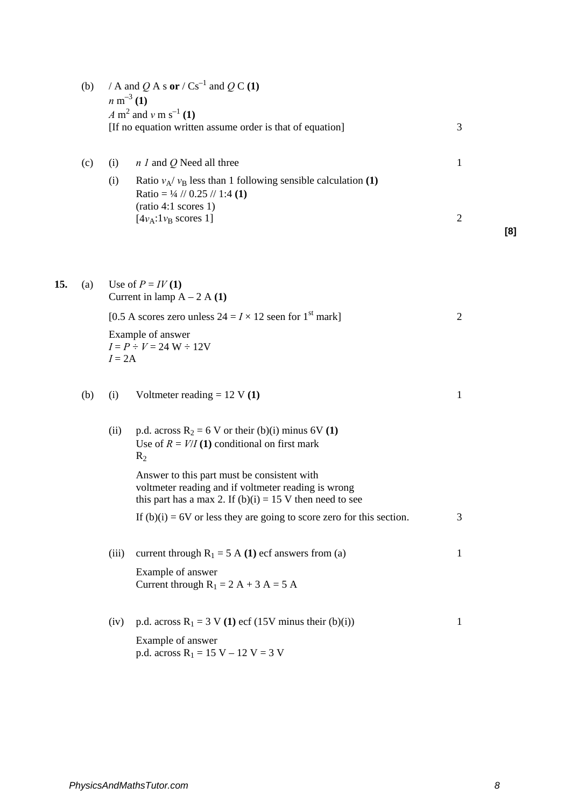|     | (b) |          | / A and Q A s or / $\text{Cs}^{-1}$ and Q C (1)<br>$n \text{ m}^{-3} (1)$<br>A m <sup>2</sup> and v m s <sup>-1</sup> (1)<br>[If no equation written assume order is that of equation] | 3              |     |
|-----|-----|----------|----------------------------------------------------------------------------------------------------------------------------------------------------------------------------------------|----------------|-----|
|     | (c) | (i)      | $n l$ and Q Need all three                                                                                                                                                             | $\mathbf{1}$   |     |
|     |     | (i)      | Ratio $v_A/v_B$ less than 1 following sensible calculation (1)<br>Ratio = $\frac{1}{4}$ // 0.25 // 1:4 (1)<br>(ratio 4:1 scores 1)<br>$[4v_A:1v_B$ scores 1]                           | $\overline{2}$ | [8] |
| 15. | (a) |          | Use of $P = IV(1)$<br>Current in lamp $A - 2A(1)$                                                                                                                                      |                |     |
|     |     |          | [0.5 A scores zero unless $24 = I \times 12$ seen for 1 <sup>st</sup> mark]                                                                                                            | $\overline{c}$ |     |
|     |     | $I = 2A$ | Example of answer<br>$I = P \div V = 24$ W $\div 12V$                                                                                                                                  |                |     |
|     | (b) | (i)      | Voltmeter reading = $12 \text{ V} (1)$                                                                                                                                                 | $\mathbf{1}$   |     |
|     |     | (ii)     | p.d. across $R_2 = 6$ V or their (b)(i) minus 6V (1)<br>Use of $R = V/I(1)$ conditional on first mark<br>$R_2$                                                                         |                |     |
|     |     |          | Answer to this part must be consistent with<br>voltmeter reading and if voltmeter reading is wrong<br>this part has a max 2. If $(b)(i) = 15$ V then need to see                       |                |     |
|     |     |          | If $(b)(i) = 6V$ or less they are going to score zero for this section.                                                                                                                | 3              |     |
|     |     | (iii)    | current through $R_1 = 5$ A (1) ecf answers from (a)                                                                                                                                   | $\mathbf{1}$   |     |
|     |     |          | Example of answer<br>Current through $R_1 = 2 A + 3 A = 5 A$                                                                                                                           |                |     |
|     |     | (iv)     | p.d. across $R_1 = 3$ V (1) ecf (15V minus their (b)(i))                                                                                                                               | 1              |     |
|     |     |          | Example of answer<br>p.d. across $R_1 = 15 V - 12 V = 3 V$                                                                                                                             |                |     |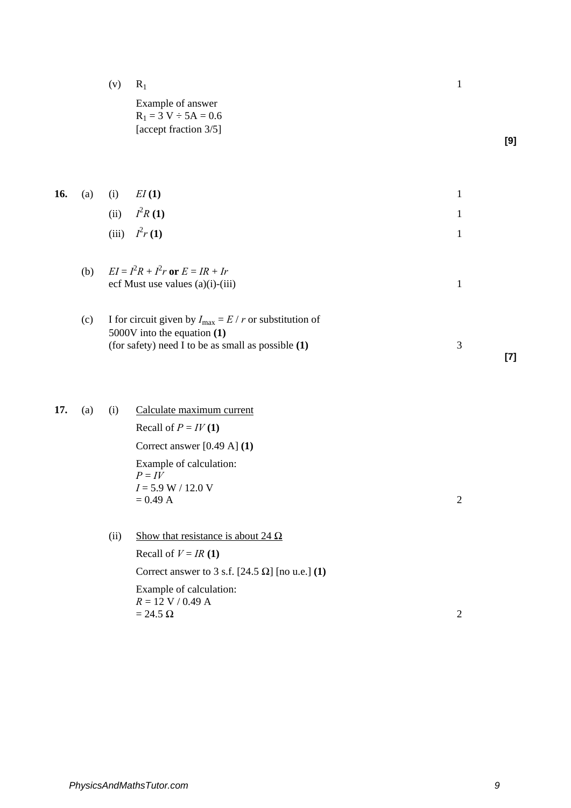(v)  $R_1$  1

Example of answer  $R_1 = 3 V \div 5A = 0.6$ [accept fraction 3/5]

**[9]**

|  | <b>16.</b> (a) (i) $EI(1)$ |  |
|--|----------------------------|--|
|  | (ii) $I^2R(1)$             |  |
|  | (iii) $I^2r(1)$            |  |

| (b) $EI = I^2 R + I^2 r$ or $E = IR + Ir$ |  |
|-------------------------------------------|--|
| ecf Must use values $(a)(i)-(iii)$        |  |
|                                           |  |

- (c) I for circuit given by  $I_{\text{max}} = E / r$  or substitution of 5000V into the equation **(1)** (for safety) need I to be as small as possible **(1)** 3 **[7]**
- 17. (a) (i) Calculate maximum current

Recall of  $P = IV(1)$ Correct answer [0.49 A] **(1)** Example of calculation:  $P = I\overline{V}$ *I* = 5.9 W / 12.0 V  $= 0.49 \text{ A}$  2

(ii) Show that resistance is about  $24 \Omega$ 

Recall of  $V = IR(1)$ Correct answer to 3 s.f.  $[24.5 \Omega]$  [no u.e.] **(1)** 

Example of calculation:  $R = 12$  V / 0.49 A  $= 24.5$  Ω 2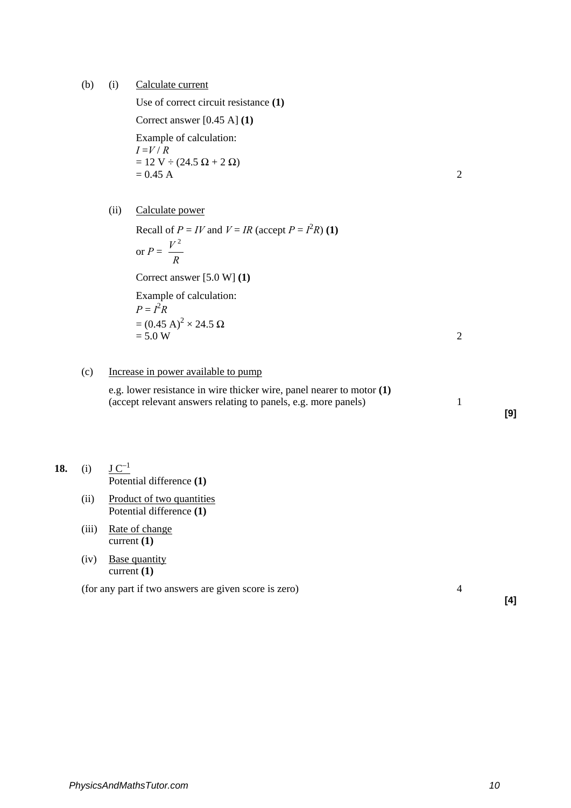(b) (i) Calculate current

Use of correct circuit resistance **(1)**

Correct answer [0.45 A] **(1)** Example of calculation:  $I = V / R$  $= 12$  V ÷ (24.5 Ω + 2 Ω)<br>= 0.45 A

$$
= 0.45 \text{ A}
$$

(ii) Calculate power

Recall of  $P = IV$  and  $V = IR$  (accept  $P = I^2R$ ) (1) or  $P = \frac{P}{R}$  $V^2$ 

Correct answer [5.0 W] **(1)** 

Example of calculation:  $P = I^2 R$ =  $(0.45 \text{ A})^2 \times 24.5 \Omega$ <br>= 5.0 W  $= 5.0 W$  2

(c) Increase in power available to pump

e.g. lower resistance in wire thicker wire, panel nearer to motor **(1)**  (accept relevant answers relating to panels, e.g. more panels) 1

# **18.** (i)  $\underline{J C^{-1}}$

Potential difference **(1)**

- (ii) Product of two quantities Potential difference **(1)**
- (iii) Rate of change current **(1)**
- (iv) Base quantity current **(1)**

(for any part if two answers are given score is zero) 4

**[4]**

**[9]**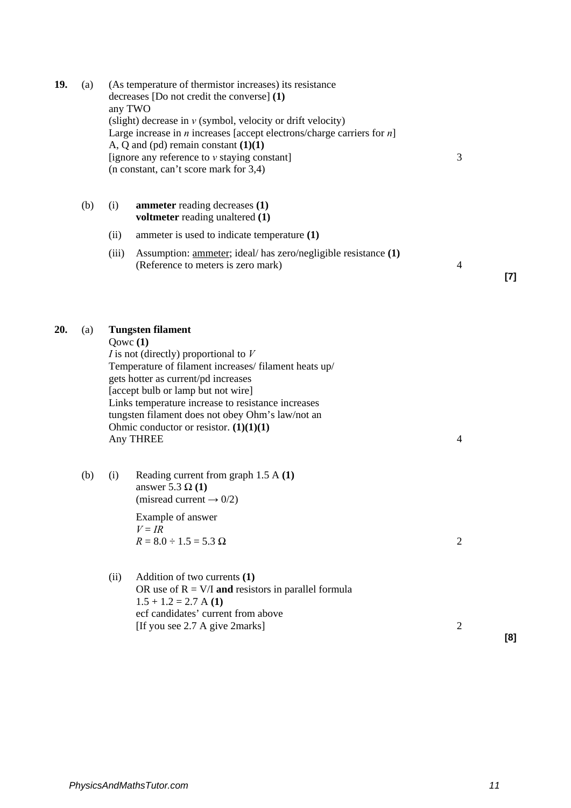| 19. | (a) | (As temperature of thermistor increases) its resistance<br>decreases [Do not credit the converse] (1)<br>any TWO<br>(slight) decrease in $v$ (symbol, velocity or drift velocity)<br>Large increase in $n$ increases [accept electrons/charge carriers for $n$ ]<br>A, Q and (pd) remain constant $(1)(1)$<br>[ignore any reference to $\nu$ staying constant]<br>(n constant, can't score mark for 3,4) | 3              |       |
|-----|-----|----------------------------------------------------------------------------------------------------------------------------------------------------------------------------------------------------------------------------------------------------------------------------------------------------------------------------------------------------------------------------------------------------------|----------------|-------|
|     | (b) | (i)<br><b>ammeter</b> reading decreases (1)<br>voltmeter reading unaltered (1)                                                                                                                                                                                                                                                                                                                           |                |       |
|     |     | ammeter is used to indicate temperature (1)<br>(ii)                                                                                                                                                                                                                                                                                                                                                      |                |       |
|     |     | (iii)<br>Assumption: <u>ammeter</u> ; ideal/ has zero/negligible resistance (1)<br>(Reference to meters is zero mark)                                                                                                                                                                                                                                                                                    | 4              | $[7]$ |
| 20. | (a) | <b>Tungsten filament</b><br>Qowc(1)<br>$I$ is not (directly) proportional to $V$<br>Temperature of filament increases/filament heats up/<br>gets hotter as current/pd increases<br>[accept bulb or lamp but not wire]<br>Links temperature increase to resistance increases<br>tungsten filament does not obey Ohm's law/not an<br>Ohmic conductor or resistor. $(1)(1)(1)$<br>Any THREE                 | $\overline{4}$ |       |
|     | (b) | Reading current from graph $1.5 A(1)$<br>(i)<br>answer 5.3 $\Omega$ (1)<br>(misread current $\rightarrow$ 0/2)<br>Example of answer<br>$V = IR$<br>$R = 8.0 \div 1.5 = 5.3 \Omega$                                                                                                                                                                                                                       | $\overline{2}$ |       |
|     |     | Addition of two currents (1)<br>(ii)<br>OR use of $R = V/I$ and resistors in parallel formula<br>$1.5 + 1.2 = 2.7$ A (1)<br>ecf candidates' current from above<br>[If you see 2.7 A give 2marks]                                                                                                                                                                                                         | $\overline{2}$ | [8]   |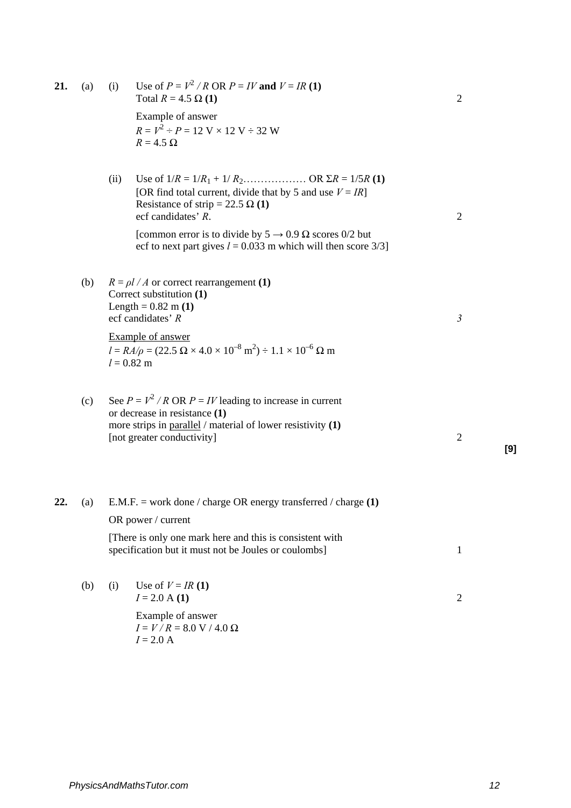| 21. | (a) | (i)  | Use of $P = V^2 / R$ OR $P = IV$ and $V = IR$ (1)<br>Total $R = 4.5 \Omega(1)$                                                                                                                                                                                   | $\overline{2}$ |     |
|-----|-----|------|------------------------------------------------------------------------------------------------------------------------------------------------------------------------------------------------------------------------------------------------------------------|----------------|-----|
|     |     |      | Example of answer<br>$R = V^2 \div P = 12$ V × 12 V $\div$ 32 W<br>$R = 4.5 \Omega$                                                                                                                                                                              |                |     |
|     |     | (ii) | Use of $1/R = 1/R_1 + 1/R_2$ OR $\Sigma R = 1/5R$ (1)<br>[OR find total current, divide that by 5 and use $V = IR$ ]<br>Resistance of strip = 22.5 $\Omega$ (1)<br>ecf candidates' R.<br>[common error is to divide by $5 \rightarrow 0.9 \Omega$ scores 0/2 but | $\overline{2}$ |     |
|     |     |      | ecf to next part gives $l = 0.033$ m which will then score 3/3]                                                                                                                                                                                                  |                |     |
|     | (b) |      | $R = \rho l / A$ or correct rearrangement (1)<br>Correct substitution (1)<br>Length = $0.82$ m (1)<br>ecf candidates' R                                                                                                                                          | $\mathfrak{Z}$ |     |
|     |     |      | <b>Example of answer</b><br>$l = RA/\rho = (22.5 \ \Omega \times 4.0 \times 10^{-8} \ m^2) \div 1.1 \times 10^{-6} \ \Omega \ m$<br>$l = 0.82$ m                                                                                                                 |                |     |
|     | (c) |      | See $P = V^2 / R$ OR $P = IV$ leading to increase in current<br>or decrease in resistance (1)<br>more strips in $parallel /$ material of lower resistivity $(1)$<br>[not greater conductivity]                                                                   | $\overline{2}$ | [9] |
| 22. | (a) |      | E.M.F. = work done / charge OR energy transferred / charge $(1)$                                                                                                                                                                                                 |                |     |
|     |     |      | OR power / current                                                                                                                                                                                                                                               |                |     |
|     |     |      | [There is only one mark here and this is consistent with<br>specification but it must not be Joules or coulombs]                                                                                                                                                 | $\mathbf{1}$   |     |
|     | (b) | (i)  | Use of $V = IR(1)$<br>$I = 2.0 A(1)$                                                                                                                                                                                                                             | $\overline{2}$ |     |
|     |     |      | Example of answer<br>$I = V/R = 8.0 V / 4.0 \Omega$<br>$I = 2.0 A$                                                                                                                                                                                               |                |     |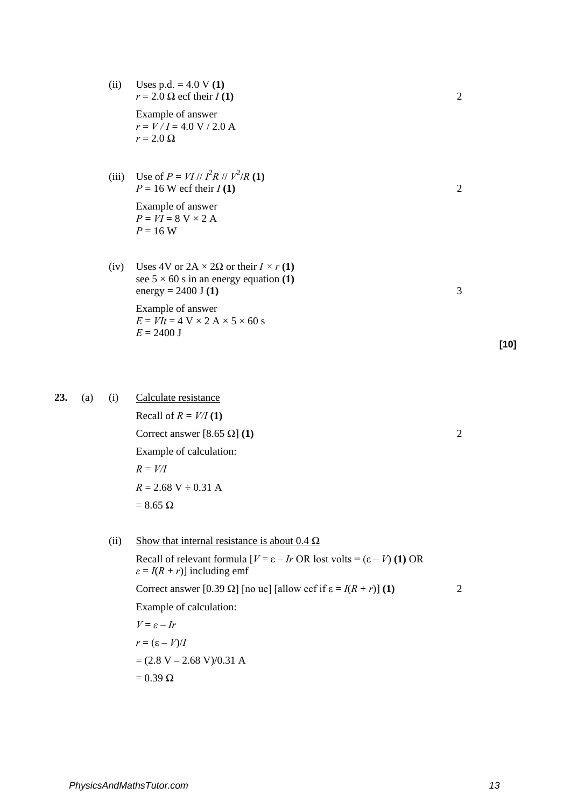| (ii) | Uses p.d. $= 4.0 V(1)$<br>$r = 2.0 \Omega$ ecf their $I(1)$                                                                       | 2 |
|------|-----------------------------------------------------------------------------------------------------------------------------------|---|
|      | Example of answer<br>$r = V/I = 4.0 V / 2.0 A$<br>$r = 2.0 \Omega$                                                                |   |
|      | (iii) Use of $P = VI / I^2 R / I^2 / R (1)$<br>$P = 16$ W ecf their $I(1)$                                                        | 2 |
|      | Example of answer<br>$P = VI = 8$ V $\times$ 2 A<br>$P = 16$ W                                                                    |   |
| (iv) | Uses 4V or $2A \times 2\Omega$ or their $I \times r(1)$<br>see $5 \times 60$ s in an energy equation (1)<br>energy = $2400$ J (1) | 3 |
|      | Example of answer<br>$E = VIt = 4$ V $\times$ 2 A $\times$ 5 $\times$ 60 s<br>$E = 2400$ J                                        |   |

23. (a) (i) Calculate resistance Recall of  $R = V/I(1)$ 

Correct answer  $[8.65 \Omega]$  **(1)** 2 Example of calculation:  $R = V/I$  $R = 2.68 \text{ V} \div 0.31 \text{ A}$  $= 8.65$  Ω

(ii) Show that internal resistance is about  $0.4 \Omega$ 

Recall of relevant formula  $[V = \varepsilon - Ir \text{ OR } \text{lost volts} = (\varepsilon - V) \text{ (1) OR }$  $\varepsilon$  = *I*(*R* + *r*)] including emf Correct answer  $[0.39 \Omega]$  [no ue] [allow ecf if  $\varepsilon = I(R + r)$ ] **(1)** 2 Example of calculation:  $V = \varepsilon - Ir$ *r* =  $(ε - V)/I$  $=(2.8 V - 2.68 V)/0.31 A$  $= 0.39 \Omega$ 

**[10]**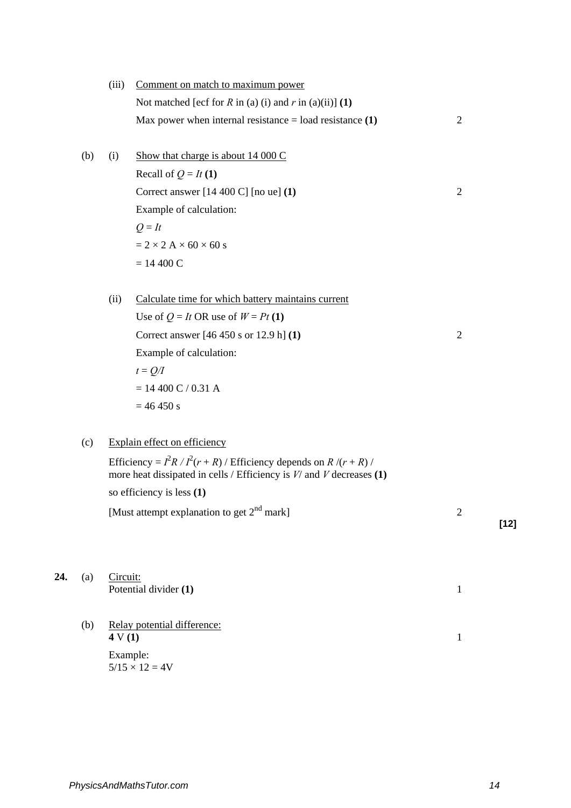|     | (iii)    | Comment on match to maximum power                                                                                                            |                |        |
|-----|----------|----------------------------------------------------------------------------------------------------------------------------------------------|----------------|--------|
|     |          | Not matched [ecf for R in (a) (i) and r in (a)(ii)] (1)                                                                                      |                |        |
|     |          | Max power when internal resistance $=$ load resistance $(1)$                                                                                 | $\overline{2}$ |        |
|     |          |                                                                                                                                              |                |        |
| (b) | (i)      | Show that charge is about $14\ 000\ C$                                                                                                       |                |        |
|     |          | Recall of $Q = It(1)$                                                                                                                        |                |        |
|     |          | Correct answer [14 400 C] [no ue] (1)                                                                                                        | $\overline{2}$ |        |
|     |          | Example of calculation:                                                                                                                      |                |        |
|     |          | $Q = It$                                                                                                                                     |                |        |
|     |          | $= 2 \times 2$ A $\times$ 60 $\times$ 60 s                                                                                                   |                |        |
|     |          | $= 14400 C$                                                                                                                                  |                |        |
|     |          |                                                                                                                                              |                |        |
|     | (ii)     | Calculate time for which battery maintains current                                                                                           |                |        |
|     |          | Use of $Q = It$ OR use of $W = Pt$ (1)                                                                                                       |                |        |
|     |          | Correct answer $[46 450 s or 12.9 h] (1)$                                                                                                    | $\overline{2}$ |        |
|     |          | Example of calculation:                                                                                                                      |                |        |
|     |          | $t = Q/I$                                                                                                                                    |                |        |
|     |          | $= 14400$ C / 0.31 A                                                                                                                         |                |        |
|     |          | $= 46 450 s$                                                                                                                                 |                |        |
|     |          |                                                                                                                                              |                |        |
| (c) |          | Explain effect on efficiency                                                                                                                 |                |        |
|     |          | Efficiency = $I^2R/I^2(r+R)$ / Efficiency depends on $R/(r+R)$ /<br>more heat dissipated in cells / Efficiency is $V/$ and $V$ decreases (1) |                |        |
|     |          | so efficiency is less $(1)$                                                                                                                  |                |        |
|     |          | [Must attempt explanation to get $2nd$ mark]                                                                                                 | $\overline{2}$ |        |
|     |          |                                                                                                                                              |                | $[12]$ |
|     |          |                                                                                                                                              |                |        |
| (a) | Circuit: |                                                                                                                                              |                |        |
|     |          | Potential divider (1)                                                                                                                        | $\mathbf{1}$   |        |
|     |          |                                                                                                                                              |                |        |
| (b) |          | Relay potential difference:                                                                                                                  |                |        |
|     | 4 V(1)   |                                                                                                                                              | $\mathbf{1}$   |        |
|     | Example: | $5/15 \times 12 = 4V$                                                                                                                        |                |        |
|     |          |                                                                                                                                              |                |        |

**24.**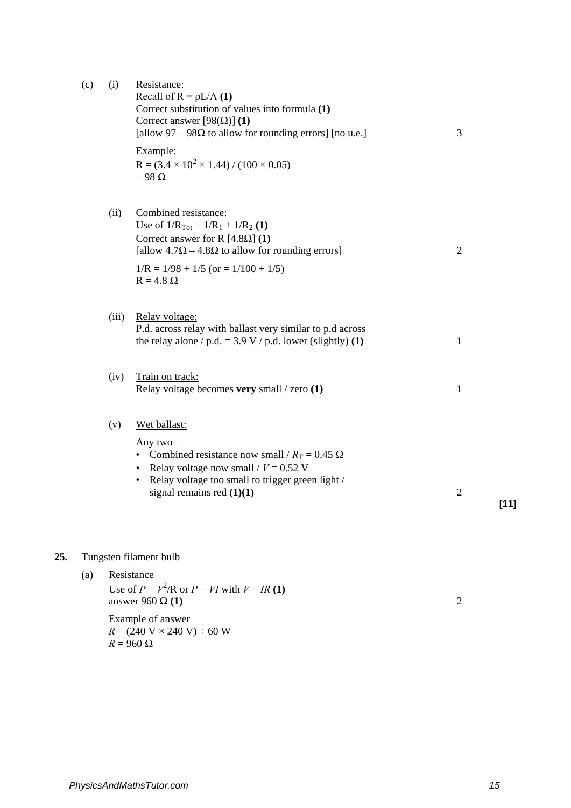| (c) | (i)   | Resistance:<br>Recall of $R = \rho L/A$ (1)<br>Correct substitution of values into formula (1)<br>Correct answer [ $98(\Omega)$ ] (1)<br>[allow 97 – 98 $\Omega$ to allow for rounding errors] [no u.e.]<br>3                            |                |        |  |  |
|-----|-------|------------------------------------------------------------------------------------------------------------------------------------------------------------------------------------------------------------------------------------------|----------------|--------|--|--|
|     |       | Example:<br>$R = (3.4 \times 10^2 \times 1.44) / (100 \times 0.05)$<br>$= 98 \Omega$                                                                                                                                                     |                |        |  |  |
|     | (ii)  | Combined resistance:<br>Use of $1/R_{Tot} = 1/R_1 + 1/R_2$ (1)<br>Correct answer for R $[4.8\Omega]$ (1)<br>[allow $4.7\Omega - 4.8\Omega$ to allow for rounding errors]<br>$1/R = 1/98 + 1/5$ (or = $1/100 + 1/5$ )<br>$R = 4.8 \Omega$ | $\overline{2}$ |        |  |  |
|     | (iii) | Relay voltage:<br>P.d. across relay with ballast very similar to p.d across<br>the relay alone / p.d. = 3.9 V / p.d. lower (slightly) (1)                                                                                                | 1              |        |  |  |
|     | (iv)  | Train on track:<br>Relay voltage becomes very small / zero (1)                                                                                                                                                                           | 1              |        |  |  |
|     | (v)   | Wet ballast:<br>Any two-<br>• Combined resistance now small / $R_T = 0.45 \Omega$<br>Relay voltage now small / $V = 0.52$ V<br>Relay voltage too small to trigger green light /<br>signal remains red $(1)(1)$                           | $\overline{2}$ | $[11]$ |  |  |

# **25.** Tungsten filament bulb

(a) Resistance Use of  $P = V^2/R$  or  $P = VI$  with  $V = IR$  (1) answer 960 Ω (1) 2 Example of answer  $R = (240 \text{ V} \times 240 \text{ V}) \div 60 \text{ W}$  $R = 960 \Omega$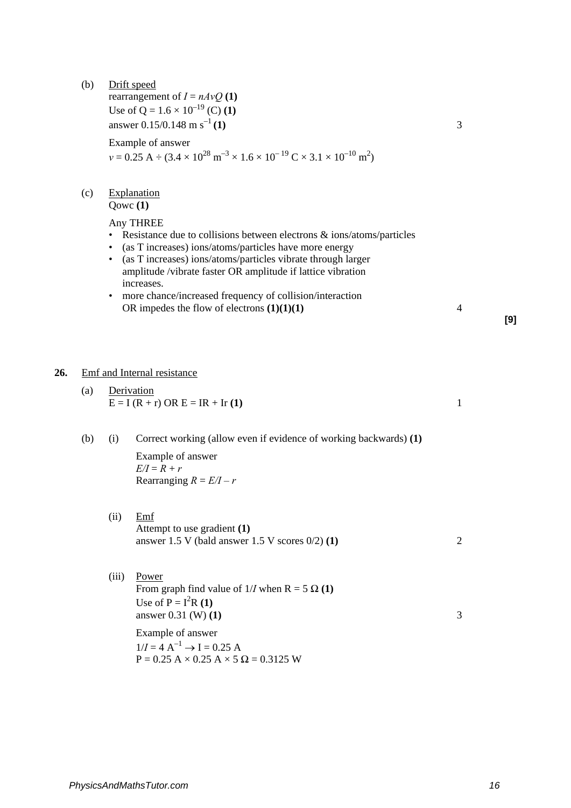- (b) Drift speed rearrangement of  $I = nAvQ(1)$ Use of Q =  $1.6 \times 10^{-19}$  (C) (1) answer  $0.15/0.148$  m s<sup>-1</sup> (1) 3 Example of answer  $v = 0.25 \text{ A} \div (3.4 \times 10^{28} \text{ m}^{-3} \times 1.6 \times 10^{-19} \text{ C} \times 3.1 \times 10^{-10} \text{ m}^2)$ (c) Explanation Qowc **(1)** Any THREE • Resistance due to collisions between electrons & ions/atoms/particles • (as T increases) ions/atoms/particles have more energy • (as T increases) ions/atoms/particles vibrate through larger amplitude /vibrate faster OR amplitude if lattice vibration increases. • more chance/increased frequency of collision/interaction OR impedes the flow of electrons **(1)(1)(1)** 4 **26.** Emf and Internal resistance (a) Derivation  $E = I (R + r) \text{ OR } E = IR + Ir (1)$  1
	- (b) (i) Correct working (allow even if evidence of working backwards) **(1)**  Example of answer  $E/I = R + r$

Rearranging  $R = E/I - r$ 

- (ii) Emf Attempt to use gradient **(1)** answer 1.5 V (bald answer 1.5 V scores 0/2) **(1)** 2
- (iii) Power From graph find value of  $1/I$  when R = 5  $\Omega$  (1) Use of  $P = I^2R(1)$ answer 0.31 **(W) (1)** 3 Example of answer  $1/I = 4 \text{ A}^{-1} \rightarrow I = 0.25 \text{ A}$

 $P = 0.25 A \times 0.25 A \times 5 \Omega = 0.3125 W$ 

**[9]**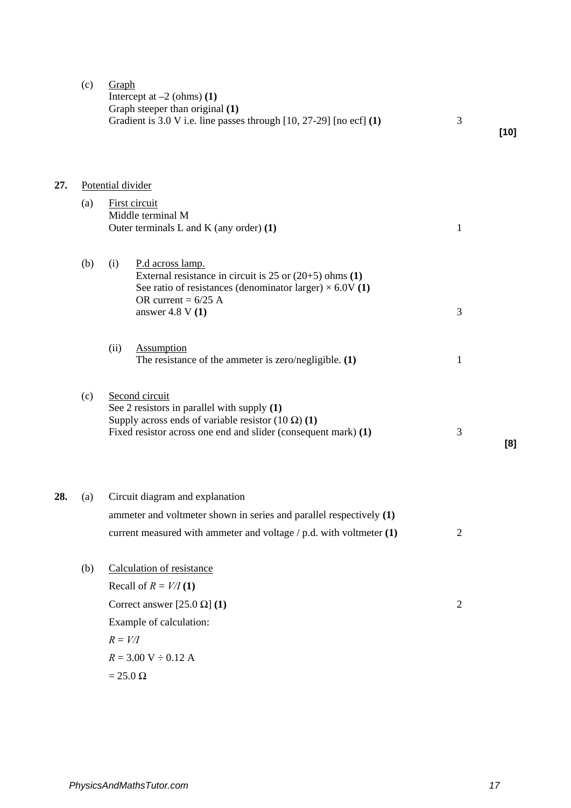|     | (c) | Graph<br>Intercept at $-2$ (ohms) (1)<br>Graph steeper than original (1)<br>Gradient is 3.0 V i.e. line passes through [10, 27-29] [no ecf] (1)                                              | 3              | $[10]$ |
|-----|-----|----------------------------------------------------------------------------------------------------------------------------------------------------------------------------------------------|----------------|--------|
| 27. |     | Potential divider                                                                                                                                                                            |                |        |
|     | (a) | First circuit<br>Middle terminal M                                                                                                                                                           |                |        |
|     |     | Outer terminals $L$ and $K$ (any order) $(1)$                                                                                                                                                | $\mathbf{1}$   |        |
|     | (b) | (i)<br>P.d across lamp.<br>External resistance in circuit is $25$ or $(20+5)$ ohms $(1)$<br>See ratio of resistances (denominator larger) $\times$ 6.0V (1)<br>OR current = $6/25$ A         |                |        |
|     |     | answer 4.8 V $(1)$                                                                                                                                                                           | 3              |        |
|     |     | (ii)<br>Assumption<br>The resistance of the ammeter is zero/negligible. $(1)$                                                                                                                | $\mathbf{1}$   |        |
|     | (c) | Second circuit<br>See 2 resistors in parallel with supply (1)<br>Supply across ends of variable resistor $(10 \Omega)$ (1)<br>Fixed resistor across one end and slider (consequent mark) (1) | 3              | [8]    |
| 28. | (a) | Circuit diagram and explanation                                                                                                                                                              |                |        |
|     |     | ammeter and voltmeter shown in series and parallel respectively (1)                                                                                                                          |                |        |
|     |     | current measured with ammeter and voltage $/$ p.d. with voltmeter $(1)$                                                                                                                      | $\overline{2}$ |        |
|     | (b) | Calculation of resistance                                                                                                                                                                    |                |        |
|     |     | Recall of $R = V/I(1)$                                                                                                                                                                       |                |        |
|     |     | Correct answer [25.0 $\Omega$ ] (1)                                                                                                                                                          | $\mathfrak{2}$ |        |
|     |     | Example of calculation:                                                                                                                                                                      |                |        |
|     |     | $R = V/I$                                                                                                                                                                                    |                |        |
|     |     | $R = 3.00 V \div 0.12 A$                                                                                                                                                                     |                |        |
|     |     | $= 25.0 \Omega$                                                                                                                                                                              |                |        |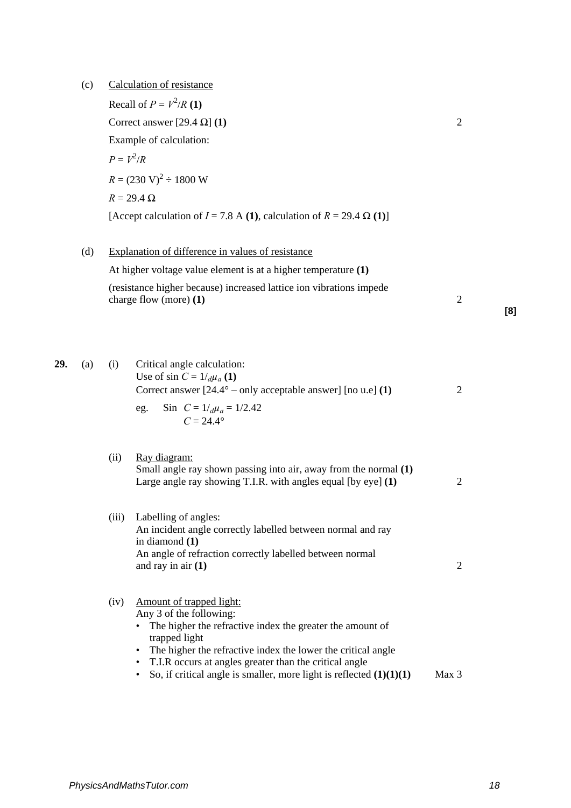(c) Calculation of resistance

Recall of  $P = V^2/R$  (1) Correct answer  $[29.4 \Omega]$  **(1)** 2 Example of calculation:  $P = V^2/R$  $R = (230 \text{ V})^2 \div 1800 \text{ W}$  $R = 29.4 \Omega$ [Accept calculation of  $I = 7.8$  A **(1)**, calculation of  $R = 29.4 \Omega$  **(1)**] (d) Explanation of difference in values of resistance At higher voltage value element is at a higher temperature **(1)** (resistance higher because) increased lattice ion vibrations impede charge flow (more)  $(1)$  2 **[8] 29.** (a) (i) Critical angle calculation: Use of sin  $C = 1/d\mu_a(1)$ Correct answer [24.4° – only acceptable answer] [no u.e] **(1)** 2 eg. Sin  $C = 1/d\mu_a = 1/2.42$  $C = 24.4^{\circ}$ (ii) Ray diagram: Small angle ray shown passing into air, away from the normal **(1)** Large angle ray showing T.I.R. with angles equal [by eye] **(1)** 2 (iii) Labelling of angles: An incident angle correctly labelled between normal and ray in diamond **(1)**  An angle of refraction correctly labelled between normal and ray in air **(1)** 2 (iv) Amount of trapped light: Any 3 of the following:

- The higher the refractive index the greater the amount of trapped light
- The higher the refractive index the lower the critical angle
- T.I.R occurs at angles greater than the critical angle
- So, if critical angle is smaller, more light is reflected  $(1)(1)(1)$  Max 3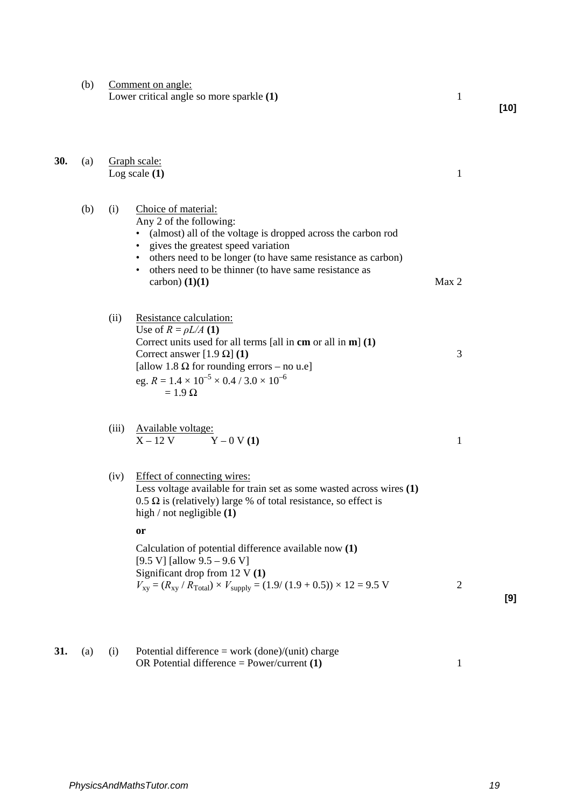(b) Comment on angle: Lower critical angle so more sparkle **(1)** 1

| 30. | (a) | Graph scale:<br>Log scale $(1)$ |                                                                                                                                                                                                                                                                                                                                                                                                                                                       | 1              |
|-----|-----|---------------------------------|-------------------------------------------------------------------------------------------------------------------------------------------------------------------------------------------------------------------------------------------------------------------------------------------------------------------------------------------------------------------------------------------------------------------------------------------------------|----------------|
|     | (b) | (i)                             | Choice of material:<br>Any 2 of the following:<br>(almost) all of the voltage is dropped across the carbon rod<br>gives the greatest speed variation<br>others need to be longer (to have same resistance as carbon)<br>others need to be thinner (to have same resistance as<br>carbon) $(1)(1)$                                                                                                                                                     | Max 2          |
|     |     | (ii)                            | Resistance calculation:<br>Use of $R = \rho L/A$ (1)<br>Correct units used for all terms [all in $cm$ or all in $m$ ] (1)<br>Correct answer [1.9 $\Omega$ ] (1)<br>[allow 1.8 $\Omega$ for rounding errors – no u.e]<br>eg. $R = 1.4 \times 10^{-5} \times 0.4 / 3.0 \times 10^{-6}$<br>$= 1.9 \Omega$                                                                                                                                                | 3              |
|     |     | (iii)                           | Available voltage:<br>$Y - 0 V(1)$<br>$X - 12V$                                                                                                                                                                                                                                                                                                                                                                                                       | 1              |
|     |     | (iv)                            | Effect of connecting wires:<br>Less voltage available for train set as some wasted across wires $(1)$<br>$0.5 \Omega$ is (relatively) large % of total resistance, so effect is<br>high / not negligible $(1)$<br><b>or</b><br>Calculation of potential difference available now (1)<br>[9.5 V] [allow $9.5 - 9.6$ V]<br>Significant drop from $12 V(1)$<br>$V_{xy} = (R_{xy} / R_{Total}) \times V_{supply} = (1.9 / (1.9 + 0.5)) \times 12 = 9.5$ V | $\overline{2}$ |
| 31. | (a) | (i)                             | Potential difference = work $(done)/(unit)$ charge                                                                                                                                                                                                                                                                                                                                                                                                    |                |

OR Potential difference = Power/current **(1)** 1

**[9]**

**[10]**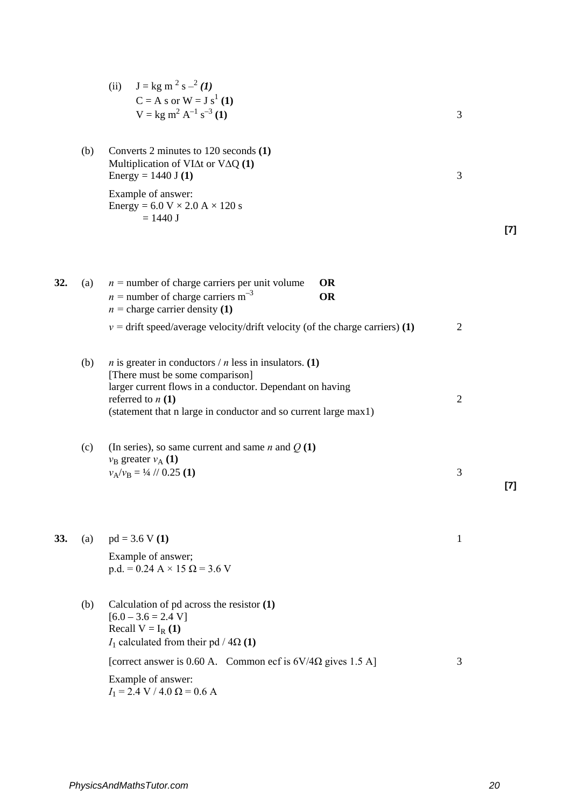|     |     | (ii) $J = kg m^2 s^{-2} (1)$<br>$C = A s$ or $W = J s1 (1)$<br>$V = kg m2 A-1 s-3 (1)$                                                                                                                                                                       | 3              |       |
|-----|-----|--------------------------------------------------------------------------------------------------------------------------------------------------------------------------------------------------------------------------------------------------------------|----------------|-------|
|     | (b) | Converts 2 minutes to 120 seconds (1)<br>Multiplication of VI $\Delta t$ or V $\Delta Q$ (1)<br>Energy = $1440$ J (1)                                                                                                                                        | 3              |       |
|     |     | Example of answer:<br>Energy = $6.0 V \times 2.0 A \times 120 s$<br>$= 1440 J$                                                                                                                                                                               |                | $[7]$ |
| 32. | (a) | $n =$ number of charge carriers per unit volume<br><b>OR</b><br>$n =$ number of charge carriers m <sup>-3</sup><br><b>OR</b><br>$n =$ charge carrier density (1)                                                                                             |                |       |
|     |     | $v =$ drift speed/average velocity/drift velocity (of the charge carriers) (1)                                                                                                                                                                               | $\overline{2}$ |       |
|     | (b) | <i>n</i> is greater in conductors / <i>n</i> less in insulators. (1)<br>[There must be some comparison]<br>larger current flows in a conductor. Dependant on having<br>referred to $n(1)$<br>(statement that n large in conductor and so current large max1) | $\overline{2}$ |       |
|     | (c) | (In series), so same current and same <i>n</i> and $Q(1)$<br>$v_{\rm B}$ greater $v_{\rm A}$ (1)<br>$v_A/v_B = \frac{1}{4}$ // 0.25 (1)                                                                                                                      | 3              | $[7]$ |
| 33. | (a) | $pd = 3.6 V(1)$<br>Example of answer;<br>$p.d. = 0.24 A \times 15 \Omega = 3.6 V$                                                                                                                                                                            | 1              |       |
|     | (b) | Calculation of $pd$ across the resistor $(1)$<br>$[6.0 - 3.6 = 2.4 V]$<br>Recall $V = I_R(1)$<br>$I_1$ calculated from their pd / 4 $\Omega$ (1)                                                                                                             |                |       |
|     |     | [correct answer is 0.60 A. Common ecf is $6V/4\Omega$ gives 1.5 A]                                                                                                                                                                                           | 3              |       |
|     |     | Example of answer:<br>$I_1 = 2.4$ V / 4.0 $\Omega = 0.6$ A                                                                                                                                                                                                   |                |       |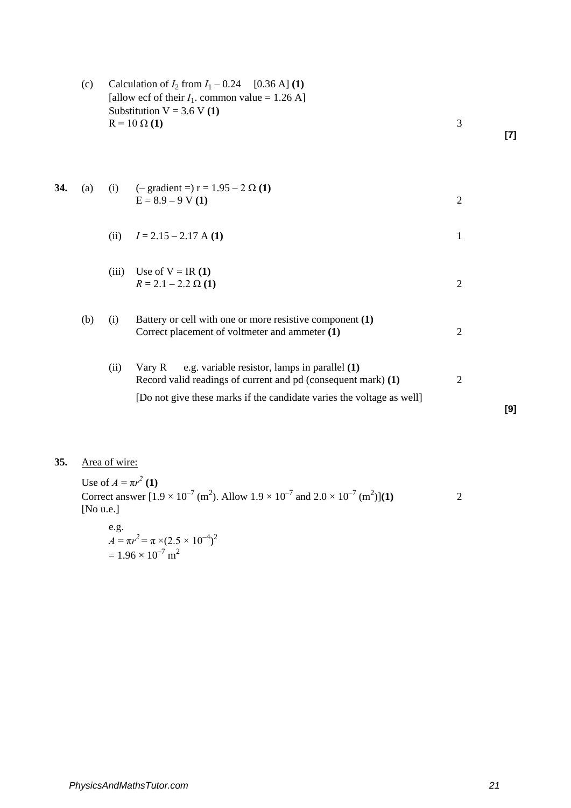| (c) |     | Calculation of $I_2$ from $I_1 - 0.24$ [0.36 A] (1)<br>[allow ecf of their $I_1$ . common value = 1.26 A]<br>Substitution $V = 3.6 V(1)$<br>$R = 10 \Omega (1)$ |                                                                                                                                                                                                   |                | $[7]$ |
|-----|-----|-----------------------------------------------------------------------------------------------------------------------------------------------------------------|---------------------------------------------------------------------------------------------------------------------------------------------------------------------------------------------------|----------------|-------|
| 34. | (a) |                                                                                                                                                                 | (i) $(-\text{gradient} = r) = 1.95 - 2 \Omega(1)$<br>$E = 8.9 - 9 V(1)$                                                                                                                           | $\overline{2}$ |       |
|     |     | (ii)                                                                                                                                                            | $I = 2.15 - 2.17$ A (1)                                                                                                                                                                           | 1              |       |
|     |     | (iii)                                                                                                                                                           | Use of $V = IR(1)$<br>$R = 2.1 - 2.2 \Omega(1)$                                                                                                                                                   | $\overline{2}$ |       |
|     | (b) | (i)                                                                                                                                                             | Battery or cell with one or more resistive component (1)<br>Correct placement of voltmeter and ammeter (1)                                                                                        | $\mathfrak{2}$ |       |
|     |     | (ii)                                                                                                                                                            | e.g. variable resistor, lamps in parallel (1)<br>Vary R<br>Record valid readings of current and pd (consequent mark) (1)<br>[Do not give these marks if the candidate varies the voltage as well] | $\overline{2}$ |       |
|     |     |                                                                                                                                                                 |                                                                                                                                                                                                   |                | [9]   |

# **35.** Area of wire:

Use of  $A = \pi r^2 (1)$ Correct answer  $[1.9 \times 10^{-7}$  (m<sup>2</sup>). Allow  $1.9 \times 10^{-7}$  and  $2.0 \times 10^{-7}$  (m<sup>2</sup>) )]**(1)** 2 [No u.e.]  $\theta$ .g.

e.g.  
\n
$$
A = \pi r^2 = \pi \times (2.5 \times 10^{-4})^2
$$
\n
$$
= 1.96 \times 10^{-7} \text{ m}^2
$$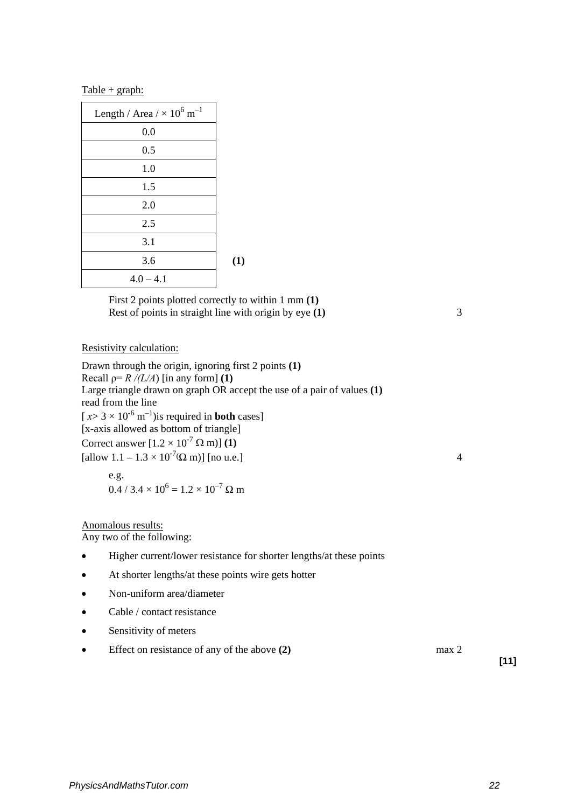### $Table + graph:$

| Length / Area / $\times$ 10 <sup>6</sup> m <sup>-1</sup> |     |
|----------------------------------------------------------|-----|
| 0.0                                                      |     |
| 0.5                                                      |     |
| 1.0                                                      |     |
| 1.5                                                      |     |
| 2.0                                                      |     |
| 2.5                                                      |     |
| 3.1                                                      |     |
| 3.6                                                      | (1) |
| $4.0 - 4.1$                                              |     |

First 2 points plotted correctly to within 1 mm **(1)** Rest of points in straight line with origin by eye **(1)** 3

Resistivity calculation:

Drawn through the origin, ignoring first 2 points **(1)** Recall  $p = R / (L/A)$  [in any form] **(1)** Large triangle drawn on graph OR accept the use of a pair of values **(1)** read from the line  $[x> 3 \times 10^{-6} \text{ m}^{-1})$  is required in **both** cases] [x-axis allowed as bottom of triangle] Correct answer  $[1.2 \times 10^{-7} \Omega \text{ m})]$  (1)  $\text{[allow 1.1 - 1.3 \times 10^{7} (}\Omega \text{ m})]$  [no u.e.] e.g.  $0.4 / 3.4 \times 10^6 = 1.2 \times 10^{-7} \Omega$  m

Anomalous results:

Any two of the following:

- Higher current/lower resistance for shorter lengths/at these points
- At shorter lengths/at these points wire gets hotter
- Non-uniform area/diameter
- Cable / contact resistance
- Sensitivity of meters
- Effect on resistance of any of the above **(2)** max 2

**[11]**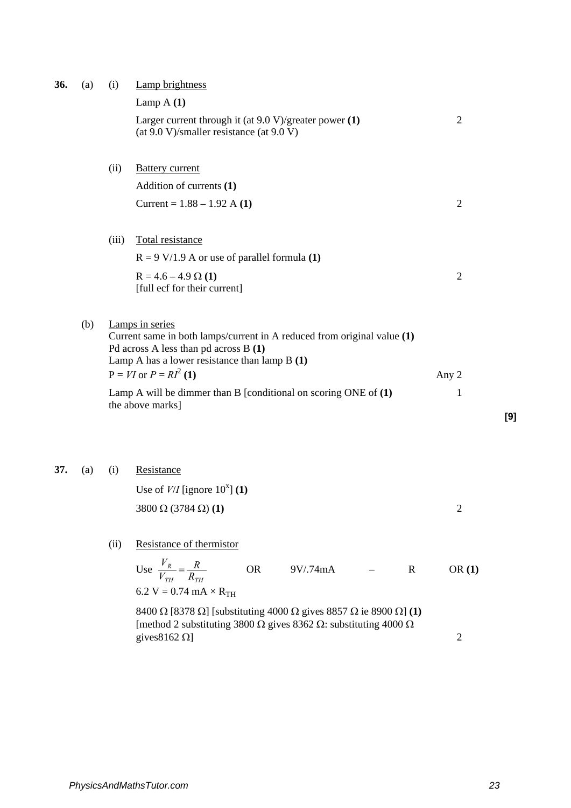| 36. | (a) | (i)   | Lamp brightness                                                                                                                                                                                                         |                |     |
|-----|-----|-------|-------------------------------------------------------------------------------------------------------------------------------------------------------------------------------------------------------------------------|----------------|-----|
|     |     |       | Lamp $A(1)$                                                                                                                                                                                                             |                |     |
|     |     |       | Larger current through it (at $9.0 \text{ V}/\text{greater power (1)}$ )<br>(at $9.0 \text{ V/s}$ maller resistance (at $9.0 \text{ V}$ )                                                                               | $\overline{2}$ |     |
|     |     | (ii)  | <b>Battery current</b>                                                                                                                                                                                                  |                |     |
|     |     |       | Addition of currents (1)                                                                                                                                                                                                |                |     |
|     |     |       | Current = $1.88 - 1.92$ A (1)                                                                                                                                                                                           | $\mathfrak{2}$ |     |
|     |     | (iii) | Total resistance                                                                                                                                                                                                        |                |     |
|     |     |       | $R = 9$ V/1.9 A or use of parallel formula (1)                                                                                                                                                                          |                |     |
|     |     |       | $R = 4.6 - 4.9 \Omega(1)$<br>[full ecf for their current]                                                                                                                                                               | $\overline{2}$ |     |
|     | (b) |       | Lamps in series<br>Current same in both lamps/current in A reduced from original value (1)<br>Pd across A less than pd across B (1)<br>Lamp A has a lower resistance than lamp $B(1)$<br>$P = VI$ or $P = RI^2(1)$      | Any 2          |     |
|     |     |       | Lamp A will be dimmer than B [conditional on scoring ONE of $(1)$<br>the above marks]                                                                                                                                   | $\mathbf{1}$   | [9] |
| 37. | (a) | (i)   | Resistance<br>Use of $V/I$ [ignore 10 <sup>x</sup> ] (1)<br>$3800 \Omega (3784 \Omega) (1)$                                                                                                                             | 2              |     |
|     |     | (ii)  | Resistance of thermistor<br>Use $\frac{V_R}{V_{TH}} = \frac{R}{R_{TH}}$<br><b>OR</b><br>9V/.74mA<br>$\mathbf R$<br>6.2 V = 0.74 mA $\times$ R <sub>TH</sub>                                                             | OR(1)          |     |
|     |     |       | 8400 $\Omega$ [8378 $\Omega$ ] [substituting 4000 $\Omega$ gives 8857 $\Omega$ ie 8900 $\Omega$ ] (1)<br>[method 2 substituting 3800 $\Omega$ gives 8362 $\Omega$ : substituting 4000 $\Omega$<br>gives $8162 \Omega$ ] | $\overline{2}$ |     |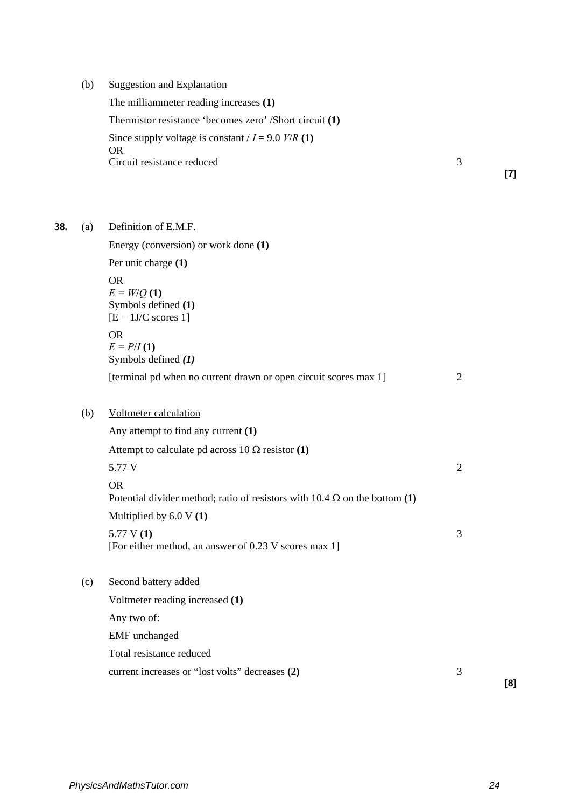(b) Suggestion and Explanation

The milliammeter reading increases **(1)**

Thermistor resistance 'becomes zero' /Short circuit **(1)**

Since supply voltage is constant  $/I = 9.0$  *V/R* (1)

OR Circuit resistance reduced 3

**[7]**

**38.** (a) Definition of E.M.F.

Energy (conversion) or work done **(1)** Per unit charge **(1)** OR  $E = W/Q(1)$ Symbols defined **(1)**  $[E = 1J/C$  scores 1] OR  $E = P/I(1)$ Symbols defined *(1)* [terminal pd when no current drawn or open circuit scores max 1] 2 (b) Voltmeter calculation Any attempt to find any current **(1)** Attempt to calculate pd across  $10 \Omega$  resistor (1) 5.77 V 2 OR Potential divider method; ratio of resistors with  $10.4 \Omega$  on the bottom (1) Multiplied by 6.0 V **(1)** 5.77 V **(1)** 3 [For either method, an answer of 0.23 V scores max 1] (c) Second battery added Voltmeter reading increased **(1)** Any two of: EMF unchanged Total resistance reduced current increases or "lost volts" decreases **(2)** 3

**[8]**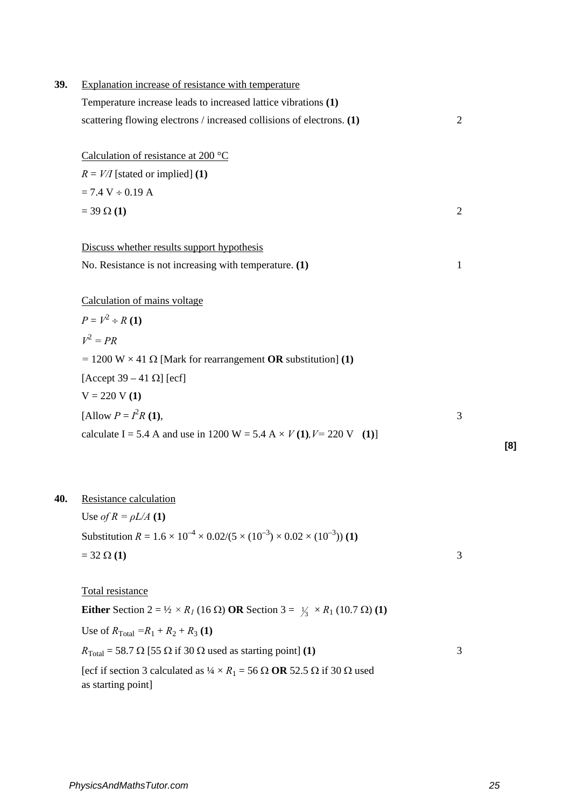| 39. | Explanation increase of resistance with temperature                                                                             |                |
|-----|---------------------------------------------------------------------------------------------------------------------------------|----------------|
|     | Temperature increase leads to increased lattice vibrations (1)                                                                  |                |
|     | scattering flowing electrons / increased collisions of electrons. (1)                                                           | $\overline{2}$ |
|     | Calculation of resistance at 200 $^{\circ}$ C                                                                                   |                |
|     | $R = V/I$ [stated or implied] (1)                                                                                               |                |
|     | $= 7.4 V \div 0.19 A$                                                                                                           |                |
|     | $= 39 \Omega (1)$                                                                                                               | $\overline{2}$ |
|     | Discuss whether results support hypothesis                                                                                      |                |
|     | No. Resistance is not increasing with temperature. (1)                                                                          | $\mathbf{1}$   |
|     | Calculation of mains voltage                                                                                                    |                |
|     | $P = V^2 \div R(1)$                                                                                                             |                |
|     | $V^2 = PR$                                                                                                                      |                |
|     | = 1200 W $\times$ 41 $\Omega$ [Mark for rearrangement <b>OR</b> substitution] (1)                                               |                |
|     | [Accept 39 – 41 $\Omega$ ] [ecf]                                                                                                |                |
|     | $V = 220 V(1)$                                                                                                                  |                |
|     | [Allow $P = I^2 R$ (1),                                                                                                         | 3              |
|     | calculate I = 5.4 A and use in 1200 W = 5.4 A $\times$ V (1), V = 220 V (1)]                                                    |                |
|     |                                                                                                                                 |                |
| 40. | Resistance calculation                                                                                                          |                |
|     | Use of $R = \rho L/A$ (1)                                                                                                       |                |
|     | Substitution $R = 1.6 \times 10^{-4} \times 0.02 / (5 \times (10^{-3}) \times 0.02 \times (10^{-3}))$ (1)                       |                |
|     | $= 32 \Omega (1)$                                                                                                               | 3              |
|     | Total resistance                                                                                                                |                |
|     | <b>Either</b> Section 2 = $\frac{1}{2} \times R_1$ (16 Ω) <b>OR</b> Section 3 = $\frac{1}{3} \times R_1$ (10.7 Ω) (1)           |                |
|     | Use of $R_{\text{Total}} = R_1 + R_2 + R_3$ (1)                                                                                 |                |
|     | $R_{\text{Total}} = 58.7 \Omega$ [55 $\Omega$ if 30 $\Omega$ used as starting point] (1)                                        | 3              |
|     | [ecf if section 3 calculated as $\frac{1}{4} \times R_1 = 56 \Omega$ OR 52.5 $\Omega$ if 30 $\Omega$ used<br>as starting point] |                |

**[8]**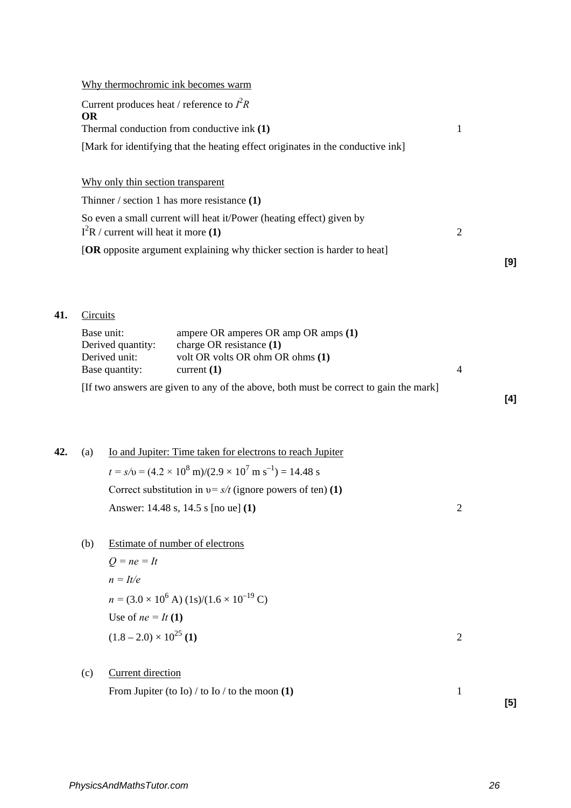### Why thermochromic ink becomes warm

| Current produces heat / reference to $I^2R$<br><b>OR</b>                        |   |
|---------------------------------------------------------------------------------|---|
| Thermal conduction from conductive ink (1)                                      |   |
| [Mark for identifying that the heating effect originates in the conductive ink] |   |
|                                                                                 |   |
| Why only thin section transparent                                               |   |
| Thinner / section 1 has more resistance $(1)$                                   |   |
| So even a small current will heat it/Power (heating effect) given by            |   |
| $I^{2}R/$ current will heat it more (1)                                         | 2 |
| <b>[OR</b> opposite argument explaining why thicker section is harder to heat]  |   |
|                                                                                 |   |

### **41.** Circuits

| Base unit:        | ampere OR amperes OR amp OR amps $(1)$                                                       |  |
|-------------------|----------------------------------------------------------------------------------------------|--|
| Derived quantity: | charge OR resistance $(1)$                                                                   |  |
| Derived unit:     | volt OR volts OR ohm OR ohms (1)                                                             |  |
| Base quantity:    | current $(1)$                                                                                |  |
|                   | $\text{IF}$ two aparrors are given to any of the above looth must be compated goin the mould |  |

[If two answers are given to any of the above, both must be correct to gain the mark]

# **42.** (a) Io and Jupiter: Time taken for electrons to reach Jupiter  $t = s/v = (4.2 \times 10^8 \text{ m})/(2.9 \times 10^7 \text{ m s}^{-1}) = 14.48 \text{ s}$ Correct substitution in υ*= s/t* (ignore powers of ten) **(1)** Answer: 14.48 s, 14.5 s [no ue] **(1)** 2

(b) Estimate of number of electrons

*Q = ne = It n = It/e*  $n = (3.0 \times 10^6 \text{ A}) (1 \text{s})/(1.6 \times 10^{-19} \text{ C})$ Use of  $ne = It(1)$  $(1.8 - 2.0) \times 10^{25}$  (1) 2

(c) Current direction

From Jupiter (to Io) / to Io / to the moon  $(1)$  1

**[5]**

**[4]**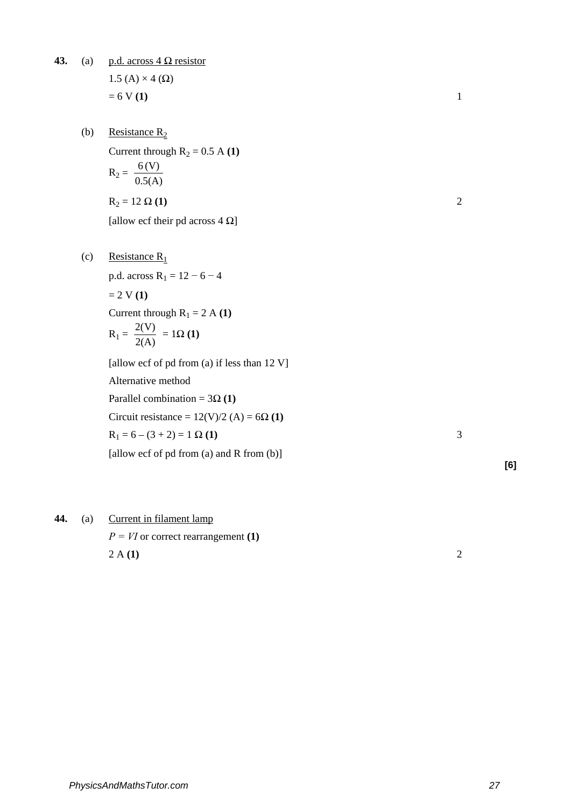**43.** (a) p.d. across  $4 \Omega$  resistor  $1.5$  (A)  $\times$  4 ( $\Omega$ )  $= 6 \text{ V} (1)$  1

- (b) Resistance  $R_2$ Current through  $R_2 = 0.5$  A **(1)**  $R_2 = \frac{6 (V)}{0.5 (A)}$  $R_2 = 12 \Omega (1)$  2 [allow ecf their pd across  $4 \Omega$ ]
	-

(c) Resistance  $R_1$ p.d. across  $R_1 = 12 - 6 - 4$  $= 2 V (1)$ Current through  $R_1 = 2$  A **(1)**  $R_1 = \frac{2(V)}{2(A)} = 1\Omega(1)$ [allow ecf of pd from (a) if less than 12 V] Alternative method Parallel combination =  $3\Omega(1)$ Circuit resistance =  $12(V)/2$  (A) =  $6\Omega(1)$  $R_1 = 6 - (3 + 2) = 1 \Omega(1)$  3 [allow ecf of pd from (a) and R from (b)]

**[6]**

# **44.** (a) Current in filament lamp  $P = VI$  or correct rearrangement **(1)**

2 A **(1)** 2

*PhysicsAndMathsTutor.com 27*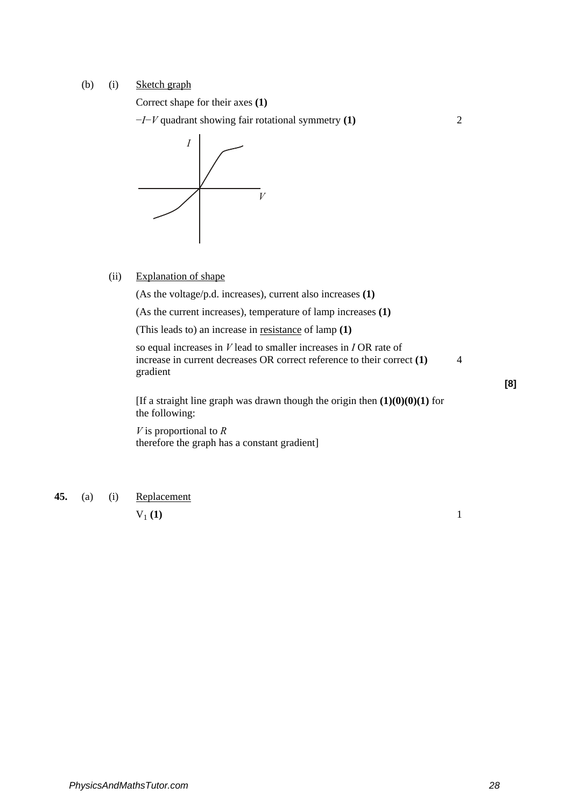### (b) (i) Sketch graph

Correct shape for their axes **(1)** 

−*I*−*V* quadrant showing fair rotational symmetry **(1)** 2

*I V*

(ii) Explanation of shape

(As the voltage/p.d. increases), current also increases **(1)** 

(As the current increases), temperature of lamp increases **(1)** 

(This leads to) an increase in resistance of lamp **(1)** 

so equal increases in *V* lead to smaller increases in *I* OR rate of increase in current decreases OR correct reference to their correct **(1)** 4 gradient

[If a straight line graph was drawn though the origin then  $(1)(0)(0)(1)$  for the following:

*V* is proportional to *R*  therefore the graph has a constant gradient]

**45.** (a) (i) Replacement

 $V_1(1)$  1

**[8]**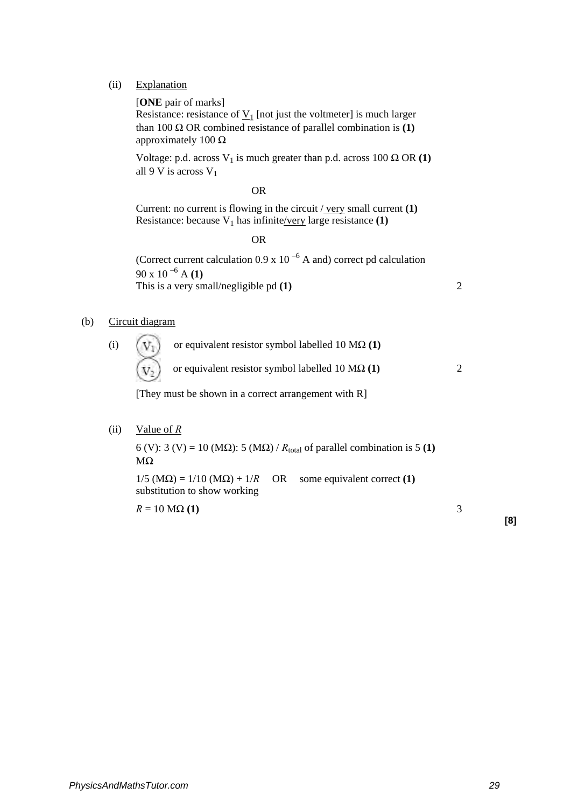(ii) Explanation

[**ONE** pair of marks]

Resistance: resistance of  $\underline{V}_1$  [not just the voltmeter] is much larger than 100 Ω OR combined resistance of parallel combination is  $(1)$ approximately 100  $\Omega$ 

Voltage: p.d. across  $V_1$  is much greater than p.d. across 100  $\Omega$  OR **(1)** all 9 V is across  $V_1$ 

#### **OR** OR

Current: no current is flowing in the circuit / very small current **(1)**  Resistance: because  $V_1$  has infinite/very large resistance  $(1)$ 

**OR** OR

(Correct current calculation  $0.9 \times 10^{-6}$  A and) correct pd calculation 90 x 10 –6 A **(1)** This is a very small/negligible pd **(1)** 2

### (b) Circuit diagram

(i)  $(V<sub>T</sub>)$  or equivalent resistor symbol labelled 10 M $\Omega$  (1) or equivalent resistor symbol labelled 10 MΩ **(1)** 2

[They must be shown in a correct arrangement with R]

(ii) Value of *R*

6 (V): 3 (V) = 10 (M $\Omega$ ): 5 (M $\Omega$ ) /  $R_{\text{total}}$  of parallel combination is 5 (1)  $MΩ$ 

 $1/5$  (M $\Omega$ ) = 1/10 (M $\Omega$ ) + 1/*R* OR some equivalent correct (1) substitution to show working

 $R = 10 \text{ M}\Omega(1)$  3

**[8]**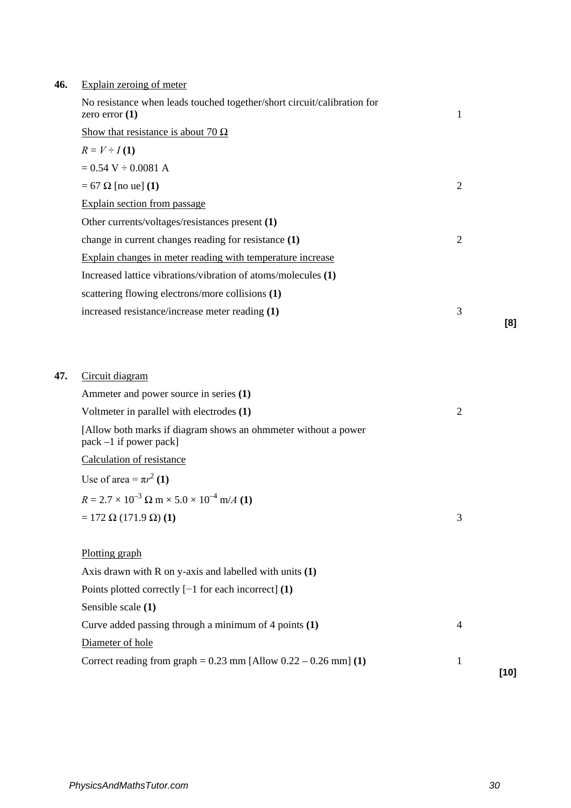| 46. |  | Explain zeroing of meter |
|-----|--|--------------------------|
|     |  |                          |

| No resistance when leads touched together/short circuit/calibration for<br>zero error $(1)$ | 1              |     |
|---------------------------------------------------------------------------------------------|----------------|-----|
| Show that resistance is about 70 $\Omega$                                                   |                |     |
| $R = V \div I(1)$                                                                           |                |     |
| $= 0.54$ V $\div 0.0081$ A                                                                  |                |     |
| $= 67 \Omega$ [no ue] (1)                                                                   | $\overline{2}$ |     |
| Explain section from passage                                                                |                |     |
| Other currents/voltages/resistances present (1)                                             |                |     |
| change in current changes reading for resistance (1)                                        | 2              |     |
| Explain changes in meter reading with temperature increase                                  |                |     |
| Increased lattice vibrations/vibration of atoms/molecules (1)                               |                |     |
| scattering flowing electrons/more collisions (1)                                            |                |     |
| increased resistance/increase meter reading (1)                                             | 3              |     |
|                                                                                             |                | [8] |

| 47. | Circuit diagram |
|-----|-----------------|
|     |                 |
|     |                 |
|     |                 |
|     |                 |
|     |                 |
|     |                 |
|     |                 |
|     |                 |
|     |                 |
|     |                 |

| Ammeter and power source in series (1)                                                      |                |        |
|---------------------------------------------------------------------------------------------|----------------|--------|
| Voltmeter in parallel with electrodes (1)                                                   | $\overline{2}$ |        |
| [Allow both marks if diagram shows an ohmmeter without a power<br>$pack - 1$ if power pack] |                |        |
| Calculation of resistance                                                                   |                |        |
| Use of area = $\pi r^2$ (1)                                                                 |                |        |
| $R = 2.7 \times 10^{-3} \Omega \text{ m} \times 5.0 \times 10^{-4} \text{ m/A}$ (1)         |                |        |
| $= 172 \Omega (171.9 \Omega) (1)$                                                           | 3              |        |
|                                                                                             |                |        |
| Plotting graph                                                                              |                |        |
| Axis drawn with $R$ on y-axis and labelled with units $(1)$                                 |                |        |
| Points plotted correctly $[-1$ for each incorrect] (1)                                      |                |        |
| Sensible scale (1)                                                                          |                |        |
| Curve added passing through a minimum of 4 points $(1)$                                     | $\overline{4}$ |        |
| Diameter of hole                                                                            |                |        |
| Correct reading from graph = $0.23$ mm [Allow $0.22 - 0.26$ mm] (1)                         | 1              | $[10]$ |
|                                                                                             |                |        |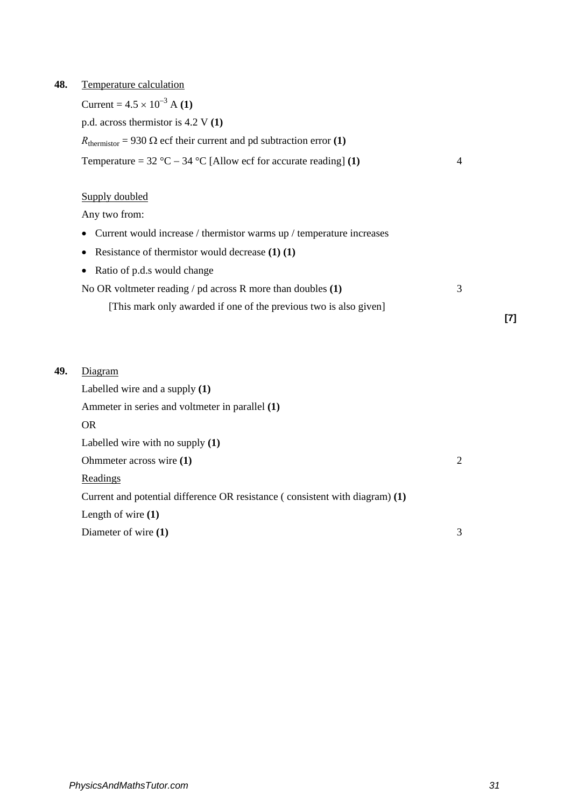**48.** Temperature calculation

Current =  $4.5 \times 10^{-3}$  A **(1)** p.d. across thermistor is 4.2 V **(1)**  $R_{\text{thermistor}} = 930 \Omega$  ecf their current and pd subtraction error (1) Temperature =  $32 \text{ °C} - 34 \text{ °C}$  [Allow ecf for accurate reading] **(1)**  $4$ Supply doubled

Any two from:

- Current would increase / thermistor warms up / temperature increases
- Resistance of thermistor would decrease **(1) (1)**
- Ratio of p.d.s would change No OR voltmeter reading / pd across R more than doubles **(1)** 3
	- [This mark only awarded if one of the previous two is also given]

### **49.** Diagram

Labelled wire and a supply **(1)** Ammeter in series and voltmeter in parallel **(1)** OR Labelled wire with no supply **(1)** Ohmmeter across wire **(1)** 2 Readings Current and potential difference OR resistance ( consistent with diagram) **(1)** Length of wire **(1)** Diameter of wire **(1)** 3 **[7]**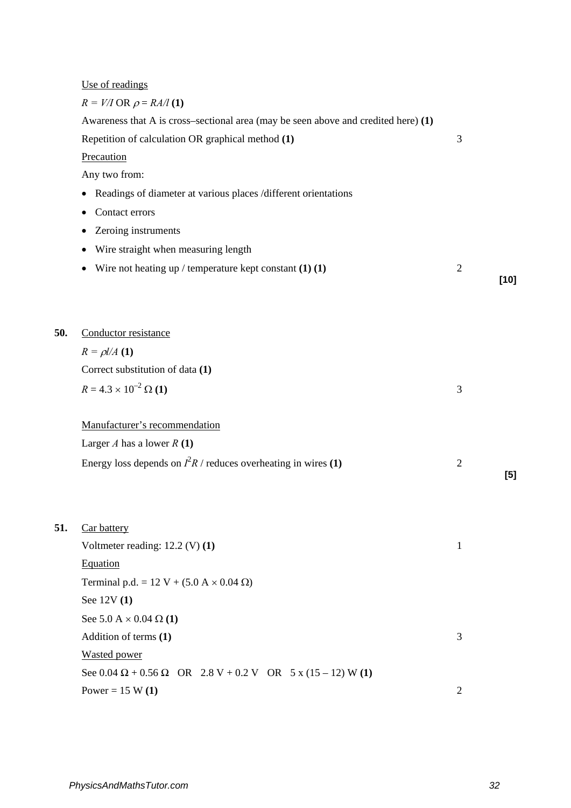# Use of readings

|     | $R = V/I$ OR $\rho = RA/I$ (1)                                                     |                |      |
|-----|------------------------------------------------------------------------------------|----------------|------|
|     | Awareness that A is cross–sectional area (may be seen above and credited here) (1) |                |      |
|     | Repetition of calculation OR graphical method (1)                                  | 3              |      |
|     | Precaution                                                                         |                |      |
|     | Any two from:                                                                      |                |      |
|     | Readings of diameter at various places /different orientations<br>$\bullet$        |                |      |
|     | Contact errors                                                                     |                |      |
|     | Zeroing instruments                                                                |                |      |
|     | Wire straight when measuring length<br>$\bullet$                                   |                |      |
|     | Wire not heating up / temperature kept constant $(1)$ $(1)$<br>$\bullet$           | $\overline{2}$ | [10] |
| 50. | Conductor resistance                                                               |                |      |
|     | $R = \rho l / A$ (1)                                                               |                |      |
|     | Correct substitution of data (1)                                                   |                |      |
|     | $R = 4.3 \times 10^{-2} \,\Omega(1)$                                               | 3              |      |
|     | Manufacturer's recommendation                                                      |                |      |
|     | Larger A has a lower $R(1)$                                                        |                |      |
|     | Energy loss depends on $I^2R$ / reduces overheating in wires (1)                   | $\overline{c}$ |      |
|     |                                                                                    |                | [5]  |
| 51. | <b>Car battery</b>                                                                 |                |      |
|     | Voltmeter reading: $12.2$ (V) (1)                                                  | 1              |      |
|     | Equation                                                                           |                |      |
|     | Terminal p.d. = 12 V + (5.0 A $\times$ 0.04 $\Omega$ )                             |                |      |
|     | See 12V (1)                                                                        |                |      |
|     | See 5.0 A $\times$ 0.04 Ω (1)                                                      |                |      |
|     | Addition of terms (1)                                                              | 3              |      |
|     | <b>Wasted power</b>                                                                |                |      |
|     | See $0.04 \Omega + 0.56 \Omega$ OR $2.8 V + 0.2 V$ OR $5 x (15 - 12) W (1)$        |                |      |
|     | Power = $15 W(1)$                                                                  | $\overline{2}$ |      |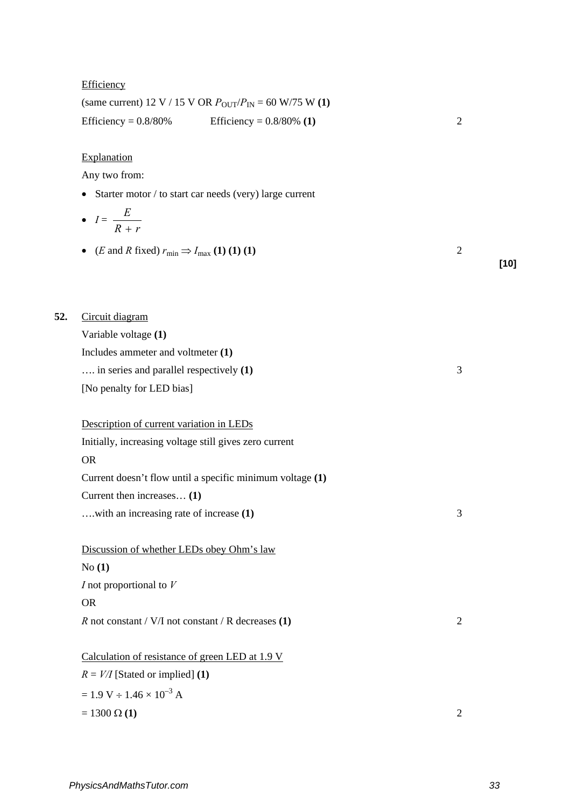|     | Efficiency                                                                               |                                                                                              |                |        |
|-----|------------------------------------------------------------------------------------------|----------------------------------------------------------------------------------------------|----------------|--------|
|     |                                                                                          | (same current) 12 V / 15 V OR $P_{\text{OUT}}/P_{\text{IN}} = 60 \text{ W}/75 \text{ W}$ (1) |                |        |
|     | Efficiency = $0.8/80\%$                                                                  | Efficiency = $0.8/80\%$ (1)                                                                  | $\overline{2}$ |        |
|     | Explanation                                                                              |                                                                                              |                |        |
|     | Any two from:                                                                            |                                                                                              |                |        |
|     |                                                                                          | • Starter motor / to start car needs (very) large current                                    |                |        |
|     | • $I = \frac{E}{R+r}$                                                                    |                                                                                              |                |        |
|     | • ( <i>E</i> and <i>R</i> fixed) $r_{\text{min}} \Rightarrow I_{\text{max}}$ (1) (1) (1) |                                                                                              | $\overline{2}$ | $[10]$ |
| 52. | Circuit diagram                                                                          |                                                                                              |                |        |
|     | Variable voltage (1)                                                                     |                                                                                              |                |        |
|     | Includes ammeter and voltmeter (1)                                                       |                                                                                              |                |        |
|     | in series and parallel respectively (1)                                                  |                                                                                              | 3              |        |
|     | [No penalty for LED bias]                                                                |                                                                                              |                |        |
|     | Description of current variation in LEDs                                                 |                                                                                              |                |        |
|     | Initially, increasing voltage still gives zero current                                   |                                                                                              |                |        |
|     | <b>OR</b>                                                                                |                                                                                              |                |        |
|     |                                                                                          | Current doesn't flow until a specific minimum voltage (1)                                    |                |        |
|     | Current then increases (1)                                                               |                                                                                              |                |        |
|     | with an increasing rate of increase (1)                                                  |                                                                                              | 3              |        |
|     | Discussion of whether LEDs obey Ohm's law                                                |                                                                                              |                |        |
|     | No(1)                                                                                    |                                                                                              |                |        |
|     | $I$ not proportional to $V$                                                              |                                                                                              |                |        |
|     | <b>OR</b>                                                                                |                                                                                              |                |        |
|     | $R$ not constant / V/I not constant / R decreases (1)                                    |                                                                                              | $\overline{2}$ |        |
|     | Calculation of resistance of green LED at 1.9 V                                          |                                                                                              |                |        |
|     | $R = V/I$ [Stated or implied] (1)                                                        |                                                                                              |                |        |
|     | $= 1.9 V \div 1.46 \times 10^{-3} A$                                                     |                                                                                              |                |        |
|     | $= 1300 \Omega (1)$                                                                      |                                                                                              | 2              |        |
|     |                                                                                          |                                                                                              |                |        |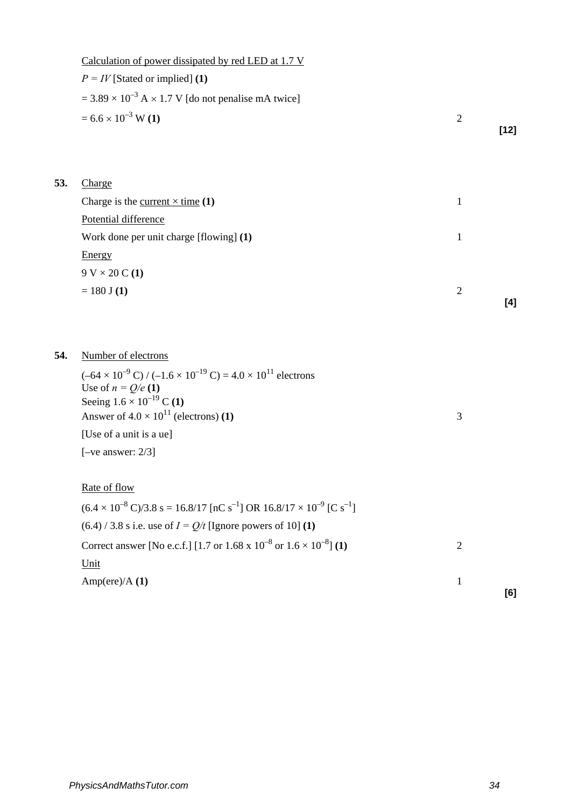|     | Calculation of power dissipated by red LED at 1.7 V                                                                                        |                |        |
|-----|--------------------------------------------------------------------------------------------------------------------------------------------|----------------|--------|
|     | $P = IV$ [Stated or implied] (1)                                                                                                           |                |        |
|     | $= 3.89 \times 10^{-3}$ A $\times$ 1.7 V [do not penalise mA twice]                                                                        |                |        |
|     | $= 6.6 \times 10^{-3}$ W (1)                                                                                                               | $\overline{2}$ |        |
|     |                                                                                                                                            |                | $[12]$ |
|     |                                                                                                                                            |                |        |
| 53. | Charge                                                                                                                                     |                |        |
|     | Charge is the <u>current <math>\times</math> time</u> (1)                                                                                  | 1              |        |
|     | Potential difference                                                                                                                       |                |        |
|     | Work done per unit charge [flowing] (1)                                                                                                    | $\mathbf{1}$   |        |
|     | Energy                                                                                                                                     |                |        |
|     | $9 V \times 20 C (1)$                                                                                                                      |                |        |
|     | $= 180$ J (1)                                                                                                                              | $\mathfrak{2}$ |        |
|     |                                                                                                                                            |                | [4]    |
|     |                                                                                                                                            |                |        |
| 54. | Number of electrons                                                                                                                        |                |        |
|     |                                                                                                                                            |                |        |
|     | $(-64 \times 10^{-9} \text{ C}) / (-1.6 \times 10^{-19} \text{ C}) = 4.0 \times 10^{11}$ electrons<br>Use of $n = Q/e(1)$                  |                |        |
|     | Seeing $1.6 \times 10^{-19}$ C (1)                                                                                                         |                |        |
|     | Answer of $4.0 \times 10^{11}$ (electrons) (1)                                                                                             | 3              |        |
|     | [Use of a unit is a ue]                                                                                                                    |                |        |
|     | $[-ve answer: 2/3]$                                                                                                                        |                |        |
|     |                                                                                                                                            |                |        |
|     | Rate of flow                                                                                                                               |                |        |
|     | $(6.4 \times 10^{-8} \text{ C})/3.8 \text{ s} = 16.8/17 \text{ [nC s}^{-1} \text{] OR } 16.8/17 \times 10^{-9} \text{ [C s}^{-1} \text{]}$ |                |        |
|     | $(6.4)$ / 3.8 s i.e. use of $I = Q/t$ [Ignore powers of 10] (1)                                                                            |                |        |
|     | Correct answer [No e.c.f.] [1.7 or 1.68 x $10^{-8}$ or $1.6 \times 10^{-8}$ ] (1)                                                          | $\mathfrak{2}$ |        |
|     | Unit                                                                                                                                       |                |        |
|     | Amp(ere)/A(1)                                                                                                                              | $\mathbf{1}$   |        |
|     |                                                                                                                                            |                | [6]    |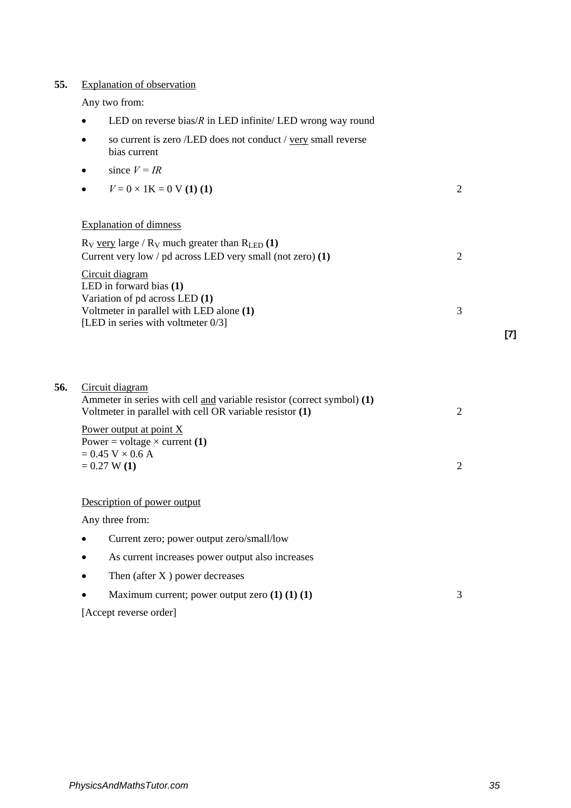# **55.** Explanation of observation

Any two from:

|  |  |  |  | LED on reverse bias/ $R$ in LED infinite/ LED wrong way round |
|--|--|--|--|---------------------------------------------------------------|
|--|--|--|--|---------------------------------------------------------------|

- so current is zero /LED does not conduct / <u>very</u> small reverse bias current
- since  $V = IR$
- $V = 0 \times 1$ K = 0 V **(1)** (1) 2

## Explanation of dimness

| $R_V$ very large / $R_V$ much greater than $R_{LED}$ (1)     |  |
|--------------------------------------------------------------|--|
| Current very low / $pd$ across LED very small (not zero) (1) |  |
| Circuit diagram                                              |  |
| LED in forward bias $(1)$                                    |  |
| Variation of $pd$ across LED $(1)$                           |  |
| Voltmeter in parallel with LED alone (1)                     |  |
| [LED in series with voltmeter $0/3$ ]                        |  |

| 56. | Circuit diagram<br>Ammeter in series with cell and variable resistor (correct symbol) (1)<br>Voltmeter in parallel with cell OR variable resistor (1) | 2 |
|-----|-------------------------------------------------------------------------------------------------------------------------------------------------------|---|
|     | Power output at point $X$<br>Power = voltage $\times$ current (1)<br>$= 0.45$ V $\times$ 0.6 A                                                        |   |
|     | $= 0.27 W(1)$                                                                                                                                         | 2 |
|     | Description of power output<br>Any three from:                                                                                                        |   |
|     | Current zero; power output zero/small/low                                                                                                             |   |
|     | As current increases power output also increases<br>$\bullet$                                                                                         |   |
|     | Then (after $X$ ) power decreases<br>٠                                                                                                                |   |
|     | Maximum current; power output zero $(1) (1) (1)$                                                                                                      | 3 |
|     | [Accept reverse order]                                                                                                                                |   |

**[7]**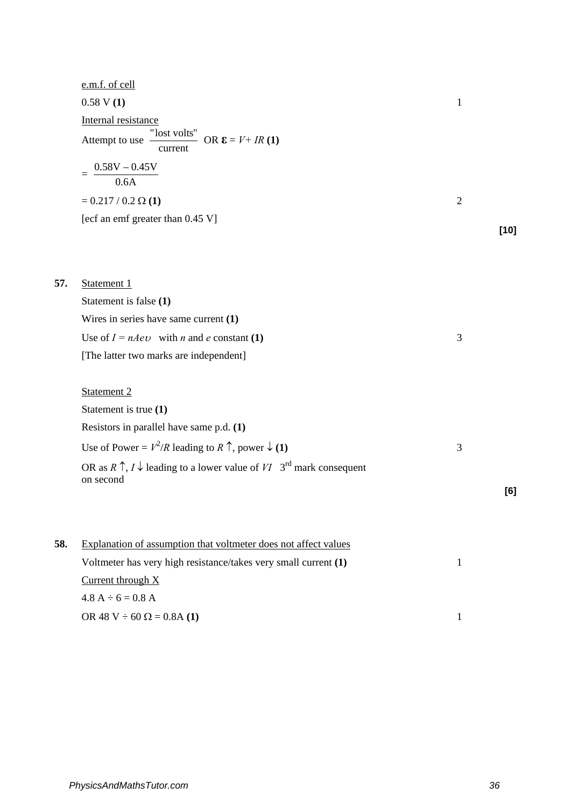|     | e.m.f. of cell                                                                                                    |                |        |
|-----|-------------------------------------------------------------------------------------------------------------------|----------------|--------|
|     | 0.58 V(1)                                                                                                         | $\mathbf{1}$   |        |
|     | Internal resistance                                                                                               |                |        |
|     | Attempt to use $\frac{''\text{lost volts}''}{''}$ OR $\epsilon = V + IR$ (1)<br>current                           |                |        |
|     | $=\frac{0.58V - 0.45V}{0.6A}$                                                                                     |                |        |
|     | $= 0.217 / 0.2 \Omega(1)$                                                                                         | $\overline{2}$ |        |
|     | [ecf an emf greater than 0.45 V]                                                                                  |                |        |
|     |                                                                                                                   |                | $[10]$ |
|     |                                                                                                                   |                |        |
| 57. | Statement 1                                                                                                       |                |        |
|     | Statement is false (1)                                                                                            |                |        |
|     | Wires in series have same current $(1)$                                                                           |                |        |
|     | Use of $I = nAev$ with <i>n</i> and <i>e</i> constant (1)                                                         | 3              |        |
|     | [The latter two marks are independent]                                                                            |                |        |
|     |                                                                                                                   |                |        |
|     | Statement 2                                                                                                       |                |        |
|     | Statement is true (1)                                                                                             |                |        |
|     | Resistors in parallel have same p.d. (1)                                                                          |                |        |
|     | Use of Power = $V^2/R$ leading to R $\uparrow$ , power $\downarrow$ (1)                                           | 3              |        |
|     | OR as $R \uparrow$ , $I \downarrow$ leading to a lower value of $VI$ 3 <sup>rd</sup> mark consequent<br>on second |                |        |
|     |                                                                                                                   |                | [6]    |
|     |                                                                                                                   |                |        |
| 58. | Explanation of assumption that voltmeter does not affect values                                                   |                |        |
|     | Voltmeter has very high resistance/takes very small current (1)                                                   | 1              |        |
|     | Current through $X$                                                                                               |                |        |
|     | $4.8 A \div 6 = 0.8 A$                                                                                            |                |        |

OR 48 V ÷ 60  $\Omega$  = 0.8A **(1)** 1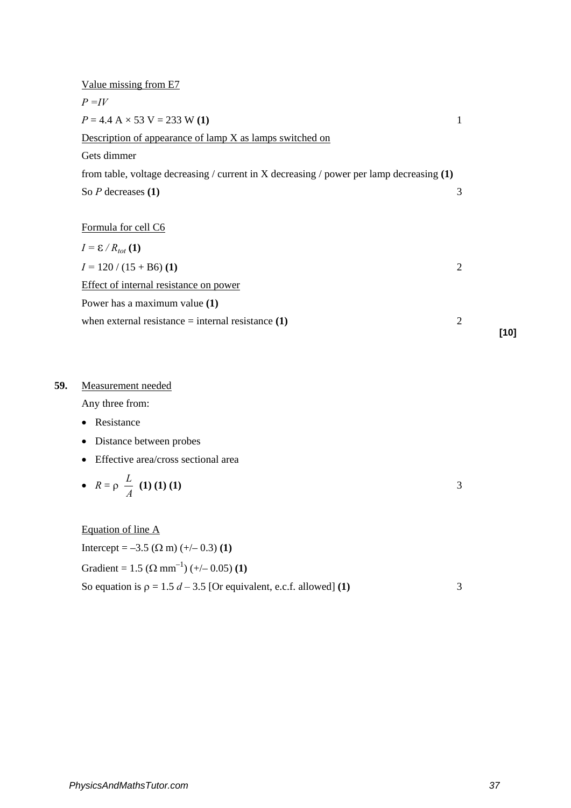| Value missing from E7                                                                      |                |      |
|--------------------------------------------------------------------------------------------|----------------|------|
| $P = IV$                                                                                   |                |      |
| $P = 4.4$ A $\times$ 53 V = 233 W (1)                                                      | 1              |      |
| Description of appearance of lamp X as lamps switched on                                   |                |      |
| Gets dimmer                                                                                |                |      |
| from table, voltage decreasing / current in X decreasing / power per lamp decreasing $(1)$ |                |      |
| So $P$ decreases $(1)$                                                                     | 3              |      |
|                                                                                            |                |      |
| Formula for cell C6                                                                        |                |      |
| $I = \mathcal{E}/R_{tot}$ (1)                                                              |                |      |
| $I = 120 / (15 + B6)$ (1)                                                                  | $\overline{2}$ |      |
| Effect of internal resistance on power                                                     |                |      |
| Power has a maximum value (1)                                                              |                |      |
| when external resistance $=$ internal resistance $(1)$                                     | 2              |      |
|                                                                                            |                | [10] |

## **59.** Measurement needed

Any three from:

- Resistance
- Distance between probes
- Effective area/cross sectional area

• 
$$
R = \rho \frac{L}{A}
$$
 (1) (1) (1)

Equation of line A Intercept =  $-3.5$  (Ω m) (+/- 0.3) (1) Gradient =  $1.5$  ( $\Omega$  mm<sup>-1</sup>) (+/- 0.05) (1) So equation is  $\rho = 1.5 d - 3.5$  [Or equivalent, e.c.f. allowed] **(1)** 3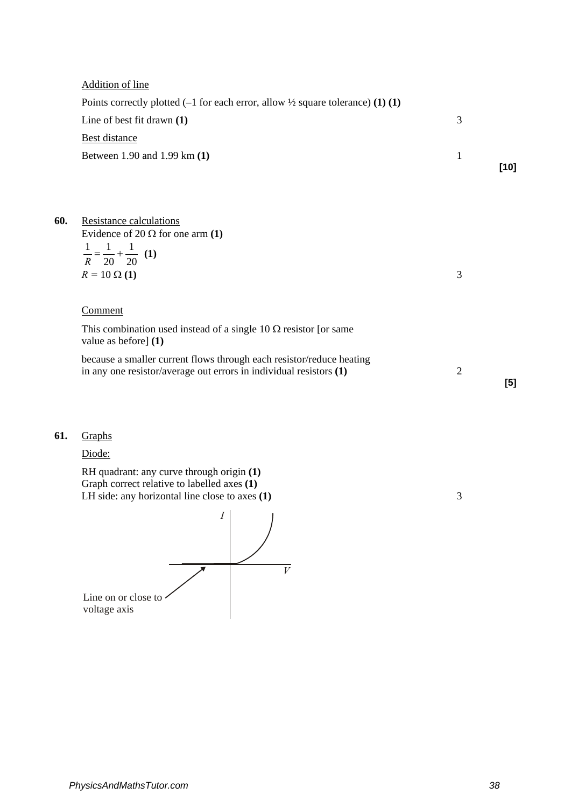|     | <b>Addition of line</b>                                                                                                                    |                |        |
|-----|--------------------------------------------------------------------------------------------------------------------------------------------|----------------|--------|
|     | Points correctly plotted $(-1$ for each error, allow $\frac{1}{2}$ square tolerance) (1) (1)                                               |                |        |
|     | Line of best fit drawn $(1)$                                                                                                               | 3              |        |
|     | <b>Best distance</b>                                                                                                                       |                |        |
|     | Between 1.90 and 1.99 km (1)                                                                                                               | 1              | $[10]$ |
|     |                                                                                                                                            |                |        |
| 60. | Resistance calculations<br>Evidence of 20 $\Omega$ for one arm (1)                                                                         |                |        |
|     | $\frac{1}{R} = \frac{1}{20} + \frac{1}{20}$ (1)                                                                                            |                |        |
|     | $R = 10 \Omega(1)$                                                                                                                         | 3              |        |
|     | Comment                                                                                                                                    |                |        |
|     | This combination used instead of a single 10 $\Omega$ resistor [or same<br>value as before] (1)                                            |                |        |
|     | because a smaller current flows through each resistor/reduce heating<br>in any one resistor/average out errors in individual resistors (1) | $\overline{2}$ | [5]    |
|     |                                                                                                                                            |                |        |

## **61.** Graphs

Diode:

RH quadrant: any curve through origin **(1)** Graph correct relative to labelled axes **(1)**  LH side: any horizontal line close to axes (1) 3

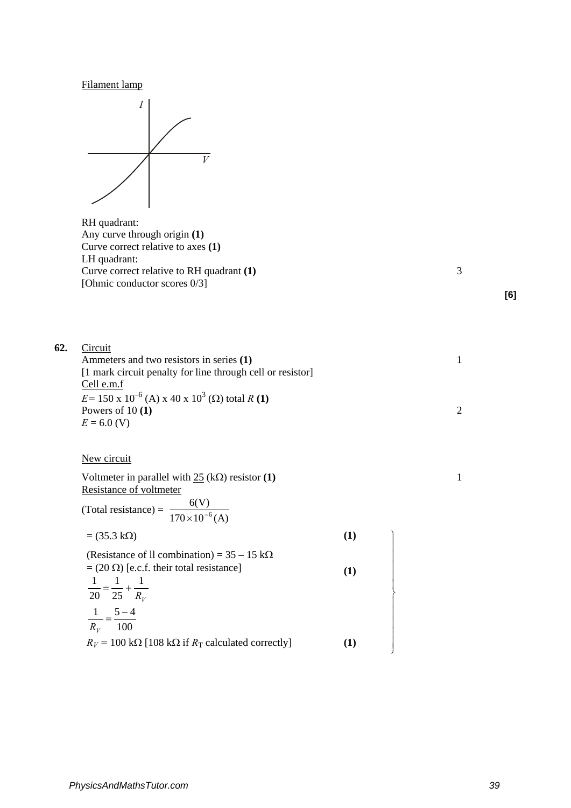Filament lamp



RH quadrant: Any curve through origin **(1)** Curve correct relative to axes **(1)**  LH quadrant: Curve correct relative to RH quadrant **(1)** 3 [Ohmic conductor scores 0/3]

**[6]**

| 62. | Circuit                                                                  |     |   |
|-----|--------------------------------------------------------------------------|-----|---|
|     | Ammeters and two resistors in series (1)                                 |     | 1 |
|     | [1 mark circuit penalty for line through cell or resistor]<br>Cell e.m.f |     |   |
|     | $E = 150 \times 10^{-6}$ (A) x 40 x 10 <sup>3</sup> (Ω) total R (1)      |     |   |
|     | Powers of $10(1)$                                                        |     | 2 |
|     | $E = 6.0$ (V)                                                            |     |   |
|     |                                                                          |     |   |
|     | New circuit                                                              |     |   |
|     | Voltmeter in parallel with $25$ (k $\Omega$ ) resistor (1)               |     | 1 |
|     | Resistance of voltmeter                                                  |     |   |
|     | (Total resistance) = $\frac{6(V)}{170 \times 10^{-6} (A)}$               |     |   |
|     | $= (35.3 \text{ k}\Omega)$                                               | (1) |   |
|     | (Resistance of Il combination) = $35 - 15 \text{ k}\Omega$               |     |   |
|     | $= (20 \Omega)$ [e.c.f. their total resistance]                          | (1) |   |
|     |                                                                          |     |   |
|     | $\frac{1}{20} = \frac{1}{25} + \frac{1}{R_V}$                            |     |   |
|     | $\frac{1}{2} = \frac{5-4}{3}$                                            |     |   |
|     | $R_V$ 100                                                                |     |   |
|     |                                                                          |     |   |

 $R_V$  = 100 kΩ [108 kΩ if  $R_T$  calculated correctly] **(1)**  $\downarrow$ 

J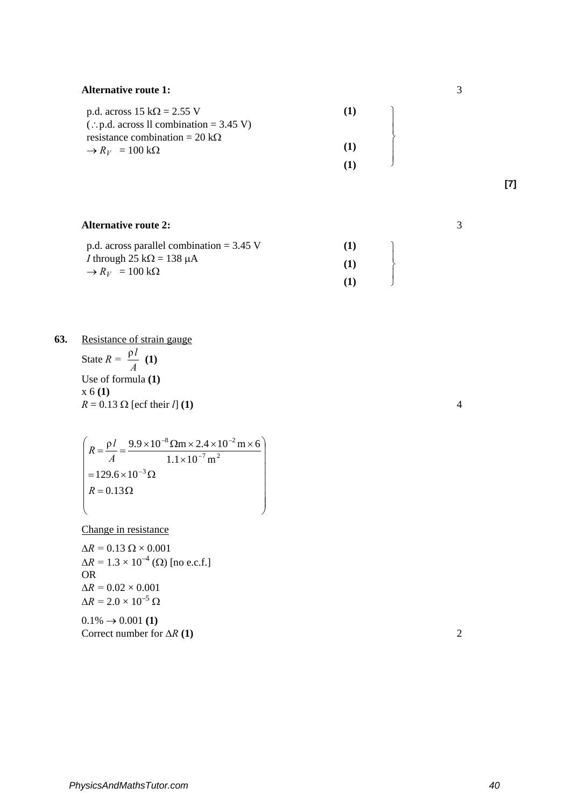### **Alternative route 1:**

| p.d. across $15 k\Omega = 2.55 V$                 | $\mathbf{I}$ |
|---------------------------------------------------|--------------|
| $\therefore$ p.d. across ll combination = 3.45 V) |              |
| resistance combination = 20 k $\Omega$            |              |
| $\rightarrow R_V = 100 \text{ k}\Omega$           | (1)          |
|                                                   |              |

 $\begin{bmatrix} 1 \\ 1 \\ 1 \\ 1 \end{bmatrix}$ 

# **[7]**

### **Alternative route 2:** p.d. across parallel combination = 3.45 V *I* through 25 k $\Omega$  = 138 µA  $\rightarrow R_V = 100 \text{ k}\Omega$ **(1) (1) (1)**   $\begin{array}{c} \n\end{array}$

**63.** Resistance of strain gauge State  $R = \frac{\rho l}{A}$  (1) Use of formula **(1)**  x 6 **(1)**  $R = 0.13 \Omega$  [ecf their *l*] **(1)** 4

 $\begin{picture}(22,20) \put(0,0){\vector(1,0){10}} \put(15,0){\vector(1,0){10}} \put(15,0){\vector(1,0){10}} \put(15,0){\vector(1,0){10}} \put(15,0){\vector(1,0){10}} \put(15,0){\vector(1,0){10}} \put(15,0){\vector(1,0){10}} \put(15,0){\vector(1,0){10}} \put(15,0){\vector(1,0){10}} \put(15,0){\vector(1,0){10}} \put(15,0){\vector(1,0){10}} \put(15,0){\vector(1$   $R = 0.13 \Omega$  $=129.6\times10^{-3} \Omega$ ×  $=\frac{\rho l}{r}=\frac{9.9\times10^{-8}\Omega m\times2.4\times10^{-2} m\times10^{-2} m\times10^{-2} m\times10^{-2} m\times10^{-2} m\times10^{-2} m\times10^{-2} m\times10^{-2} m\times10^{-2} m\times10^{-2} m\times10^{-2} m\times10^{-2} m\times10^{-2} m\times10^{-2} m\times10^{-2} m\times10^{-2} m\times10^{-2} m\times10^{-2} m\times10^{-2} m\times10^{-2} m\times10^{-2} m\times10^{-2} m\times10^{-2} m\times10^{-2} m$  $129.6 \times 10$  $1.1 \times 10^{-7}$  m  $\rho l = 9.9 \times 10^{-8} \Omega m \times 2.4 \times 10^{-2} m \times 6$ 3–  $-7$   $\sim$  2  $R = \frac{\rho l}{A} = \frac{9.9 \times 10^{-8} \,\Omega \text{m} \times 2.4 \times 10^{-2}}{1.1 \times 10^{-7} \,\text{m}^2}$ 

Change in resistance

 $\Delta R = 0.13 \Omega \times 0.001$  $\Delta R = 1.3 \times 10^{-4}$  (Ω) [no e.c.f.] OR $\Delta R = 0.02 \times 0.001$  $\Delta R = 2.0 \times 10^{-5} \Omega$  $0.1\% \rightarrow 0.001(1)$ Correct number for  $\Delta R$  (1) ∆*R* **(1)** 2

3

3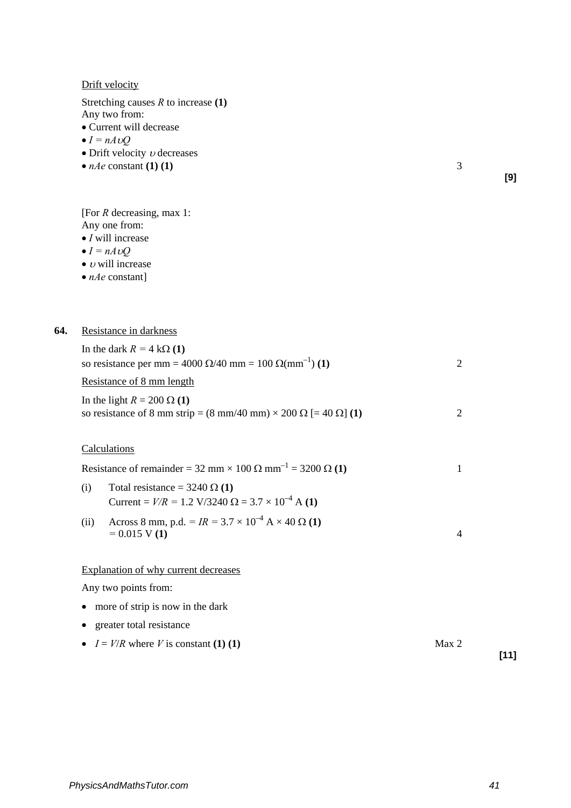Drift velocity

Stretching causes *R* to increase **(1)** 

Any two from:

- Current will decrease
- $I = nA \nu O$
- Drift velocity  $\nu$  decreases
- *nAe* constant **(1) (1)** 3

**[9]**

[For *R* decreasing, max 1:

- Any one from: • *I* will increase
- 
- $I = nA \cup Q$
- $\bullet$  *v* will increase
- *nAe* constant]

| 64. | Resistance in darkness                                                                                                                  |   |
|-----|-----------------------------------------------------------------------------------------------------------------------------------------|---|
|     | In the dark $R = 4 k\Omega(1)$<br>so resistance per mm = 4000 Ω/40 mm = 100 Ω(mm <sup>-1</sup> ) (1)                                    | 2 |
|     | Resistance of 8 mm length                                                                                                               |   |
|     | In the light $R = 200 \Omega(1)$<br>so resistance of 8 mm strip = $(8 \text{ mm}/40 \text{ mm}) \times 200 \Omega$ [= 40 $\Omega$ ] (1) | 2 |
|     | Calculations                                                                                                                            |   |
|     | Resistance of remainder = 32 mm × 100 $\Omega$ mm <sup>-1</sup> = 3200 $\Omega$ (1)                                                     |   |
|     | Total resistance = $3240 \Omega(1)$<br>(i)<br>Current = $V/R = 1.2 \text{ V}/3240 \Omega = 3.7 \times 10^{-4} \text{ A (1)}$            |   |
|     |                                                                                                                                         |   |

(ii) Across 8 mm, p.d.  $= IR = 3.7 \times 10^{-4} \text{ A} \times 40 \Omega(1)$  $= 0.015 \text{ V} (1)$  4

Explanation of why current decreases

Any two points from:

- more of strip is now in the dark
- greater total resistance
- $I = V/R$  where *V* is constant **(1) (1)** Max 2 **[11]**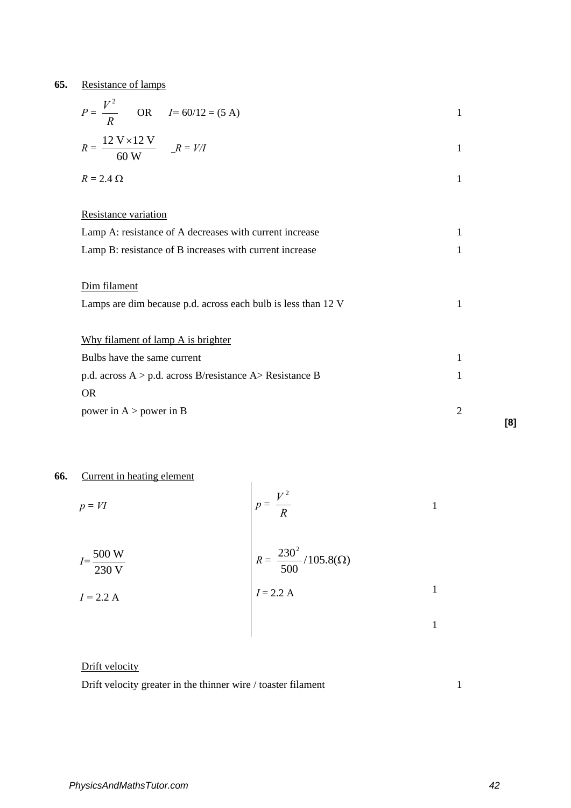**65.** Resistance of lamps

| $P = \frac{V^2}{R}$ OR $I = 60/12 = (5 \text{ A})$                    | 1 |
|-----------------------------------------------------------------------|---|
| $R = \frac{12 \text{ V} \times 12 \text{ V}}{60 \text{ W}}$ $R = V/I$ | 1 |
| $R = 2.4 \Omega$                                                      | 1 |
|                                                                       |   |
| Resistance variation                                                  |   |
| Lamp A: resistance of A decreases with current increase               | 1 |
| Lamp B: resistance of B increases with current increase               |   |
|                                                                       |   |
| Dim filament                                                          |   |
| Lamps are dim because p.d. across each bulb is less than 12 V         |   |
|                                                                       |   |
| Why filament of lamp A is brighter                                    |   |
| Bulbs have the same current                                           |   |
| p.d. across $A > p.d.$ across B/resistance $A >$ Resistance B         |   |
| <b>OR</b>                                                             |   |
|                                                                       |   |
| power in $A >$ power in B                                             | 2 |
|                                                                       |   |

## **66.** Current in heating element

| $\epsilon$ and the measure $\epsilon$ of $\epsilon$ and $\epsilon$ |                                                                  |  |
|--------------------------------------------------------------------|------------------------------------------------------------------|--|
| $p = VI$                                                           | $V^2$<br>$\boldsymbol{p}$<br>$=$ $\rightarrow$<br>$\overline{R}$ |  |
| $I = \frac{500 \text{ W}}{}$<br>230 V                              | $R = \frac{230^2}{500} / 105.8(\Omega)$                          |  |
| $I = 2.2 A$                                                        | $I = 2.2 A$                                                      |  |
|                                                                    |                                                                  |  |

## Drift velocity

Drift velocity greater in the thinner wire / toaster filament 1

**[8]**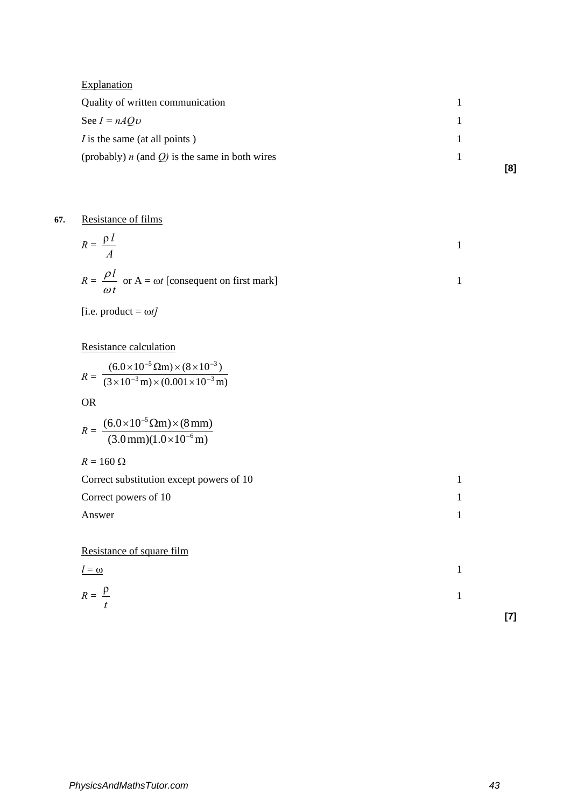| Explanation                                         |     |
|-----------------------------------------------------|-----|
| Quality of written communication                    |     |
| See $I = nAQv$                                      |     |
| <i>I</i> is the same (at all points)                |     |
| (probably) $n$ (and $Q$ ) is the same in both wires |     |
|                                                     | [8] |

## **67.** Resistance of films

$$
R = \frac{\rho l}{A}
$$
  
1  

$$
R = \frac{\rho l}{\omega t}
$$
 or A =  $\omega t$  [consequent on first mark]

 $[i.e. product = \omega t]$ 

Resistance calculation

$$
R = \frac{(6.0 \times 10^{-5} \,\Omega \text{m}) \times (8 \times 10^{-3})}{(3 \times 10^{-3} \,\text{m}) \times (0.001 \times 10^{-3} \,\text{m})}
$$

OR

$$
R = \frac{(6.0 \times 10^{-5} \Omega \text{m}) \times (8 \text{ mm})}{(3.0 \text{ mm})(1.0 \times 10^{-6} \text{ m})}
$$

 $R = 160 \Omega$ 

| Correct substitution except powers of 10 |  |
|------------------------------------------|--|
| Correct powers of 10                     |  |
| Answer                                   |  |

Resistance of square film

$$
\frac{l=\omega}{\rho}
$$

$$
R = \frac{\rho}{t}
$$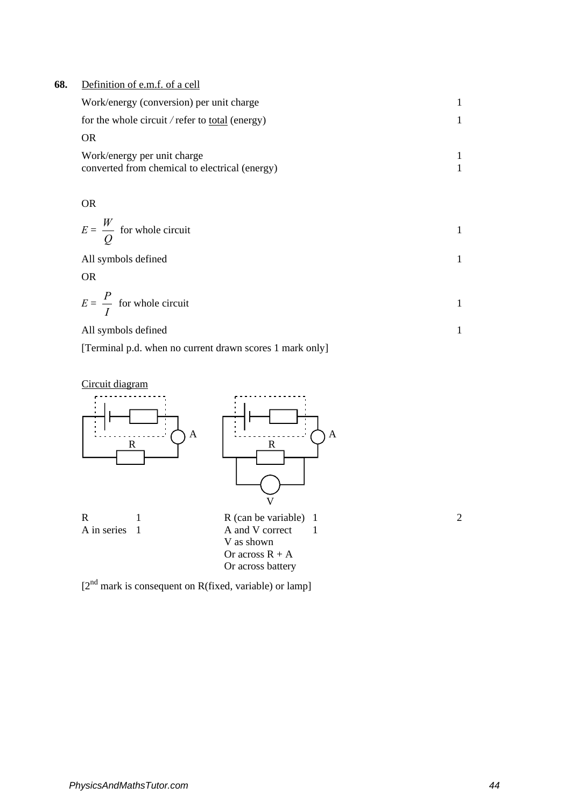## **68.** Definition of e.m.f. of a cell

| Work/energy (conversion) per unit charge               |  |
|--------------------------------------------------------|--|
| for the whole circuit / refer to <u>total</u> (energy) |  |
| OR                                                     |  |
| Work/energy per unit charge                            |  |
| converted from chemical to electrical (energy)         |  |

OR

$$
E = \frac{W}{Q}
$$
 for whole circuit

All symbols defined 1

OR

$$
E = \frac{P}{I}
$$
 for whole circuit

All symbols defined 1

[Terminal p.d. when no current drawn scores 1 mark only]





[2<sup>nd</sup> mark is consequent on R(fixed, variable) or lamp]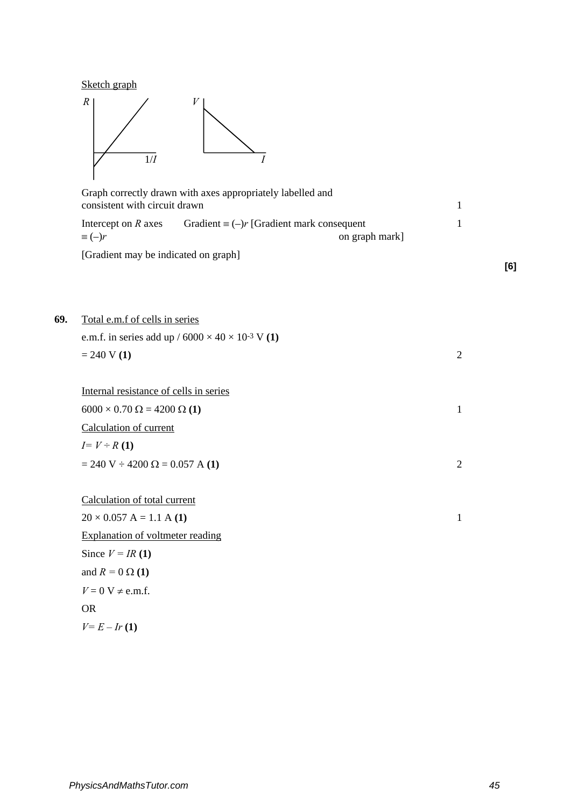

**69.** 



|                               | Graph correctly drawn with axes appropriately labelled and |  |
|-------------------------------|------------------------------------------------------------|--|
| consistent with circuit drawn |                                                            |  |
| Intercept on R axes           | Gradient $\equiv (-)r$ [Gradient mark consequent           |  |
| $\equiv (-)r$                 | on graph mark]                                             |  |

[Gradient may be indicated on graph]

**[6]**

| Total e.m.f of cells in series                                  |                |
|-----------------------------------------------------------------|----------------|
| e.m.f. in series add up / $6000 \times 40 \times 10^{-3}$ V (1) |                |
| $= 240 V(1)$                                                    | $\overline{2}$ |
|                                                                 |                |
| Internal resistance of cells in series                          |                |
| $6000 \times 0.70 \Omega = 4200 \Omega (1)$                     | 1              |
| Calculation of current                                          |                |
| $I = V \div R(1)$                                               |                |
| $= 240$ V $\div 4200$ $\Omega = 0.057$ A (1)                    | 2              |
|                                                                 |                |
| Calculation of total current                                    |                |
| $20 \times 0.057$ A = 1.1 A (1)                                 | $\mathbf{1}$   |
| <b>Explanation of voltmeter reading</b>                         |                |
| Since $V = IR(1)$                                               |                |
| and $R = 0 \Omega(1)$                                           |                |
| $V = 0$ V $\neq$ e.m.f.                                         |                |
| <b>OR</b>                                                       |                |
| $V = E - Ir(1)$                                                 |                |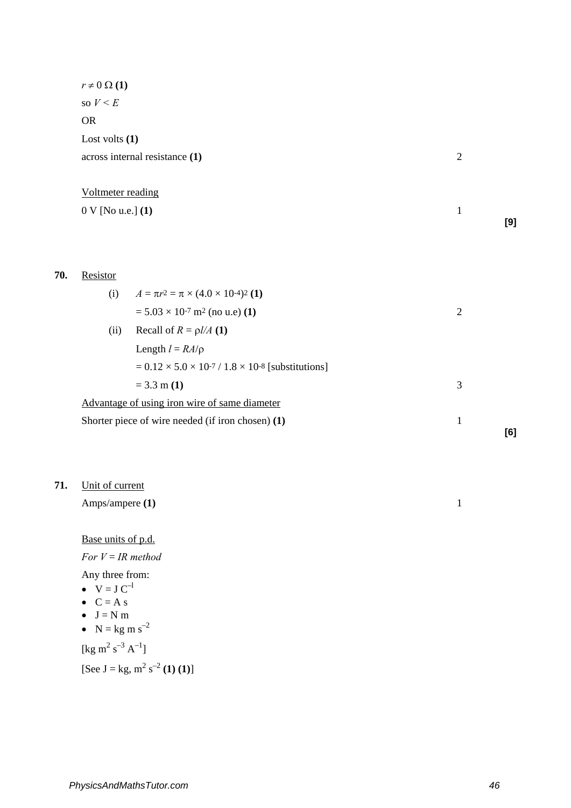|     | $r \neq 0 \Omega(1)$  |                                                                         |                |     |
|-----|-----------------------|-------------------------------------------------------------------------|----------------|-----|
|     | so $V \leq E$         |                                                                         |                |     |
|     | <b>OR</b>             |                                                                         |                |     |
|     | Lost volts $(1)$      |                                                                         |                |     |
|     |                       | across internal resistance (1)                                          | $\overline{2}$ |     |
|     |                       |                                                                         |                |     |
|     | Voltmeter reading     |                                                                         |                |     |
|     | $0 V$ [No u.e.] $(1)$ |                                                                         | $\mathbf{1}$   |     |
|     |                       |                                                                         |                | [9] |
|     |                       |                                                                         |                |     |
|     |                       |                                                                         |                |     |
| 70. | Resistor              |                                                                         |                |     |
|     | (i)                   | $A = \pi r^2 = \pi \times (4.0 \times 10^{-4})^2$ (1)                   |                |     |
|     |                       | $= 5.03 \times 10^{-7}$ m <sup>2</sup> (no u.e) (1)                     | $\overline{2}$ |     |
|     | (ii)                  | Recall of $R = \rho l/A$ (1)                                            |                |     |
|     |                       | Length $l = RA/\rho$                                                    |                |     |
|     |                       | $= 0.12 \times 5.0 \times 10^{-7} / 1.8 \times 10^{-8}$ [substitutions] |                |     |
|     |                       | $= 3.3$ m (1)                                                           | 3              |     |
|     |                       | Advantage of using iron wire of same diameter                           |                |     |
|     |                       | Shorter piece of wire needed (if iron chosen) (1)                       | $\mathbf{1}$   |     |
|     |                       |                                                                         |                | [6] |

**71.** Unit of current

| Amps/ampere $(1)$ |  |  |
|-------------------|--|--|
|                   |  |  |
|                   |  |  |

Base units of p.d. *For V* = *IR method*

- Any three from:
- $V = J C^{-1}$
- $\bullet$   $C = A s$
- $\bullet$  J = N m
- $N = kg m s^{-2}$

[kg m<sup>2</sup> s<sup>-3</sup> A<sup>-1</sup>]

 $[See J = kg, m<sup>2</sup> s<sup>-2</sup> (1) (1)]$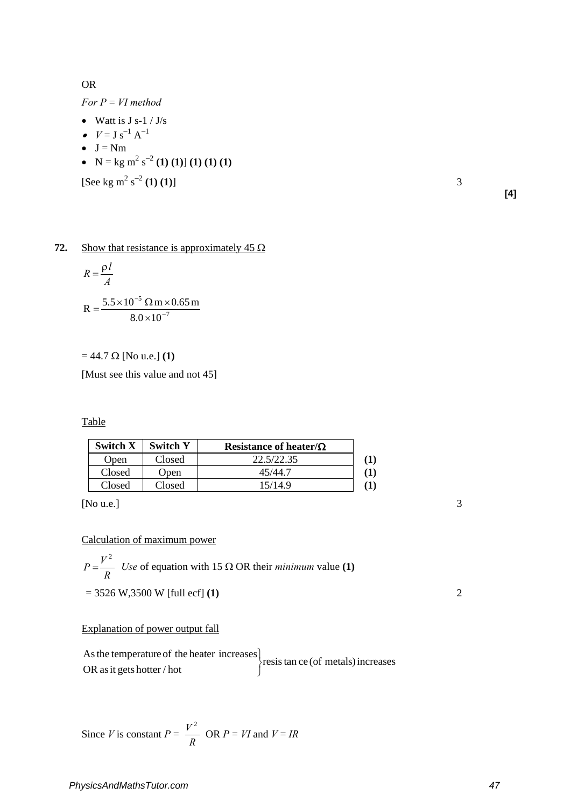OR

*For P* = *VI method*

- Watt is  $J s-1 / J/s$
- $V = J s^{-1} A^{-1}$
- $\bullet$  J = Nm
- $N = kg m^2 s^{-2} (1) (1) (1) (1) (1)$

 $[See kg m<sup>2</sup> s<sup>-2</sup> (1) (1)]$  3

**[4]**

## **72.** Show that resistance is approximately  $45 \Omega$

$$
R = \frac{\rho l}{A}
$$
  
R = 
$$
\frac{5.5 \times 10^{-5} \, \Omega \, \text{m} \times 0.65 \, \text{m}}{8.0 \times 10^{-7}}
$$

= 44.7 Ω [No u.e.] **(1)**

[Must see this value and not 45]

Table

| Switch X | <b>Switch Y</b> | Resistance of heater/ $\Omega$ |  |
|----------|-----------------|--------------------------------|--|
| Open     | Closed          | 22.5/22.35                     |  |
| Closed   | Open            | 45/44.7                        |  |
| Closed   | Closed          | 15/14.9                        |  |

[No u.e.] 3

### Calculation of maximum power

$$
P = \frac{V^2}{R}
$$
 Use of equation with 15  $\Omega$  OR their *minimum* value (1)

 $= 3526 \text{ W}, 3500 \text{ W}$  [full ecf] **(1)** 2

## Explanation of power output fall

resis tan ce (of metals) increases OR as it gets hotter / hot As the temperature of the heater increases J  $\left\{ \right\}$  $\mathbf{I}$ 

Since *V* is constant 
$$
P = \frac{V^2}{R}
$$
 OR  $P = VI$  and  $V = IR$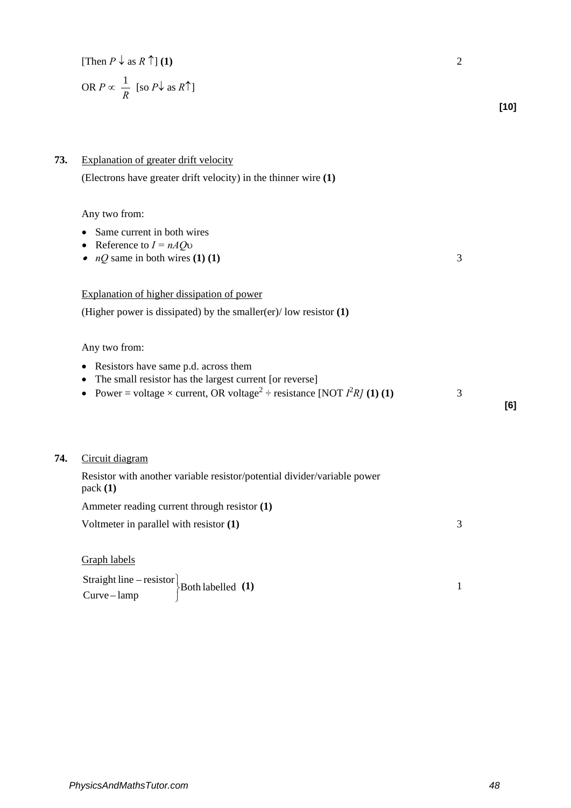| [Then $P \downarrow$ as $R \uparrow$ ] (1)                    |      |
|---------------------------------------------------------------|------|
| OR $P \propto \frac{1}{R}$ [so $P\downarrow$ as $R\uparrow$ ] |      |
|                                                               | [10] |

| 73. | Explanation of greater drift velocity                                                                                                                                                                           |   |     |
|-----|-----------------------------------------------------------------------------------------------------------------------------------------------------------------------------------------------------------------|---|-----|
|     | (Electrons have greater drift velocity) in the thinner wire (1)                                                                                                                                                 |   |     |
|     | Any two from:<br>Same current in both wires<br>Reference to $I = nAQv$<br>٠<br>$nQ$ same in both wires (1) (1)                                                                                                  | 3 |     |
|     | Explanation of higher dissipation of power                                                                                                                                                                      |   |     |
|     | (Higher power is dissipated) by the smaller(er)/low resistor $(1)$                                                                                                                                              |   |     |
|     | Any two from:                                                                                                                                                                                                   |   |     |
|     | Resistors have same p.d. across them<br>٠<br>The small resistor has the largest current [or reverse]<br>٠<br>Power = voltage × current, OR voltage <sup>2</sup> ÷ resistance [NOT $I^2R$ ] (1) (1)<br>$\bullet$ | 3 | [6] |
| 74. | Circuit diagram                                                                                                                                                                                                 |   |     |
|     | Resistor with another variable resistor/potential divider/variable power<br>pack(1)                                                                                                                             |   |     |
|     | Ammeter reading current through resistor (1)                                                                                                                                                                    |   |     |
|     | Voltmeter in parallel with resistor (1)                                                                                                                                                                         | 3 |     |
|     | Graph labels                                                                                                                                                                                                    |   |     |
|     | Straight line $-$ resistor<br>Both labelled (1)<br>Curve-lamp                                                                                                                                                   | 1 |     |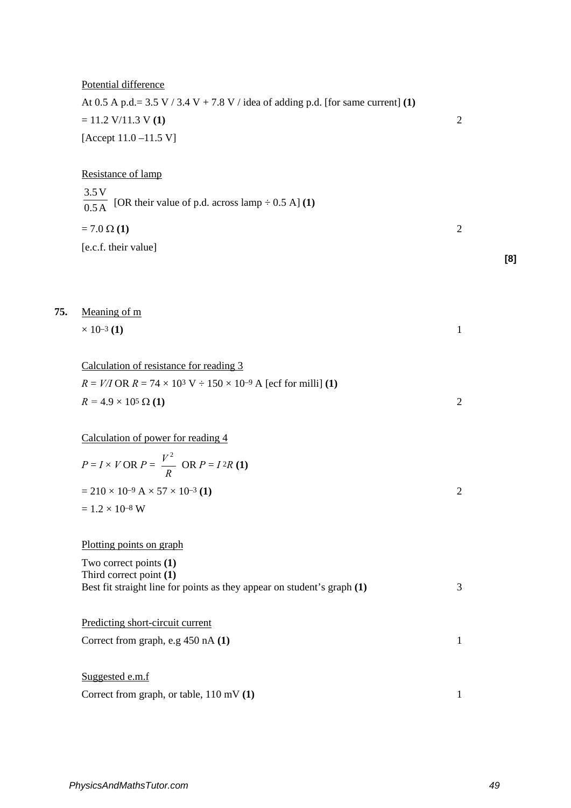|     | Potential difference                                                                               |                |     |
|-----|----------------------------------------------------------------------------------------------------|----------------|-----|
|     | At 0.5 A p.d.= $3.5 V / 3.4 V + 7.8 V /$ idea of adding p.d. [for same current] (1)                |                |     |
|     | $= 11.2$ V/11.3 V (1)                                                                              | $\overline{2}$ |     |
|     | [Accept $11.0 - 11.5$ V]                                                                           |                |     |
|     | Resistance of lamp                                                                                 |                |     |
|     | 3.5V<br>$\overline{0.5\text{A}}$ [OR their value of p.d. across lamp ÷ 0.5 A] (1)                  |                |     |
|     | $= 7.0 \Omega (1)$                                                                                 | $\mathfrak{2}$ |     |
|     | [e.c.f. their value]                                                                               |                |     |
|     |                                                                                                    |                | [8] |
|     |                                                                                                    |                |     |
| 75. | Meaning of m                                                                                       |                |     |
|     | $\times$ 10–3 (1)                                                                                  | $\mathbf{1}$   |     |
|     | Calculation of resistance for reading 3                                                            |                |     |
|     | $R = V/I$ OR $R = 74 \times 10^3$ V $\div 150 \times 10^{-9}$ A [ecf for milli] (1)                |                |     |
|     | $R = 4.9 \times 10^5 \,\Omega(1)$                                                                  | $\mathfrak{2}$ |     |
|     | Calculation of power for reading 4                                                                 |                |     |
|     | $P = I \times V \text{ OR } P = \frac{V^2}{R} \text{ OR } P = I^2 R$ (1)                           |                |     |
|     | $= 210 \times 10^{-9}$ A $\times 57 \times 10^{-3}$ (1)                                            | $\overline{c}$ |     |
|     | $= 1.2 \times 10^{-8}$ W                                                                           |                |     |
|     | Plotting points on graph                                                                           |                |     |
|     | Two correct points (1)                                                                             |                |     |
|     | Third correct point (1)<br>Best fit straight line for points as they appear on student's graph (1) | 3              |     |
|     | Predicting short-circuit current                                                                   |                |     |
|     | Correct from graph, e.g 450 nA (1)                                                                 | 1              |     |
|     | Suggested e.m.f                                                                                    |                |     |
|     | Correct from graph, or table, 110 mV (1)                                                           | 1              |     |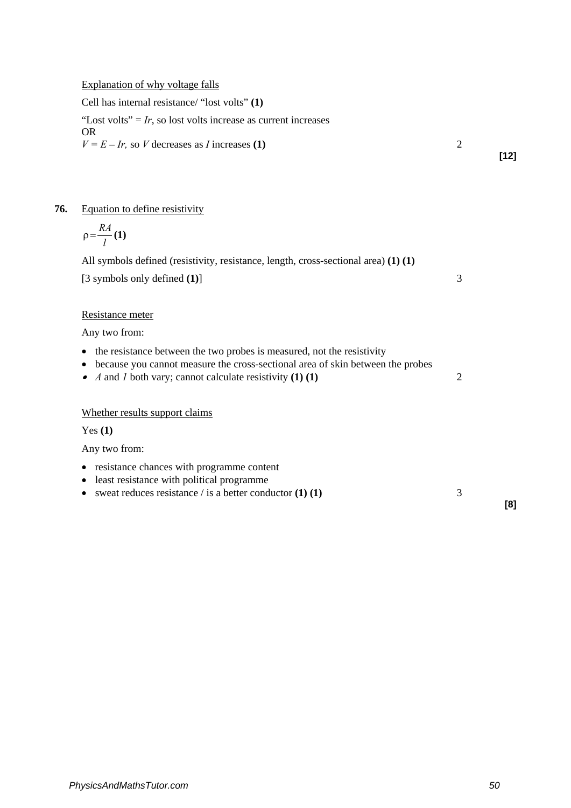Cell has internal resistance/ "lost volts" **(1)**

"Lost volts" =  $Ir$ , so lost volts increase as current increases" OR  $V = E - Ir$ , so *V* decreases as *I* increases **(1)** 2

**[12]**

## **76.** Equation to define resistivity

$$
\rho = \frac{RA}{l}(1)
$$

All symbols defined (resistivity, resistance, length, cross-sectional area) **(1) (1)** [3 symbols only defined **(1)**] 3

## Resistance meter

Any two from:

- the resistance between the two probes is measured, not the resistivity
- because you cannot measure the cross-sectional area of skin between the probes
- *A* and *1* both vary; cannot calculate resistivity **(1) (1)** 2

### Whether results support claims

Yes **(1)**

Any two from:

- resistance chances with programme content
- least resistance with political programme
- sweat reduces resistance / is a better conductor **(1) (1)** 3

**[8]**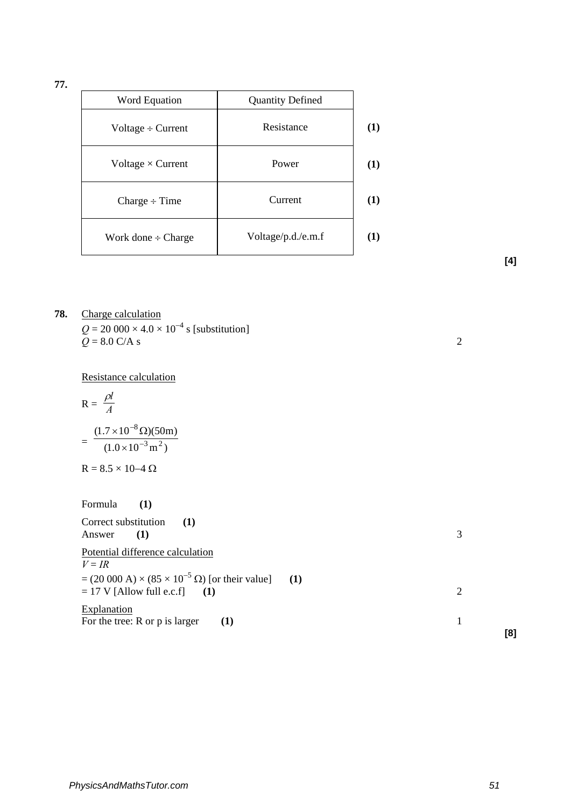**77.**

| Word Equation            | <b>Quantity Defined</b> |     |
|--------------------------|-------------------------|-----|
| Voltage $\div$ Current   | Resistance              | (1) |
| Voltage $\times$ Current | Power                   | (1) |
| $Change \div Time$       | Current                 | (1) |
| Work done $\div$ Charge  | Voltage/p.d./e.m.f      | (1) |

**[4]**

**78.** Charge calculation  $Q = 20\,000 \times 4.0 \times 10^{-4}$  s [substitution]  $\widetilde{Q} = 8.0 \text{ C/A s}$  2

Resistance calculation

$$
R = \frac{\rho l}{A}
$$
  
= 
$$
\frac{(1.7 \times 10^{-8} \Omega)(50m)}{(1.0 \times 10^{-3} m^2)}
$$
  
R = 8.5 × 10-4 Ω

Formula **(1)** Correct substitution (1)<br>Answer (1) Answer (1) 3 Potential difference calculation  $V = IR$  $= (20\ 000\ A) \times (85 \times 10^{-5} \ \Omega)$  [or their value] (1) = 17 V [Allow full e.c.f] **(1)** 2 **Explanation** For the tree:  $R$  or  $p$  is larger **(1)** 1 **[8]**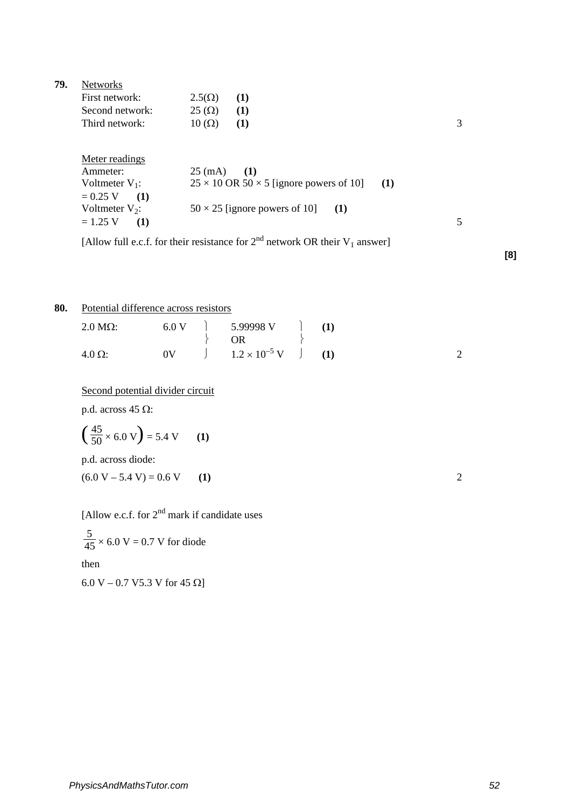| 79. | <b>Networks</b>   |                                                                                     |   |
|-----|-------------------|-------------------------------------------------------------------------------------|---|
|     | First network:    | $2.5(\Omega)$<br>(1)                                                                |   |
|     | Second network:   | $25 \, (\Omega)$<br>(1)                                                             |   |
|     | Third network:    | $10 \, (\Omega)$<br>(1)                                                             | 3 |
|     | Meter readings    |                                                                                     |   |
|     | Ammeter:          | $25 \, (mA)$<br>(1)                                                                 |   |
|     | Voltmeter $V_1$ : | $25 \times 10$ OR $50 \times 5$ [ignore powers of 10]<br>(1)                        |   |
|     | $= 0.25 V$<br>(1) |                                                                                     |   |
|     | Voltmeter $V_2$ : | $50 \times 25$ [ignore powers of 10]<br>(1)                                         |   |
|     | $= 1.25 V$<br>(1) |                                                                                     | 5 |
|     |                   | [Allow full e.c.f. for their resistance for $2^{nd}$ network OR their $V_1$ answer] |   |

**[8]**

## **80.** Potential difference across resistors

| $2.0 M\Omega$ : |  | OR <sub>2</sub>                                                     |  |  |
|-----------------|--|---------------------------------------------------------------------|--|--|
| $4.0 \Omega$ :  |  | $0V$ $\qquad$ $\qquad$ $1.2 \times 10^{-5}$ V $\qquad$ $\qquad$ (1) |  |  |

Second potential divider circuit

p.d. across 45 Ω:

$$
\left(\frac{45}{50} \times 6.0 \text{ V}\right) = 5.4 \text{ V} \qquad (1)
$$

p.d. across diode:

 $(6.0 \text{ V} - 5.4 \text{ V}) = 0.6 \text{ V}$  (1) 2

[Allow e.c.f. for  $2<sup>nd</sup>$  mark if candidate uses

45  $\frac{5}{15}$  × 6.0 V = 0.7 V for diode

then

6.0 V – 0.7 V5.3 V for 45 Ω]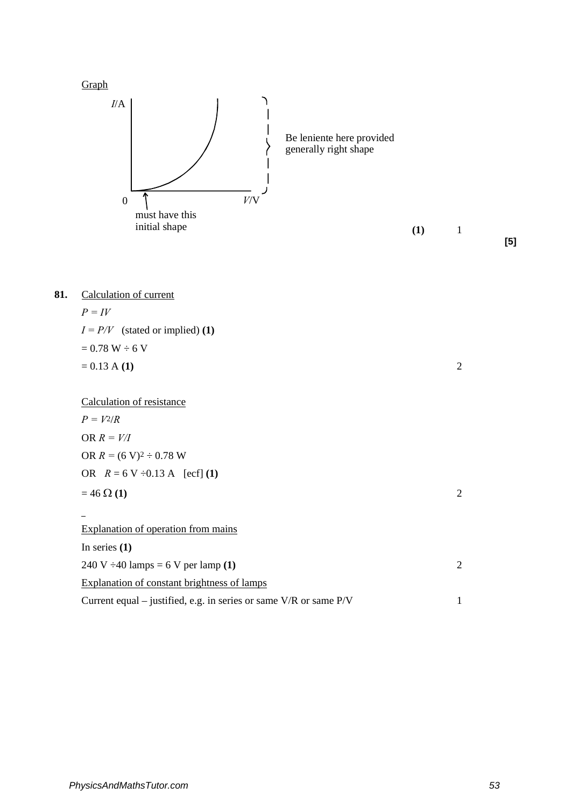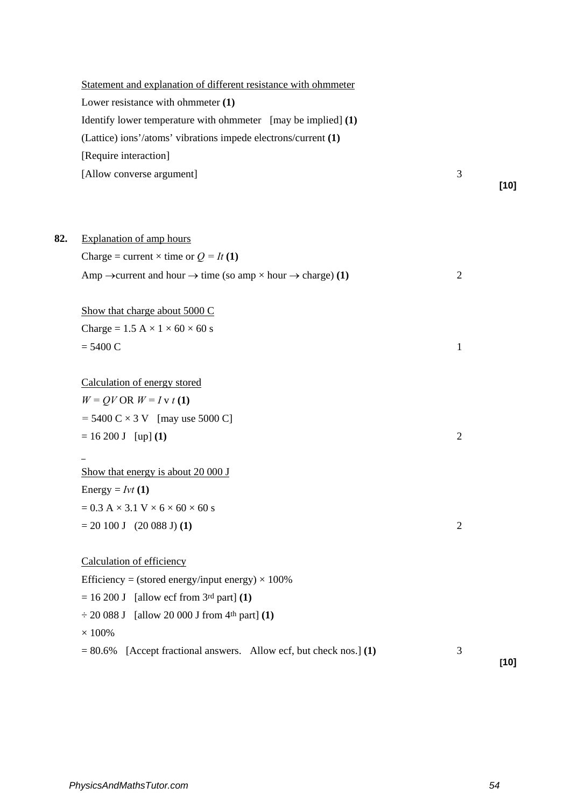|     | Statement and explanation of different resistance with ohmmeter<br>Lower resistance with ohmmeter (1)<br>Identify lower temperature with ohmmeter [may be implied] (1)<br>(Lattice) ions'/atoms' vibrations impede electrons/current (1) |                |        |
|-----|------------------------------------------------------------------------------------------------------------------------------------------------------------------------------------------------------------------------------------------|----------------|--------|
|     | [Require interaction]                                                                                                                                                                                                                    |                |        |
|     | [Allow converse argument]                                                                                                                                                                                                                | 3              | $[10]$ |
| 82. | <b>Explanation of amp hours</b>                                                                                                                                                                                                          |                |        |
|     | Charge = current $\times$ time or $Q = It(1)$                                                                                                                                                                                            |                |        |
|     | Amp $\rightarrow$ current and hour $\rightarrow$ time (so amp $\times$ hour $\rightarrow$ charge) (1)                                                                                                                                    | $\overline{2}$ |        |
|     | Show that charge about 5000 C                                                                                                                                                                                                            |                |        |
|     | Charge = $1.5$ A $\times$ 1 $\times$ 60 $\times$ 60 s                                                                                                                                                                                    |                |        |
|     | $= 5400 C$                                                                                                                                                                                                                               | 1              |        |
|     | Calculation of energy stored                                                                                                                                                                                                             |                |        |
|     | $W = QV$ OR $W = I v t (1)$                                                                                                                                                                                                              |                |        |
|     | $= 5400 \text{ C} \times 3 \text{ V}$ [may use 5000 C]                                                                                                                                                                                   |                |        |
|     | $= 16200 J$ [up] (1)                                                                                                                                                                                                                     | $\overline{2}$ |        |
|     | Show that energy is about $20000$ J                                                                                                                                                                                                      |                |        |
|     | Energy = $Ivt(1)$                                                                                                                                                                                                                        |                |        |
|     | $= 0.3 A \times 3.1 V \times 6 \times 60 \times 60 s$                                                                                                                                                                                    |                |        |
|     | $= 20 100$ J (20 088 J)(1)                                                                                                                                                                                                               | $\overline{2}$ |        |
|     | Calculation of efficiency                                                                                                                                                                                                                |                |        |
|     | Efficiency = (stored energy/input energy) $\times$ 100%                                                                                                                                                                                  |                |        |
|     | $= 16200$ J [allow ecf from 3rd part] (1)                                                                                                                                                                                                |                |        |
|     | $\div$ 20 088 J [allow 20 000 J from 4th part] (1)                                                                                                                                                                                       |                |        |
|     | $\times$ 100%                                                                                                                                                                                                                            |                |        |
|     | [Accept fractional answers. Allow ecf, but check nos.] (1)<br>$= 80.6\%$                                                                                                                                                                 | 3              | $[10]$ |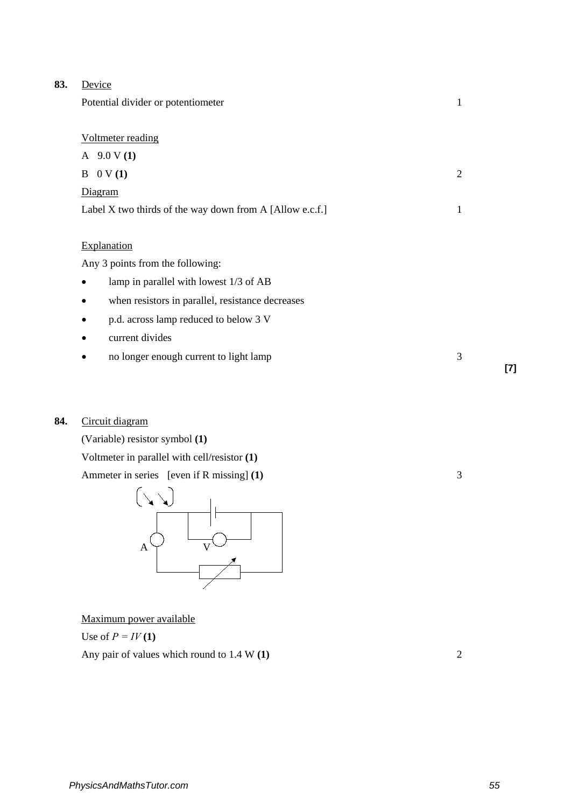| 83. | Device                                                   |                |
|-----|----------------------------------------------------------|----------------|
|     | Potential divider or potentiometer                       | 1              |
|     |                                                          |                |
|     | Voltmeter reading                                        |                |
|     | A $9.0 V(1)$                                             |                |
|     | $B \quad 0 \text{ V (1)}$                                | $\overline{2}$ |
|     | Diagram                                                  |                |
|     | Label X two thirds of the way down from A [Allow e.c.f.] | 1              |
|     |                                                          |                |
|     | Explanation                                              |                |
|     | Any 3 points from the following:                         |                |
|     | lamp in parallel with lowest 1/3 of AB                   |                |
|     | when resistors in parallel, resistance decreases         |                |
|     | p.d. across lamp reduced to below 3 V<br>٠               |                |
|     | current divides                                          |                |
|     | no longer enough current to light lamp                   | 3              |

## **84.** Circuit diagram

(Variable) resistor symbol **(1)**

Voltmeter in parallel with cell/resistor **(1)**

Ammeter in series [even if R missing] **(1)** 3



Maximum power available

Use of  $P = IV(1)$ 

Any pair of values which round to 1.4 W **(1)** 2

**[7]**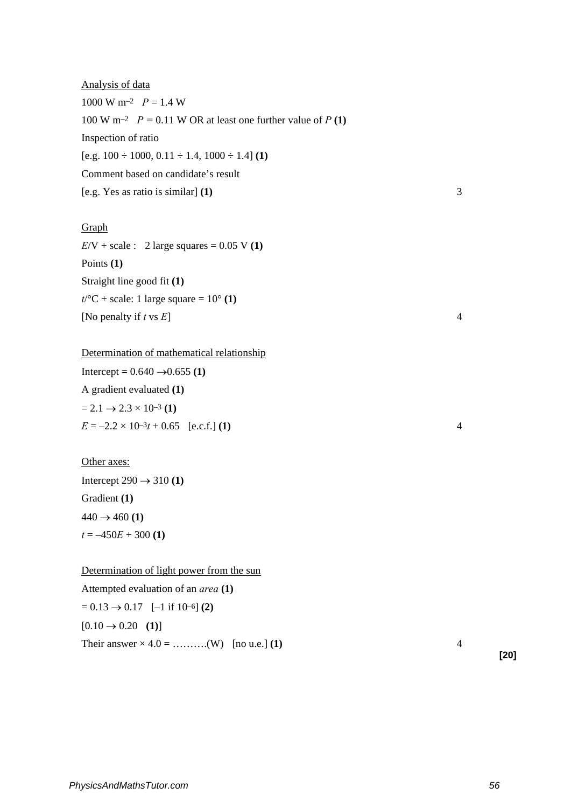Analysis of data 1000 W m<sup>-2</sup>  $P = 1.4$  W 100 W m<sup>-2</sup>  $P = 0.11$  W OR at least one further value of  $P(1)$ Inspection of ratio  $[e.g. 100 \div 1000, 0.11 \div 1.4, 1000 \div 1.4]$  (1) Comment based on candidate's result [e.g. Yes as ratio is similar] **(1)** 3

## Graph

 $E/V + scale: 2 large squares = 0.05 V(1)$ Points **(1)** Straight line good fit **(1)**  $t$ <sup>o</sup>C + scale: 1 large square =  $10$ <sup>o</sup> (1) [No penalty if  $t \text{ vs } E$ ]  $4$ 

Determination of mathematical relationship Intercept =  $0.640 \rightarrow 0.655$  (1) A gradient evaluated **(1)**  $= 2.1 \rightarrow 2.3 \times 10^{-3}$  (1)  $E = -2.2 \times 10^{-3}t + 0.65$  [e.c.f.] **(1)** 4

Other axes: Intercept  $290 \rightarrow 310(1)$ Gradient **(1)**  $440 \rightarrow 460 (1)$  $t = -450E + 300(1)$ 

Determination of light power from the sun Attempted evaluation of an *area* **(1)**  $= 0.13 \rightarrow 0.17$  [-1 if 10-6] **(2)**  $[0.10 \rightarrow 0.20 \space(1)]$ Their answer × 4.0 = ……….(W) [no u.e.] **(1)** 4

**[20]**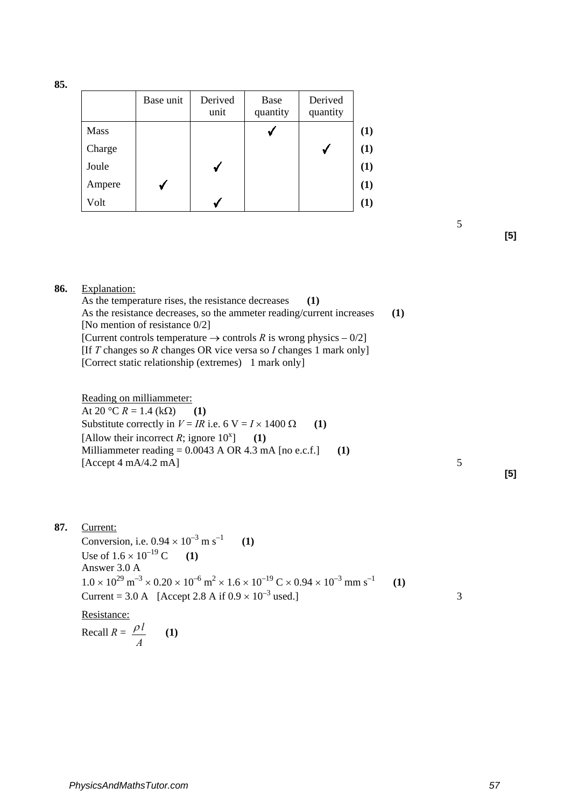**85.**

|             | Base unit | Derived<br>unit | Base<br>quantity | Derived<br>quantity |     |
|-------------|-----------|-----------------|------------------|---------------------|-----|
| <b>Mass</b> |           |                 |                  |                     | (1) |
| Charge      |           |                 |                  |                     | (1) |
| Joule       |           |                 |                  |                     | (1) |
| Ampere      |           |                 |                  |                     | (1) |
| Volt        |           |                 |                  |                     | (1) |

**[5]**

### **86.** Explanation:

As the temperature rises, the resistance decreases (1) As the resistance decreases, so the ammeter reading/current increases (1) [No mention of resistance 0/2] [Current controls temperature  $\rightarrow$  controls *R* is wrong physics – 0/2] [If *T* changes so *R* changes OR vice versa so *I* changes 1 mark only] [Correct static relationship (extremes) 1 mark only]

5

Reading on milliammeter: At 20 °C  $R = 1.4$  (kΩ) (1) Substitute correctly in  $V = IR$  i.e. 6 V =  $I \times 1400 \Omega$  (1) [Allow their incorrect *R*; ignore  $10^{x}$ ] ] **(1)** Milliammeter reading = 0.0043 A OR 4.3 mA [no e.c.f.] **(1)**  $[Accept 4 mA/4.2 mA]$   $5$ 

### **[5]**

## **87.** Current:

Conversion, i.e.  $0.94 \times 10^{-3}$  m s<sup>-1</sup> (1) Use of  $1.6 \times 10^{-19}$  C (1) Answer 3.0 A  $1.0 \times 10^{29}$  m<sup>-3</sup> × 0.20 × 10<sup>-6</sup> m<sup>2</sup> × 1.6 × 10<sup>-19</sup> C × 0.94 × 10<sup>-3</sup> mm s<sup>-1</sup> (1) Current = 3.0 A [Accept 2.8 A if  $0.9 \times 10^{-3}$  used.] Resistance:

Recall 
$$
R = \frac{\rho l}{A}
$$
 (1)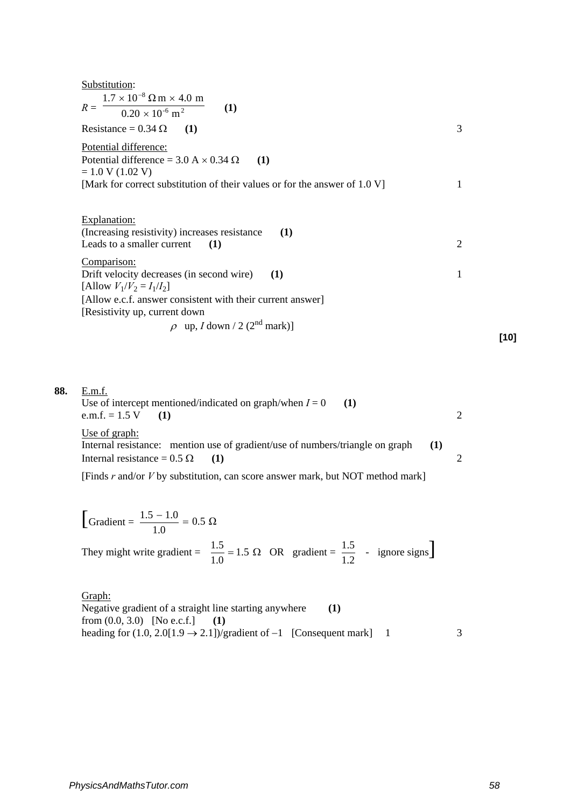| Substitution:                                                                 |                |
|-------------------------------------------------------------------------------|----------------|
| $1.7 \times 10^{-8}$ $\Omega$ m $\times$ 4.0 m                                |                |
| (1)<br>$R =$<br>$\frac{0.20 \times 10^{-6} \text{ m}^2}{2}$                   |                |
| Resistance = $0.34 \Omega$<br>(1)                                             | 3              |
| Potential difference:                                                         |                |
| Potential difference = $3.0 A \times 0.34 \Omega$<br>(1)                      |                |
| $= 1.0 V (1.02 V)$                                                            |                |
| [Mark for correct substitution of their values or for the answer of $1.0 V$ ] | 1              |
|                                                                               |                |
| Explanation:                                                                  |                |
| (Increasing resistivity) increases resistance<br>(1)                          |                |
| Leads to a smaller current<br>(1)                                             | $\overline{2}$ |
| Comparison:                                                                   |                |
| Drift velocity decreases (in second wire)<br><b>(1)</b>                       | 1              |
| [Allow $V_1/V_2 = I_1/I_2$ ]                                                  |                |
| [Allow e.c.f. answer consistent with their current answer]                    |                |
| [Resistivity up, current down                                                 |                |
| $\rho$ up, <i>I</i> down / 2 (2 <sup>nd</sup> mark)]                          |                |
|                                                                               | [10]           |

| 88. | E.m.f.<br>Use of intercept mentioned/indicated on graph/when $I = 0$<br>- (1)<br>e.m.f. = $1.5 \text{ V}$ (1)                            |     | $\mathcal{D}_{\mathcal{L}}$ |
|-----|------------------------------------------------------------------------------------------------------------------------------------------|-----|-----------------------------|
|     | Use of graph:<br>Internal resistance: mention use of gradient/use of numbers/triangle on graph<br>Internal resistance = $0.5 \Omega$ (1) | (1) |                             |
|     | [Finds $r$ and/or $V$ by substitution, can score answer mark, but NOT method mark]                                                       |     |                             |

$$
\left[\text{Gradient} = \frac{1.5 - 1.0}{1.0} = 0.5 \ \Omega\right]
$$
\nThey might write gradient =  $\frac{1.5}{1.0} = 1.5 \ \Omega$  OR gradient =  $\frac{1.5}{1.2}$  - ignore signs.

Graph: Negative gradient of a straight line starting anywhere **(1)** from  $(0.0, 3.0)$  [No e.c.f.] (1) heading for  $(1.0, 2.0[1.9 \rightarrow 2.1])$ /gradient of -1 [Consequent mark] 1 3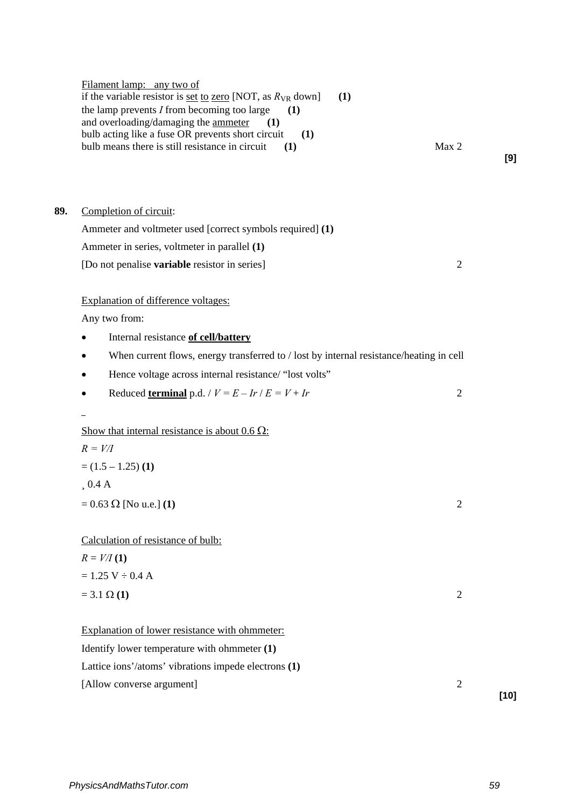|     | Filament lamp: any two of<br>if the variable resistor is <u>set to zero</u> [NOT, as $R_{VR}$ down]<br>(1)<br>the lamp prevents $I$ from becoming too large<br>(1)<br>and overloading/damaging the ammeter<br>(1)<br>bulb acting like a fuse OR prevents short circuit<br>(1)<br>Max 2<br>bulb means there is still resistance in circuit<br>(1) | [9]            |
|-----|--------------------------------------------------------------------------------------------------------------------------------------------------------------------------------------------------------------------------------------------------------------------------------------------------------------------------------------------------|----------------|
| 89. | Completion of circuit:                                                                                                                                                                                                                                                                                                                           |                |
|     | Ammeter and voltmeter used [correct symbols required] (1)                                                                                                                                                                                                                                                                                        |                |
|     | Ammeter in series, voltmeter in parallel (1)                                                                                                                                                                                                                                                                                                     |                |
|     | [Do not penalise variable resistor in series]                                                                                                                                                                                                                                                                                                    | $\overline{2}$ |
|     | Explanation of difference voltages:                                                                                                                                                                                                                                                                                                              |                |
|     | Any two from:                                                                                                                                                                                                                                                                                                                                    |                |
|     | Internal resistance of cell/battery                                                                                                                                                                                                                                                                                                              |                |
|     | When current flows, energy transferred to / lost by internal resistance/heating in cell                                                                                                                                                                                                                                                          |                |
|     | Hence voltage across internal resistance/ "lost volts"<br>٠                                                                                                                                                                                                                                                                                      |                |
|     | Reduced terminal p.d. / $V = E - Ir / E = V + Ir$<br>٠                                                                                                                                                                                                                                                                                           | $\overline{2}$ |
|     | Show that internal resistance is about $0.6 \Omega$ :                                                                                                                                                                                                                                                                                            |                |
|     | $R = V/I$                                                                                                                                                                                                                                                                                                                                        |                |
|     | $=$ (1.5 – 1.25) (1)                                                                                                                                                                                                                                                                                                                             |                |
|     | 0.4 A                                                                                                                                                                                                                                                                                                                                            |                |
|     | $= 0.63 \Omega$ [No u.e.] (1)                                                                                                                                                                                                                                                                                                                    | $\overline{2}$ |
|     | Calculation of resistance of bulb:                                                                                                                                                                                                                                                                                                               |                |
|     | $R = V/I(1)$                                                                                                                                                                                                                                                                                                                                     |                |
|     | $= 1.25 V \div 0.4 A$                                                                                                                                                                                                                                                                                                                            |                |
|     | $= 3.1 \Omega (1)$                                                                                                                                                                                                                                                                                                                               | $\overline{2}$ |
|     | Explanation of lower resistance with ohmmeter:                                                                                                                                                                                                                                                                                                   |                |
|     | Identify lower temperature with ohmmeter (1)                                                                                                                                                                                                                                                                                                     |                |
|     | Lattice ions'/atoms' vibrations impede electrons (1)                                                                                                                                                                                                                                                                                             |                |
|     | [Allow converse argument]                                                                                                                                                                                                                                                                                                                        | $\sqrt{2}$     |
|     |                                                                                                                                                                                                                                                                                                                                                  | $[10]$         |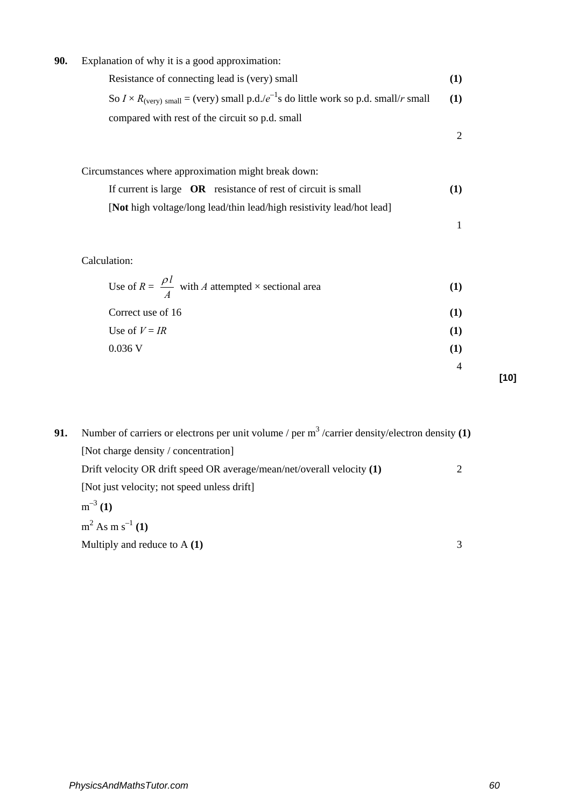## **90.** Explanation of why it is a good approximation:

Resistance of connecting lead is (very) small **(1)**  So  $I \times R_{\text{(very) small}} = \text{(very) small p.d./}e^{-1}\text{s}$  do little work so p.d. small/*r* small **(1)** compared with rest of the circuit so p.d. small 2

| Circumstances where approximation might break down:                   |          |
|-----------------------------------------------------------------------|----------|
| If current is large <b>OR</b> resistance of rest of circuit is small  | $\bf(1)$ |
| [Not high voltage/long lead/thin lead/high resistivity lead/hot lead] |          |

## Calculation:

| Use of $R = \frac{\rho l}{4}$ with A attempted $\times$ sectional area |          |
|------------------------------------------------------------------------|----------|
| Correct use of 16                                                      | $\bf(1)$ |
| Use of $V = IR$                                                        | (1)      |
| $0.036$ V                                                              | (T)      |
|                                                                        |          |

**91.** Number of carriers or electrons per unit volume / per m<sup>3</sup> /carrier density/electron density (1) [Not charge density / concentration] Drift velocity OR drift speed OR average/mean/net/overall velocity **(1)** 2 [Not just velocity; not speed unless drift]  $m^{-3}(1)$  $m^2$  As m s<sup>-1</sup> (1) Multiply and reduce to A (1) 3

*PhysicsAndMathsTutor.com 60*

1

**[10]**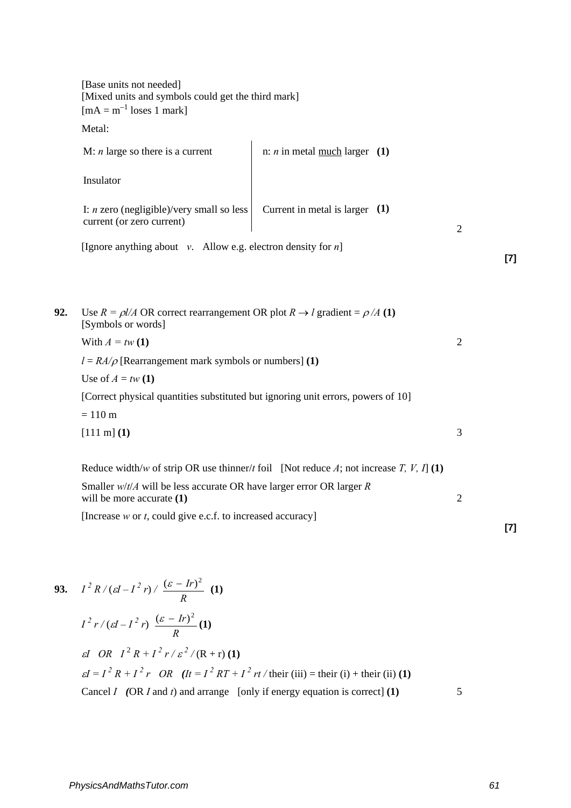|     | [Base units not needed]<br>[Mixed units and symbols could get the third mark]<br>$[mA = m^{-1}$ loses 1 mark]               |                                                                                        |                |     |
|-----|-----------------------------------------------------------------------------------------------------------------------------|----------------------------------------------------------------------------------------|----------------|-----|
|     | Metal:                                                                                                                      |                                                                                        |                |     |
|     | M: $n$ large so there is a current                                                                                          | n: <i>n</i> in metal <u>much</u> larger $(1)$                                          |                |     |
|     | Insulator                                                                                                                   |                                                                                        |                |     |
|     | I: $n$ zero (negligible)/very small so less<br>current (or zero current)                                                    | Current in metal is larger $(1)$                                                       | $\overline{2}$ |     |
|     | [Ignore anything about $v$ . Allow e.g. electron density for $n$ ]                                                          |                                                                                        |                | [7] |
|     |                                                                                                                             |                                                                                        |                |     |
| 92. | Use $R = \frac{\rho}{A}$ OR correct rearrangement OR plot $R \rightarrow l$ gradient = $\rho / A$ (1)<br>[Symbols or words] |                                                                                        |                |     |
|     | With $A = tw(1)$                                                                                                            |                                                                                        | $\overline{2}$ |     |
|     | $l = RA/\rho$ [Rearrangement mark symbols or numbers] (1)                                                                   |                                                                                        |                |     |
|     | Use of $A = tw(1)$                                                                                                          |                                                                                        |                |     |
|     | [Correct physical quantities substituted but ignoring unit errors, powers of 10]                                            |                                                                                        |                |     |
|     | $= 110 \text{ m}$                                                                                                           |                                                                                        |                |     |
|     | $[111 \text{ m}]$ $(1)$                                                                                                     |                                                                                        | 3              |     |
|     |                                                                                                                             | Reduce width/w of strip OR use thinner/t foil [Not reduce A; not increase T, V, I] (1) |                |     |
|     | Smaller $w/t/A$ will be less accurate OR have larger error OR larger R<br>will be more accurate (1)                         |                                                                                        | $\overline{2}$ |     |
|     | [Increase $w$ or $t$ , could give e.c.f. to increased accuracy]                                                             |                                                                                        |                |     |

$$
R
$$
  
\n
$$
I^{2}r/(cI - I^{2}r) \frac{(\varepsilon - Ir)^{2}}{R}
$$
  
\n*et OR*  $I^{2}R + I^{2}r/\varepsilon^{2}/(R+r)$  (1)  
\n
$$
\varepsilon I = I^{2}R + I^{2}r \quad OR \quad (It = I^{2}RT + I^{2}rt/\text{their (iii)} = \text{their (i)} + \text{their (ii)} (1)
$$
\nCancel *I* (OR *I* and *t*) and arrange [only if energy equation is correct] (1)

 $\frac{(\varepsilon - Ir)^2}{\sqrt{1-\frac{1}{n}}}$  (1)

**93.**  $I^2 R / ( \varepsilon I - I^2 r ) /$ 

**[7]**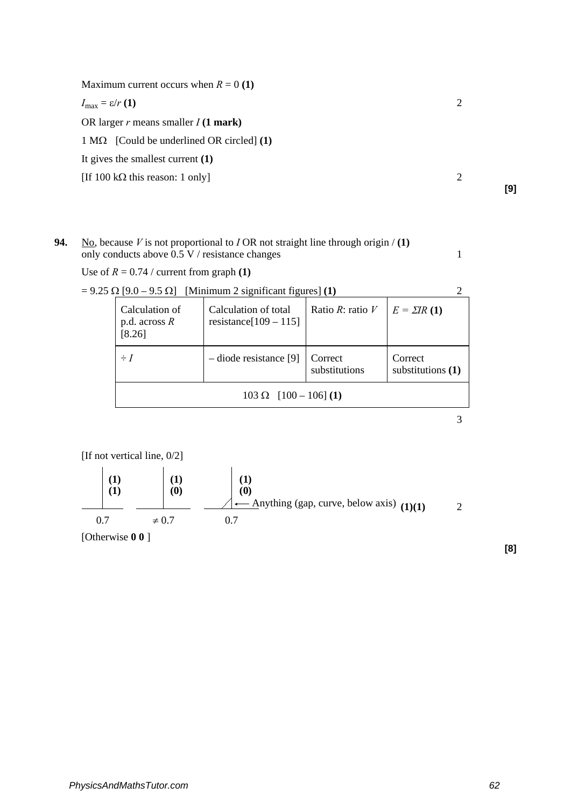Maximum current occurs when  $R = 0$  (1)

 $I_{\text{max}} = \varepsilon/r(1)$  2

OR larger *r* means smaller *I* **(1 mark)**

1 MΩ[Could be underlined OR circled] **(1)**

It gives the smallest current **(1)**

[If  $100 \text{ k}\Omega$  this reason: 1 only] 2

**94.** No, because *V* is not proportional to *I* OR not straight line through origin / **(1)** only conducts above  $0.5 \text{ V}$  / resistance changes 1

Use of  $R = 0.74$  / current from graph **(1)** 

 $= 9.25 \Omega$  [9.0 – 9.5  $\Omega$ ] [Minimum 2 significant figures] **(1)** 2 Calculation of p.d. across *R*  [8.26] Calculation of total resistance[109 – 115] Ratio *R*: ratio *V*  $E = \Sigma IR$  (1)  $\div I$   $\left|$  – diode resistance [9] Correct substitutions Correct substitutions **(1)** 103 Ω [100 – 106] **(1)**

[If not vertical line, 0/2]



[Otherwise **0 0** ]

**[8]**

3

**[9]**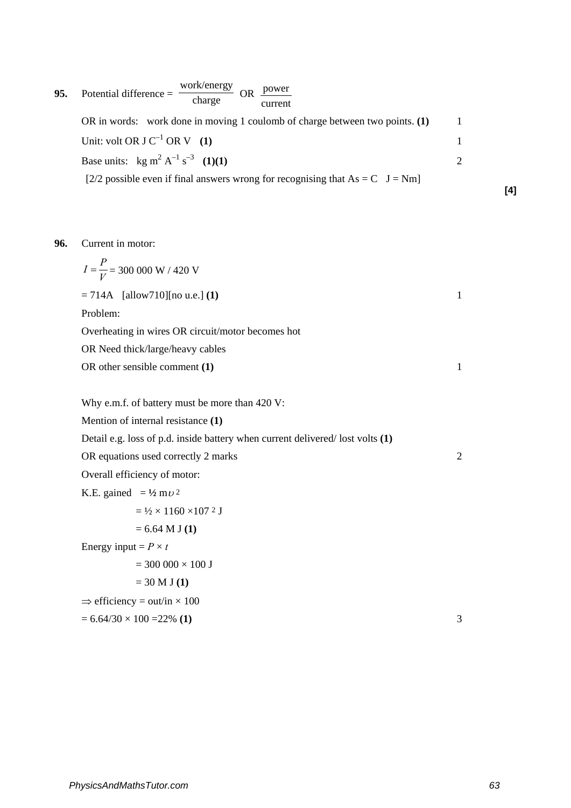**95.** Potential difference =  $\frac{\text{work/energy}}{\text{charge}}$  OR current power OR in words: work done in moving 1 coulomb of charge between two points. **(1)** 1 Unit: volt OR J  $C^{-1}$  OR V **(1)** 1 Base units:  $\text{kg m}^2 \text{ A}^{-1} \text{ s}^{-3}$  (1)(1) 2 [2/2 possible even if final answers wrong for recognising that  $As = C$  J = Nm]

### **96.** Current in motor:

 $I = \frac{P}{V}$  = 300 000 W / 420 V  $= 714A$  [allow710][no u.e.] **(1)** 1 Problem: Overheating in wires OR circuit/motor becomes hot OR Need thick/large/heavy cables OR other sensible comment **(1)** 1 Why e.m.f. of battery must be more than 420 V: Mention of internal resistance **(1)** Detail e.g. loss of p.d. inside battery when current delivered/ lost volts **(1)** OR equations used correctly 2 marks 2 Overall efficiency of motor: K.E. gained  $= \frac{1}{2} m v^2$  $=$   $\frac{1}{2} \times 1160 \times 107$  2 J = 6.64 M J **(1)** Energy input =  $P \times t$  $= 300000 \times 100$  J = 30 M J **(1)**  $\Rightarrow$  efficiency = out/in  $\times$  100  $= 6.64/30 \times 100 = 22\%$  (1) 3 **[4]**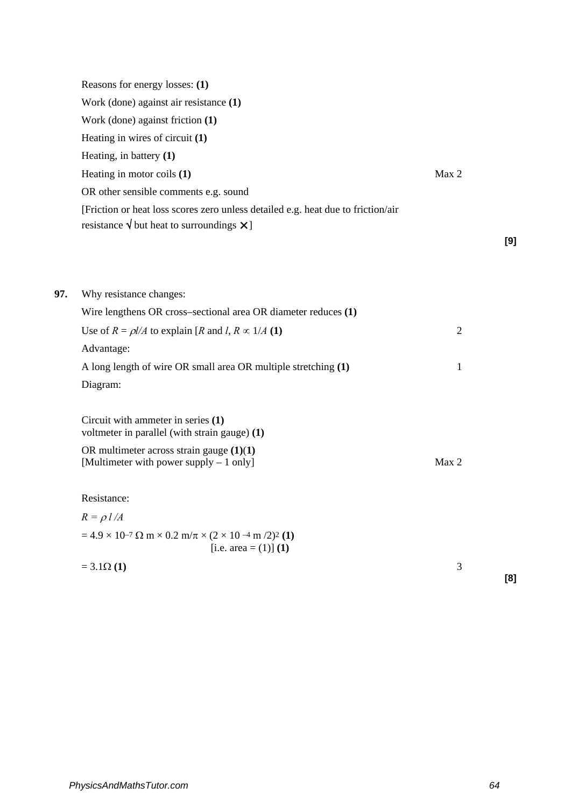|     | Reasons for energy losses: (1)                                                                                                                   |                |     |
|-----|--------------------------------------------------------------------------------------------------------------------------------------------------|----------------|-----|
|     | Work (done) against air resistance (1)                                                                                                           |                |     |
|     | Work (done) against friction (1)                                                                                                                 |                |     |
|     | Heating in wires of circuit (1)                                                                                                                  |                |     |
|     | Heating, in battery $(1)$                                                                                                                        |                |     |
|     | Heating in motor coils $(1)$                                                                                                                     | Max 2          |     |
|     | OR other sensible comments e.g. sound                                                                                                            |                |     |
|     | [Friction or heat loss scores zero unless detailed e.g. heat due to friction/air                                                                 |                |     |
|     | resistance $\sqrt{}$ but heat to surroundings $\bm{\times}$ ]                                                                                    |                |     |
|     |                                                                                                                                                  |                | [9] |
|     |                                                                                                                                                  |                |     |
|     |                                                                                                                                                  |                |     |
| 97. | Why resistance changes:                                                                                                                          |                |     |
|     | Wire lengthens OR cross-sectional area OR diameter reduces (1)                                                                                   |                |     |
|     | Use of $R = \rho l/A$ to explain [R and l, $R \propto 1/A$ (1)                                                                                   | $\overline{2}$ |     |
|     | Advantage:                                                                                                                                       |                |     |
|     | A long length of wire OR small area OR multiple stretching (1)                                                                                   | $\mathbf{1}$   |     |
|     | Diagram:                                                                                                                                         |                |     |
|     | Circuit with ammeter in series (1)<br>voltmeter in parallel (with strain gauge) (1)                                                              |                |     |
|     | OR multimeter across strain gauge $(1)(1)$<br>[Multimeter with power supply – 1 only]                                                            | Max 2          |     |
|     | Resistance:                                                                                                                                      |                |     |
|     | $R = \rho l /A$                                                                                                                                  |                |     |
|     | $= 4.9 \times 10^{-7} \Omega \text{ m} \times 0.2 \text{ m}/\pi \times (2 \times 10^{-4} \text{ m}/2)^2 \text{ (1)}$<br>[i.e. area = $(1)$ ] (1) |                |     |
|     | $= 3.1\Omega(1)$                                                                                                                                 | 3              |     |
|     |                                                                                                                                                  |                | [8] |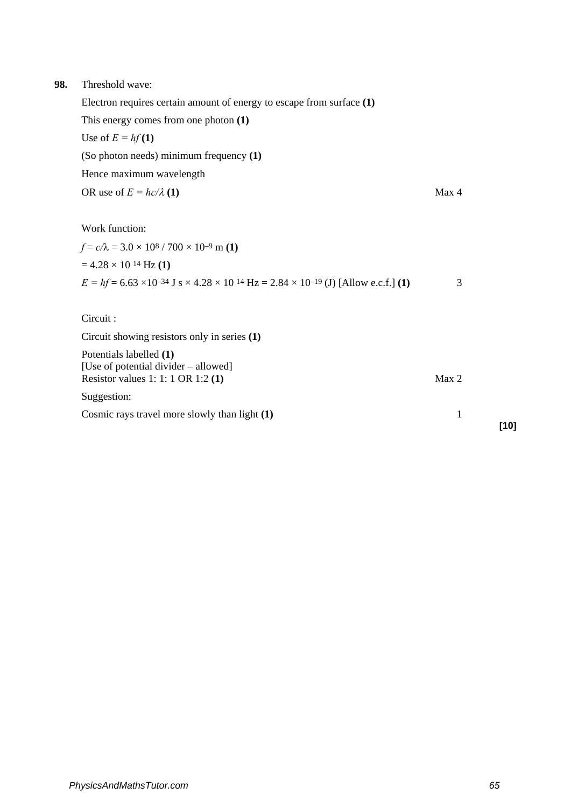### **98.** Threshold wave:

Electron requires certain amount of energy to escape from surface **(1)**

This energy comes from one photon **(1)**

Use of  $E = hf(1)$ 

(So photon needs) minimum frequency **(1)**

Hence maximum wavelength

OR use of 
$$
E = hc/\lambda
$$
 (1)

Work function:

 $f = c/\lambda = 3.0 \times 10^8 / 700 \times 10^{-9}$  m (1)  $= 4.28 \times 10^{14}$  Hz **(1)**  $E = hf = 6.63 \times 10^{-34}$  J s  $\times$  4.28  $\times$  10<sup>14</sup> Hz = 2.84  $\times$  10<sup>-19</sup> (J) [Allow e.c.f.] **(1)** 3

Circuit :

Circuit showing resistors only in series **(1)**

Potentials labelled **(1)**  [Use of potential divider – allowed] Resistor values 1: 1: 1 OR 1:2 **(1)** Max 2

Suggestion:

Cosmic rays travel more slowly than light **(1)** 1

**[10]**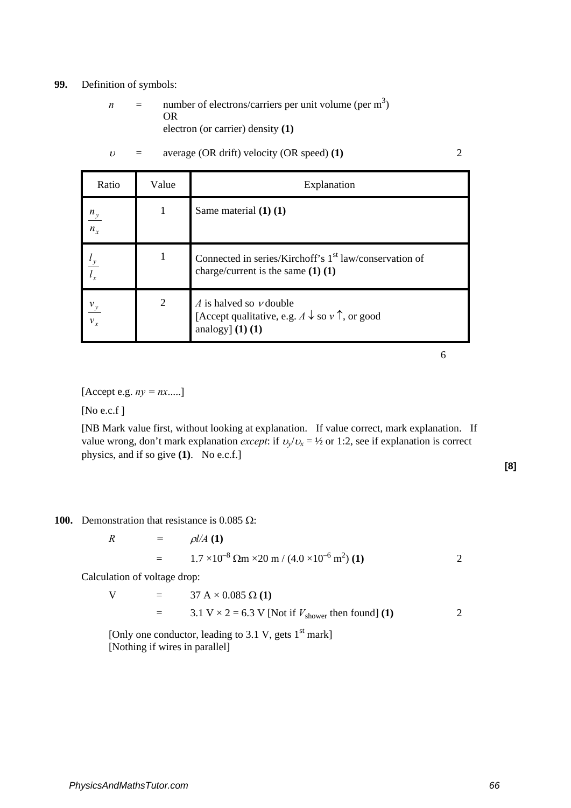### **99.** Definition of symbols:

 $n =$  number of electrons/carriers per unit volume (per m<sup>3</sup>) OR electron (or carrier) density **(1)**

| Ratio             | Value | Explanation                                                                                                               |  |
|-------------------|-------|---------------------------------------------------------------------------------------------------------------------------|--|
| $\frac{n_y}{n_x}$ |       | Same material $(1)$ $(1)$                                                                                                 |  |
|                   | 1     | Connected in series/Kirchoff's 1 <sup>st</sup> law/conservation of<br>charge/current is the same $(1)$ $(1)$              |  |
| $\frac{v_y}{v_x}$ | 2     | A is halved so $\nu$ double<br>[Accept qualitative, e.g. $A \downarrow$ so $v \uparrow$ , or good<br>analogy] $(1)$ $(1)$ |  |

 $v =$  average (OR drift) velocity (OR speed) (1) 2

6

 $[Accept e.g. ny = nx.....]$ 

[No e.c.f ]

[NB Mark value first, without looking at explanation. If value correct, mark explanation. If value wrong, don't mark explanation *except*: if  $v_y/v_x = \frac{1}{2}$  or 1:2, see if explanation is correct physics, and if so give **(1)**. No e.c.f.]

**[8]**

**100.** Demonstration that resistance is 0.085  $\Omega$ :

$$
R = \rho l/A (1)
$$
  
= 1.7 × 10<sup>-8</sup> Ωm × 20 m / (4.0 × 10<sup>-6</sup> m<sup>2</sup>) (1) 2

Calculation of voltage drop:

V = 37 A × 0.085 Ω (1)  
= 3.1 V × 2 = 6.3 V [Not if 
$$
V_{\text{shower}}
$$
 then found] (1) 2

[Only one conductor, leading to 3.1 V, gets  $1<sup>st</sup>$  mark] [Nothing if wires in parallel]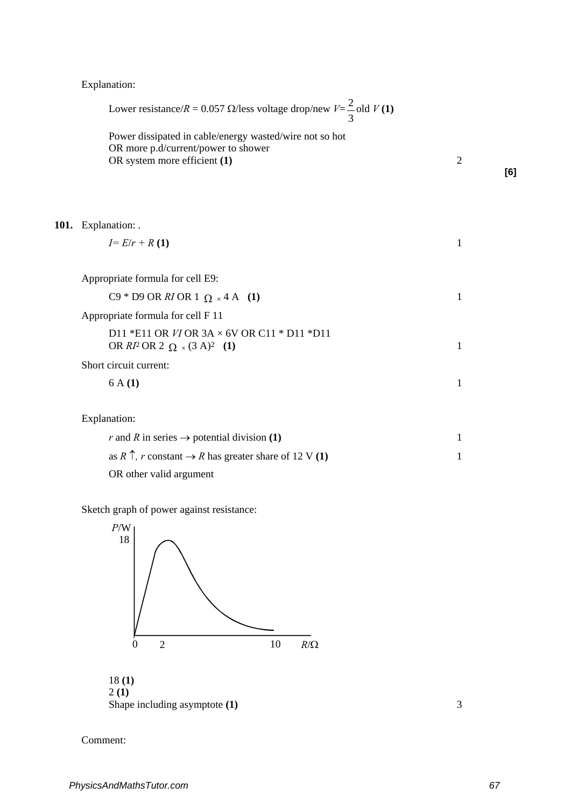Explanation:

| Lower resistance/ $R = 0.057 \Omega$ /less voltage drop/new $V = \frac{2}{3}$ old $V(1)$                                       |                |     |
|--------------------------------------------------------------------------------------------------------------------------------|----------------|-----|
| Power dissipated in cable/energy wasted/wire not so hot<br>OR more p.d/current/power to shower<br>OR system more efficient (1) | $\overline{2}$ | [6] |
| 101. Explanation: .                                                                                                            |                |     |
| $I = E/r + R(1)$                                                                                                               | 1              |     |
| Appropriate formula for cell E9:                                                                                               |                |     |
| C9 * D9 OR RI OR 1 $\Omega$ × 4 A (1)                                                                                          | 1              |     |
| Appropriate formula for cell F 11                                                                                              |                |     |
| D11 *E11 OR $VI$ OR $3A \times 6V$ OR C11 * D11 *D11<br>OR $RI^2$ OR 2 $\Omega \times (3 \text{ A})^2$ (1)                     | $\mathbf{1}$   |     |
| Short circuit current:                                                                                                         |                |     |
| 6A(1)                                                                                                                          | 1              |     |
| Explanation:                                                                                                                   |                |     |
| r and R in series $\rightarrow$ potential division (1)                                                                         | 1              |     |

| r and A in series $\rightarrow$ potential division (1)                     |  |
|----------------------------------------------------------------------------|--|
| as R $\uparrow$ , r constant $\rightarrow$ R has greater share of 12 V (1) |  |
| OR other valid argument                                                    |  |

Sketch graph of power against resistance:



Shape including asymptote **(1)** 3

Comment: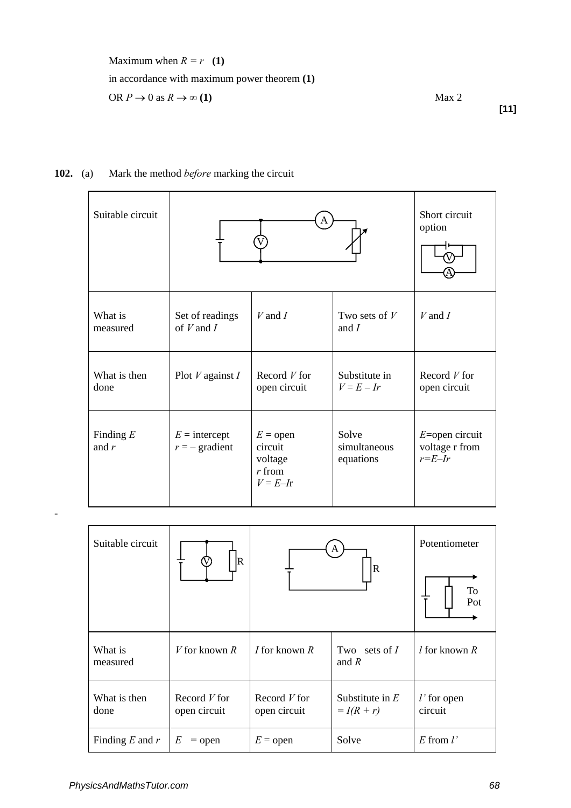Maximum when  $R = r \quad (1)$ in accordance with maximum power theorem **(1)** OR  $P \to 0$  as  $R \to \infty$  (1) Max 2

**[11]**

## **102.** (a) Mark the method *before* marking the circuit

| Suitable circuit       |                                     | Short circuit<br>option                                      |                                    |                                                      |
|------------------------|-------------------------------------|--------------------------------------------------------------|------------------------------------|------------------------------------------------------|
| What is<br>measured    | Set of readings<br>of $V$ and $I$   | $V$ and $I$                                                  | Two sets of $V$<br>and $I$         | $V$ and $I$                                          |
| What is then<br>done   | Plot $V$ against $I$                | Record $V$ for<br>open circuit                               | Substitute in<br>$V = E - Ir$      | Record $V$ for<br>open circuit                       |
| Finding $E$<br>and $r$ | $E =$ intercept<br>$r = -$ gradient | $E =$ open<br>circuit<br>voltage<br>$r$ from<br>$V = E - Ir$ | Solve<br>simultaneous<br>equations | $E =$ open circuit<br>voltage r from<br>$r = E - Ir$ |

| Suitable circuit     | R                              | A<br>$\overline{\mathbf{R}}$   |                                 | Potentiometer<br>To<br>Pot |
|----------------------|--------------------------------|--------------------------------|---------------------------------|----------------------------|
| What is<br>measured  | V for known $R$                | <i>I</i> for known $R$         | Two sets of $I$<br>and $R$      | $l$ for known $R$          |
| What is then<br>done | Record $V$ for<br>open circuit | Record $V$ for<br>open circuit | Substitute in $E$<br>$= I(R+r)$ | $l'$ for open<br>circuit   |
| Finding $E$ and $r$  | E<br>$=$ open                  | $E =$ open                     | Solve                           | $E$ from $l'$              |

-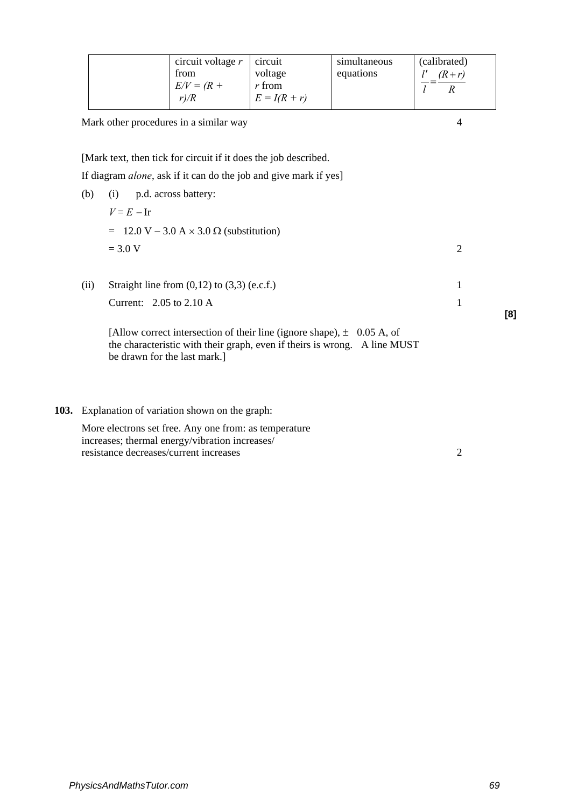| circuit voltage $r$<br>trom<br>$E/V = (R +$<br>r/R | circuit<br>voltage<br>$r$ from<br>$E = I(R + r)$ | simultaneous<br>equations | (calibrated)<br>$(R+r)$ |
|----------------------------------------------------|--------------------------------------------------|---------------------------|-------------------------|
|----------------------------------------------------|--------------------------------------------------|---------------------------|-------------------------|

Mark other procedures in a similar way 4

[Mark text, then tick for circuit if it does the job described.

If diagram *alone*, ask if it can do the job and give mark if yes]

- (b) (i) p.d. across battery: *V* = *E* <sup>−</sup> Ir  $= 12.0 \text{ V} - 3.0 \text{ A} \times 3.0 \Omega \text{ (substitution)}$  $= 3.0 \text{ V}$  2 (ii) Straight line from  $(0,12)$  to  $(3,3)$  (e.c.f.) 1  $Current: 2.05$  to  $2.10$  A 1 **[8]**
	- [Allow correct intersection of their line (ignore shape),  $\pm$  0.05 A, of the characteristic with their graph, even if theirs is wrong. A line MUST be drawn for the last mark.]
- **103.** Explanation of variation shown on the graph:

More electrons set free. Any one from: as temperature increases; thermal energy/vibration increases/ resistance decreases/current increases 2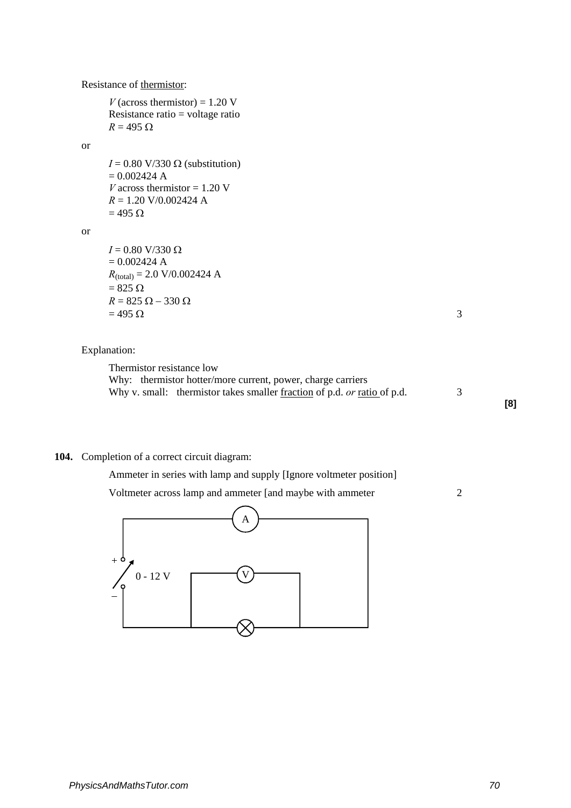### Resistance of thermistor:

*V* (across thermistor) =  $1.20$  V Resistance ratio = voltage ratio  $R = 495 \Omega$ 

### or

 $I = 0.80$  V/330  $\Omega$  (substitution)  $= 0.002424$  A *V* across thermistor  $= 1.20$  V *R* = 1.20 V/0.002424 A  $= 495 \Omega$ 

or

 $I = 0.80$  V/330 Ω  $= 0.002424 A$  $R_{\text{(total)}} = 2.0 \text{ V}/0.002424 \text{ A}$  $= 825 \Omega$  $R = 825 \Omega - 330 \Omega$  $= 495 \Omega$  3

### Explanation:

Thermistor resistance low Why: thermistor hotter/more current, power, charge carriers Why v. small: thermistor takes smaller <u>fraction</u> of p.d. *or* ratio of p.d. 3

**[8]**

### **104.** Completion of a correct circuit diagram:

Ammeter in series with lamp and supply [Ignore voltmeter position]

Voltmeter across lamp and ammeter [and maybe with ammeter 2

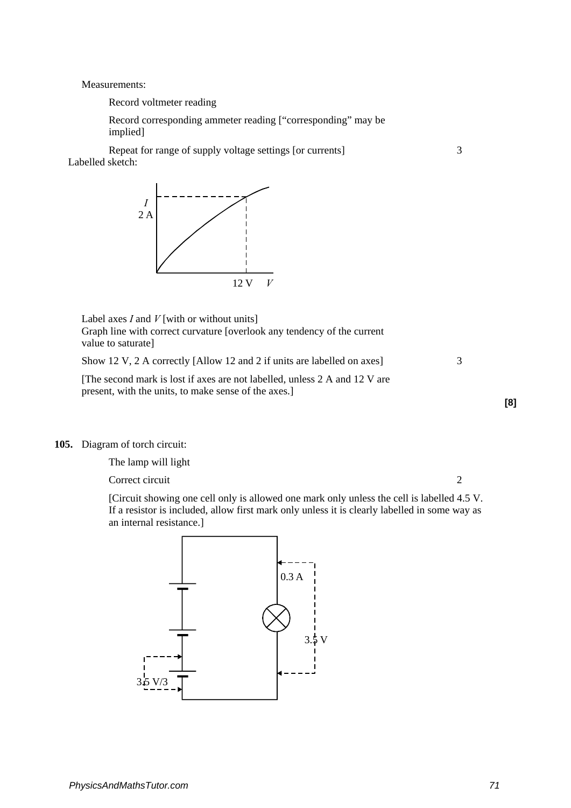Measurements:

Record voltmeter reading

Record corresponding ammeter reading ["corresponding" may be implied]

Repeat for range of supply voltage settings [or currents] 3 Labelled sketch:



Label axes *I* and *V* [with or without units] Graph line with correct curvature [overlook any tendency of the current value to saturate]

Show 12 V, 2 A correctly [Allow 12 and 2 if units are labelled on axes] 3

[The second mark is lost if axes are not labelled, unless 2 A and 12 V are present, with the units, to make sense of the axes.]

### **105.** Diagram of torch circuit:

The lamp will light

Correct circuit 2

**[8]**

[Circuit showing one cell only is allowed one mark only unless the cell is labelled 4.5 V. If a resistor is included, allow first mark only unless it is clearly labelled in some way as an internal resistance.]